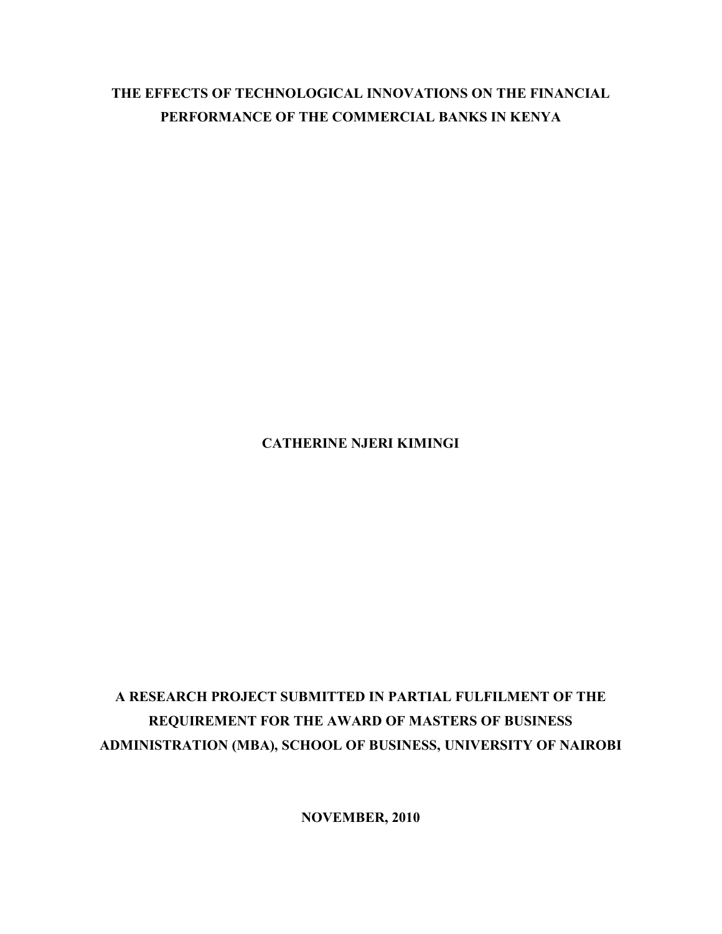# **THE EFFECTS OF TECHNOLOGICAL INNOVATIONS ON THE FINANCIAL PERFORMANCE OF THE COMMERCIAL BANKS IN KENYA**

# **CATHERINE NJERI KIMINGI**

# **A RESEARCH PROJECT SUBMITTED IN PARTIAL FULFILMENT OF THE REQUIREMENT FOR THE AWARD OF MASTERS OF BUSINESS ADMINISTRATION (MBA), SCHOOL OF BUSINESS, UNIVERSITY OF NAIROBI**

**NOVEMBER, 2010**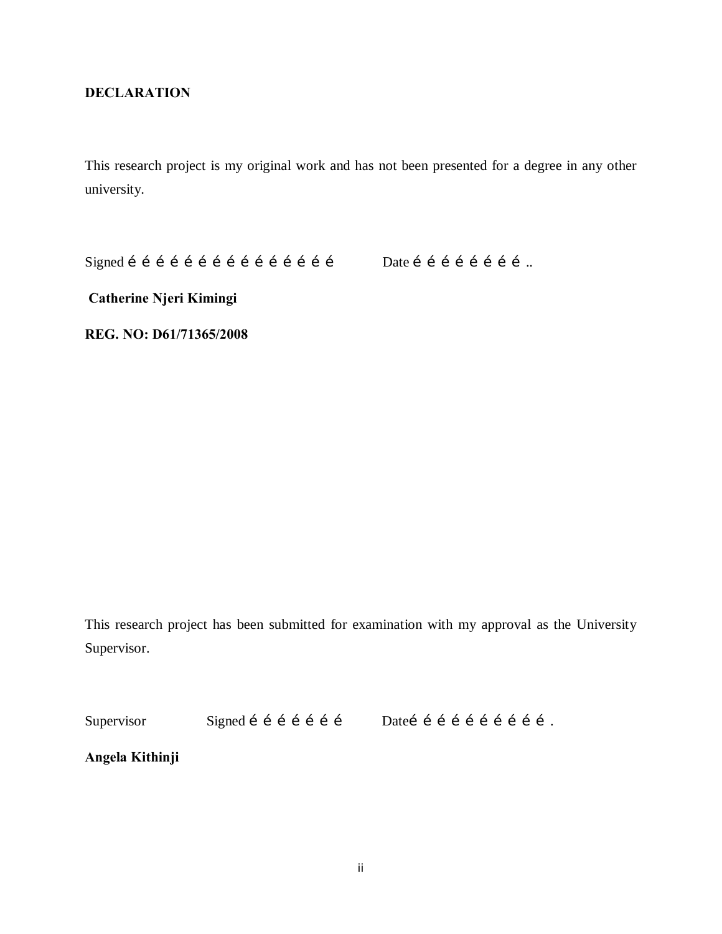# **DECLARATION**

This research project is my original work and has not been presented for a degree in any other university.

Signed ……………………………………… Date ……………………..

<span id="page-1-0"></span>

**Catherine Njeri Kimingi**

**REG. NO: D61/71365/2008**

This research project has been submitted for examination with my approval as the University Supervisor.

Supervisor Signed í í í í í í í matei í í í í í í í í í í í .

**Angela Kithinji**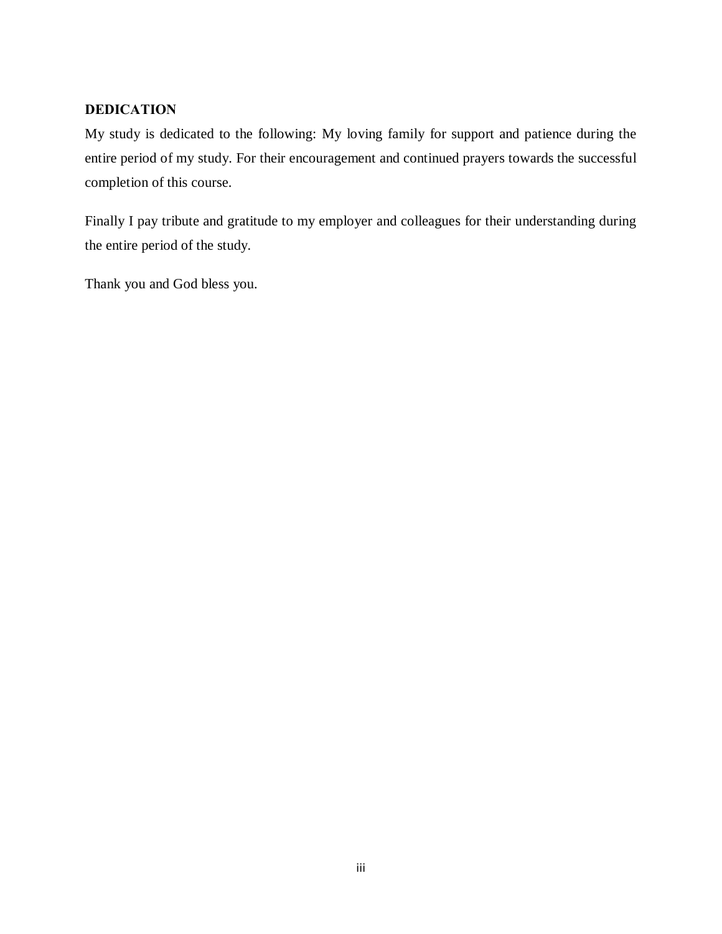# **DEDICATION**

My study is dedicated to the following: My loving family for support and patience during the entire period of my study. For their encouragement and continued prayers towards the successful completion of this course.

Finally I pay tribute and gratitude to my employer and colleagues for their understanding during the entire period of the study.

<span id="page-2-0"></span>Thank you and God bless you.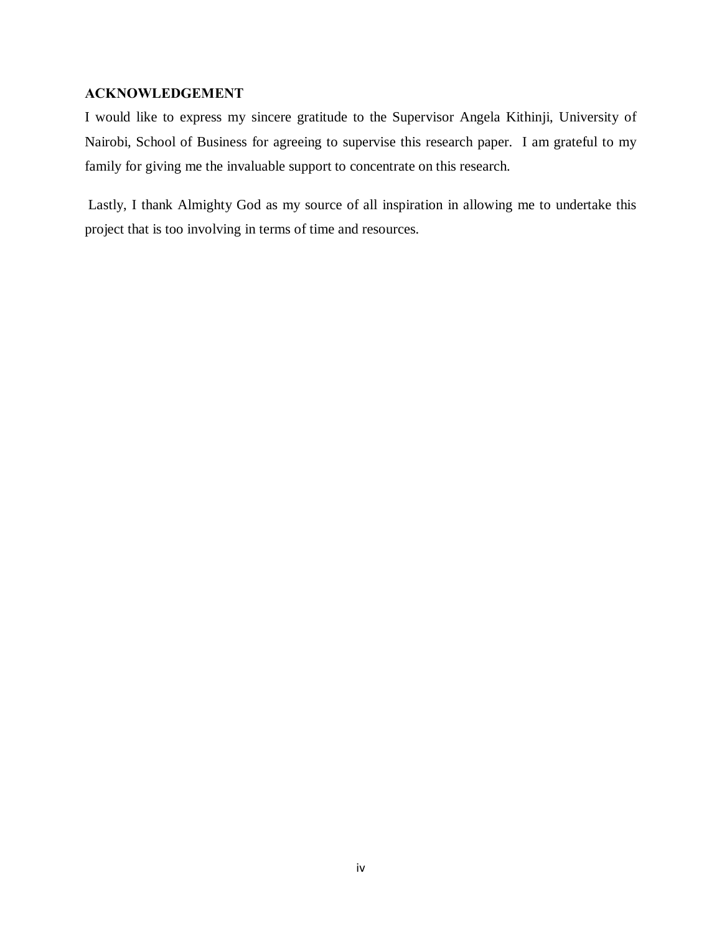# **ACKNOWLEDGEMENT**

I would like to express my sincere gratitude to the Supervisor Angela Kithinji, University of Nairobi, School of Business for agreeing to supervise this research paper. I am grateful to my family for giving me the invaluable support to concentrate on this research.

<span id="page-3-0"></span>Lastly, I thank Almighty God as my source of all inspiration in allowing me to undertake this project that is too involving in terms of time and resources.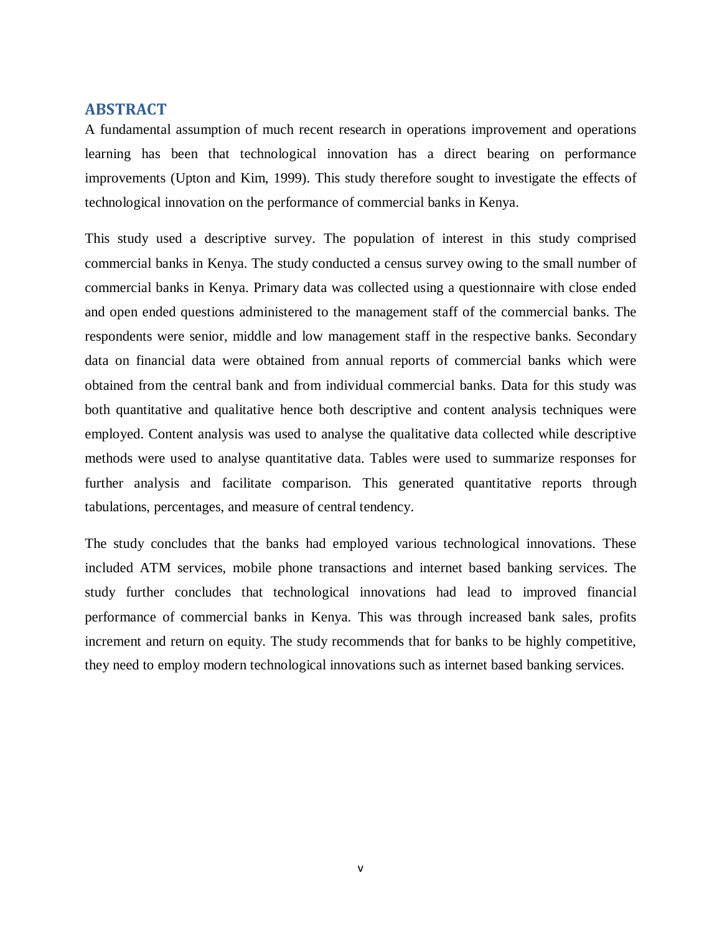## **ABSTRACT**

A fundamental assumption of much recent research in operations improvement and operations learning has been that technological innovation has a direct bearing on performance improvements (Upton and Kim, 1999). This study therefore sought to investigate the effects of technological innovation on the performance of commercial banks in Kenya.

This study used a descriptive survey. The population of interest in this study comprised commercial banks in Kenya. The study conducted a census survey owing to the small number of commercial banks in Kenya. Primary data was collected using a questionnaire with close ended and open ended questions administered to the management staff of the commercial banks. The respondents were senior, middle and low management staff in the respective banks. Secondary data on financial data were obtained from annual reports of commercial banks which were obtained from the central bank and from individual commercial banks. Data for this study was both quantitative and qualitative hence both descriptive and content analysis techniques were employed. Content analysis was used to analyse the qualitative data collected while descriptive methods were used to analyse quantitative data. Tables were used to summarize responses for further analysis and facilitate comparison. This generated quantitative reports through tabulations, percentages, and measure of central tendency.

<span id="page-4-0"></span>The study concludes that the banks had employed various technological innovations. These included ATM services, mobile phone transactions and internet based banking services. The study further concludes that technological innovations had lead to improved financial performance of commercial banks in Kenya. This was through increased bank sales, profits increment and return on equity. The study recommends that for banks to be highly competitive, they need to employ modern technological innovations such as internet based banking services.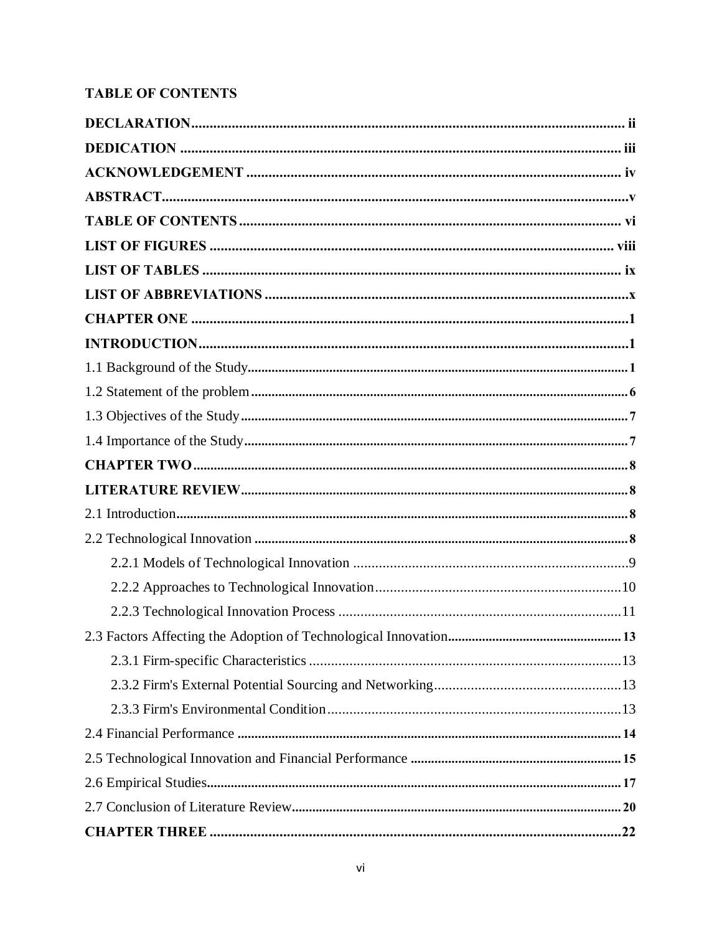# **TABLE OF CONTENTS**

<span id="page-5-0"></span>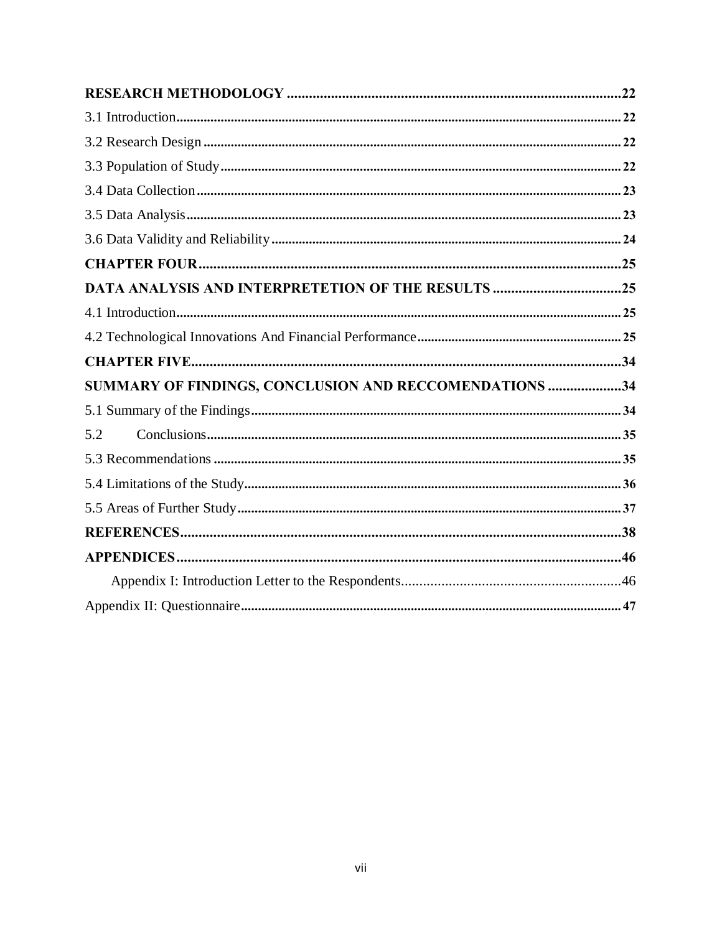| DATA ANALYSIS AND INTERPRETETION OF THE RESULTS 25     |  |
|--------------------------------------------------------|--|
|                                                        |  |
|                                                        |  |
|                                                        |  |
| SUMMARY OF FINDINGS, CONCLUSION AND RECCOMENDATIONS 34 |  |
|                                                        |  |
| 5.2                                                    |  |
|                                                        |  |
|                                                        |  |
|                                                        |  |
|                                                        |  |
|                                                        |  |
|                                                        |  |
|                                                        |  |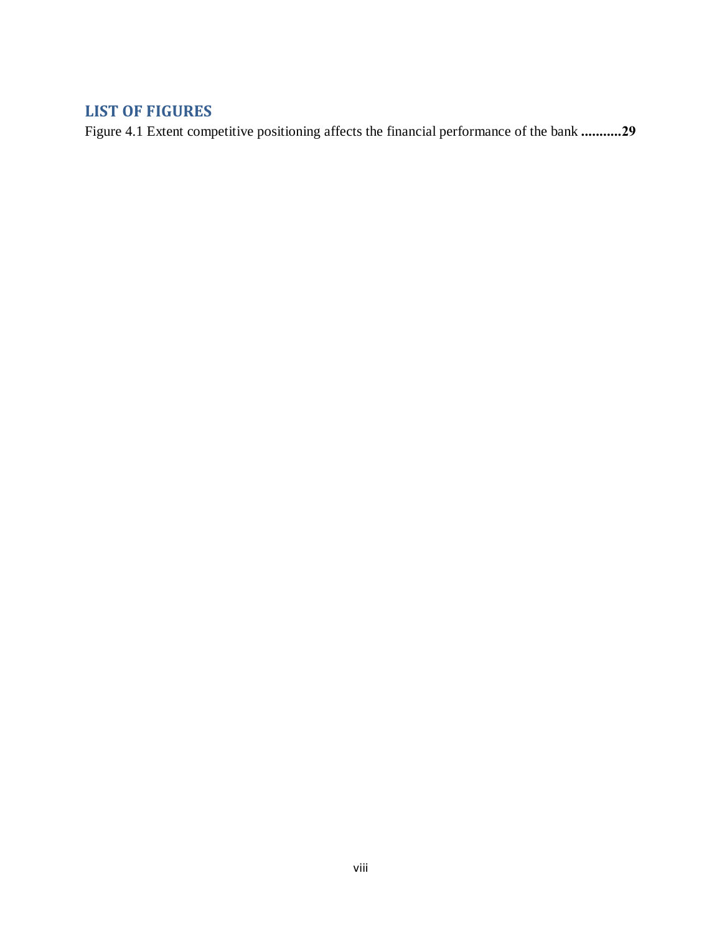# **LIST OF FIGURES**

<span id="page-7-0"></span>[Figure 4.1 Extent competitive positioning affects the financial performance of the bank](#page-38-0) **...........29**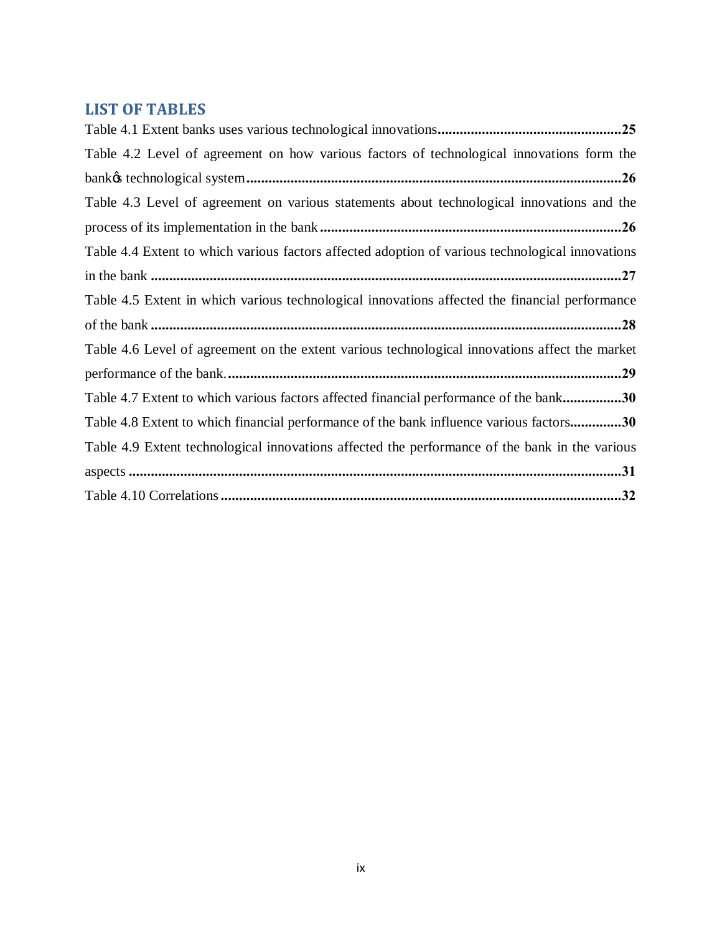# **LIST OF TABLES**

<span id="page-8-0"></span>

| Table 4.2 Level of agreement on how various factors of technological innovations form the        |
|--------------------------------------------------------------------------------------------------|
|                                                                                                  |
| Table 4.3 Level of agreement on various statements about technological innovations and the       |
|                                                                                                  |
| Table 4.4 Extent to which various factors affected adoption of various technological innovations |
|                                                                                                  |
| Table 4.5 Extent in which various technological innovations affected the financial performance   |
|                                                                                                  |
| Table 4.6 Level of agreement on the extent various technological innovations affect the market   |
|                                                                                                  |
| Table 4.7 Extent to which various factors affected financial performance of the bank30           |
| Table 4.8 Extent to which financial performance of the bank influence various factors30          |
| Table 4.9 Extent technological innovations affected the performance of the bank in the various   |
|                                                                                                  |
|                                                                                                  |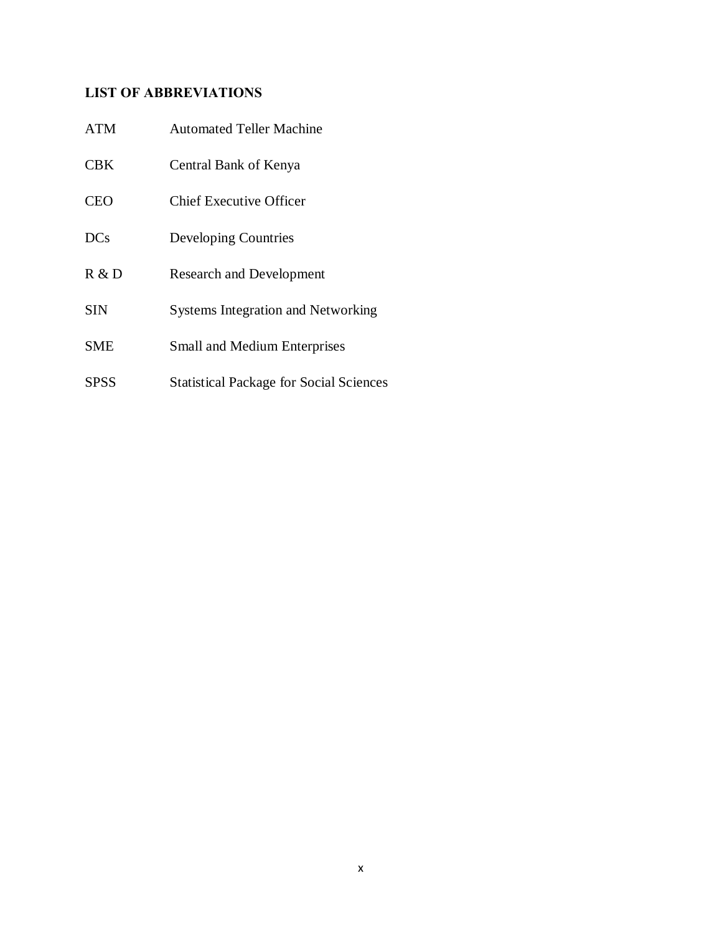# **LIST OF ABBREVIATIONS**

<span id="page-9-0"></span>

| <b>ATM</b> | <b>Automated Teller Machine</b>                |
|------------|------------------------------------------------|
| <b>CBK</b> | Central Bank of Kenya                          |
| <b>CEO</b> | Chief Executive Officer                        |
| <b>DCs</b> | Developing Countries                           |
| R & D      | <b>Research and Development</b>                |
| <b>SIN</b> | <b>Systems Integration and Networking</b>      |
| SME        | <b>Small and Medium Enterprises</b>            |
| SPSS       | <b>Statistical Package for Social Sciences</b> |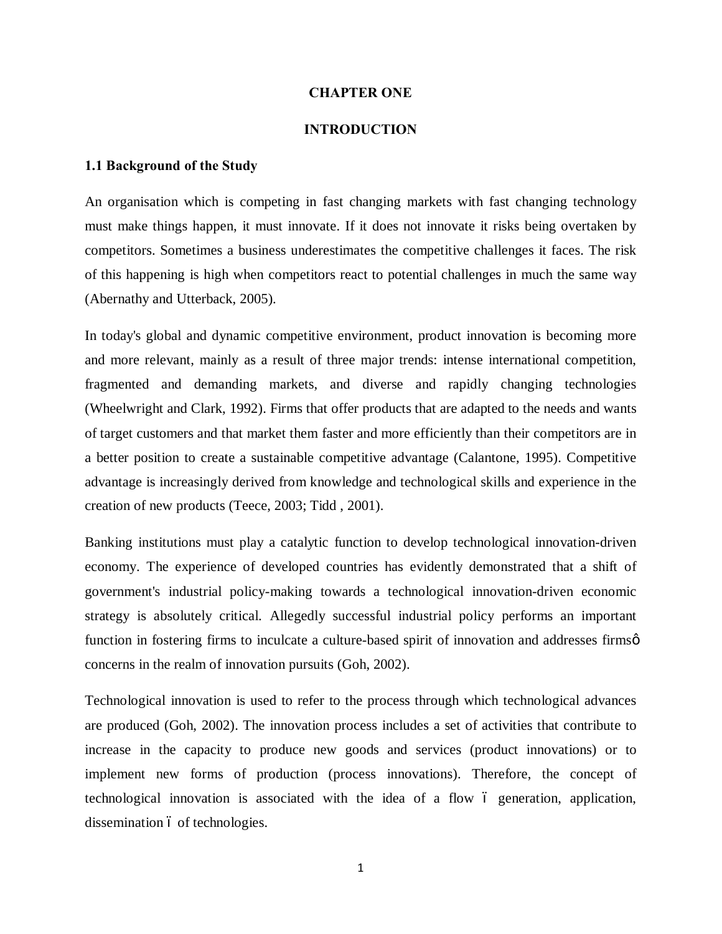#### **CHAPTER ONE**

#### <span id="page-10-1"></span><span id="page-10-0"></span>**INTRODUCTION**

#### **1.1 Background of the Study**

An organisation which is competing in fast changing markets with fast changing technology must make things happen, it must innovate. If it does not innovate it risks being overtaken by competitors. Sometimes a business underestimates the competitive challenges it faces. The risk of this happening is high when competitors react to potential challenges in much the same way (Abernathy and Utterback, 2005).

In today's global and dynamic competitive environment, product innovation is becoming more and more relevant, mainly as a result of three major trends: intense international competition, fragmented and demanding markets, and diverse and rapidly changing technologies ([Wheelwright and Clark, 1992\)](http://www.emeraldinsight.com/Insight/ViewContentServlet?contentType=Article&Filename=Published/EmeraldFullTextArticle/Articles/2200090401.html). Firms that offer products that are adapted to the needs and wants of target customers and that market them faster and more efficiently than their competitors are in a better position to create a sustainable competitive advantage ([Calantone, 1995\)](http://www.emeraldinsight.com/Insight/ViewContentServlet?contentType=Article&Filename=Published/EmeraldFullTextArticle/Articles/2200090401.html). Competitive advantage is increasingly derived from knowledge and technological skills and experience in the creation of new products [\(Teece, 2003](http://www.emeraldinsight.com/Insight/ViewContentServlet?contentType=Article&Filename=Published/EmeraldFullTextArticle/Articles/2200090401.html); [Tidd , 2001\)](http://www.emeraldinsight.com/Insight/ViewContentServlet?contentType=Article&Filename=Published/EmeraldFullTextArticle/Articles/2200090401.html).

Banking institutions must play a catalytic function to develop technological innovation-driven economy. The experience of developed countries has evidently demonstrated that a shift of government's industrial policy-making towards a technological innovation-driven economic strategy is absolutely critical. Allegedly successful industrial policy performs an important function in fostering firms to inculcate a culture-based spirit of innovation and addresses firmsø concerns in the realm of innovation pursuits [\(Goh, 2002\)](http://www.emeraldinsight.com/journals.htm?issn=0951-3558&volume=18&issue=3&articleid=1463613&show=html).

<span id="page-10-2"></span>Technological innovation is used to refer to the process through which technological advances are produced (Goh, 2002). The innovation process includes a set of activities that contribute to increase in the capacity to produce new goods and services (product innovations) or to implement new forms of production (process innovations). Therefore, the concept of technological innovation is associated with the idea of a flow 6 generation, application, dissemination 6 of technologies.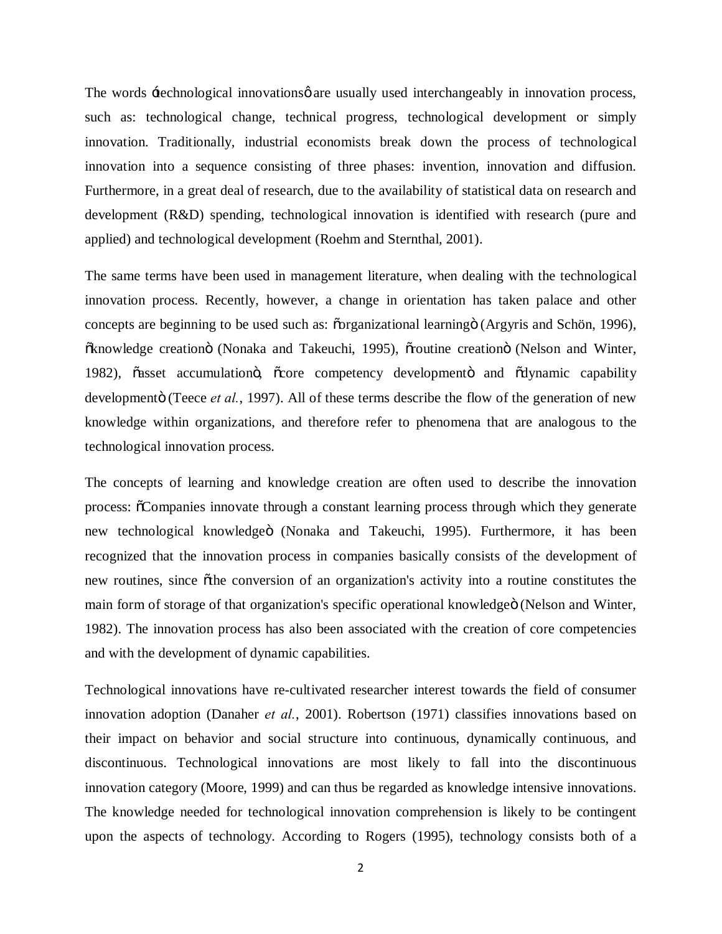The words  $\pm$ echnological innovations  $\phi$  are usually used interchangeably in innovation process, such as: technological change, technical progress, technological development or simply innovation. Traditionally, industrial economists break down the process of technological innovation into a sequence consisting of three phases: invention, innovation and diffusion. Furthermore, in a great deal of research, due to the availability of statistical data on research and development (R&D) spending, technological innovation is identified with research (pure and applied) and technological development (Roehm and Sternthal, 2001).

The same terms have been used in management literature, when dealing with the technological innovation process. Recently, however, a change in orientation has taken palace and other concepts are beginning to be used such as:  $\tilde{c}$ organizational learning $\ddot{o}$  [\(Argyris and Schön, 1996\)](http://www.emeraldinsight.com/journals.htm?issn=1460-1060&volume=7&issue=4&articleid=872574&show=html), õknowledge creationö [\(Nonaka and Takeuchi, 1995\)](http://www.emeraldinsight.com/journals.htm?issn=1460-1060&volume=7&issue=4&articleid=872574&show=html), õroutine creationö (Nelson and Winter, [1982](http://www.emeraldinsight.com/journals.htm?issn=1460-1060&volume=7&issue=4&articleid=872574&show=html)), õasset accumulationo, õcore competency developmento and õdynamic capability developmentö [\(Teece](http://www.emeraldinsight.com/journals.htm?issn=1460-1060&volume=7&issue=4&articleid=872574&show=html) *et al.*, 1997). All of these terms describe the flow of the generation of new knowledge within organizations, and therefore refer to phenomena that are analogous to the technological innovation process.

The concepts of learning and knowledge creation are often used to describe the innovation process: "Companies innovate through a constant learning process through which they generate new technological knowledgeö [\(Nonaka and Takeuchi, 1995\)](http://www.emeraldinsight.com/journals.htm?issn=1460-1060&volume=7&issue=4&articleid=872574&show=html). Furthermore, it has been recognized that the innovation process in companies basically consists of the development of new routines, since  $\tilde{o}$ the conversion of an organization's activity into a routine constitutes the main form of storage of that organization's specific operational knowledgeö (Nelson and Winter, [1982](http://www.emeraldinsight.com/journals.htm?issn=1460-1060&volume=7&issue=4&articleid=872574&show=html)). The innovation process has also been associated with the creation of core competencies and with the development of dynamic capabilities.

Technological innovations have re-cultivated researcher interest towards the field of consumer innovation adoption (Danaher *et al.*, 2001). Robertson (1971) classifies innovations based on their impact on behavior and social structure into continuous, dynamically continuous, and discontinuous. Technological innovations are most likely to fall into the discontinuous innovation category (Moore, 1999) and can thus be regarded as knowledge intensive innovations. The knowledge needed for technological innovation comprehension is likely to be contingent upon the aspects of technology. According to Rogers (1995), technology consists both of a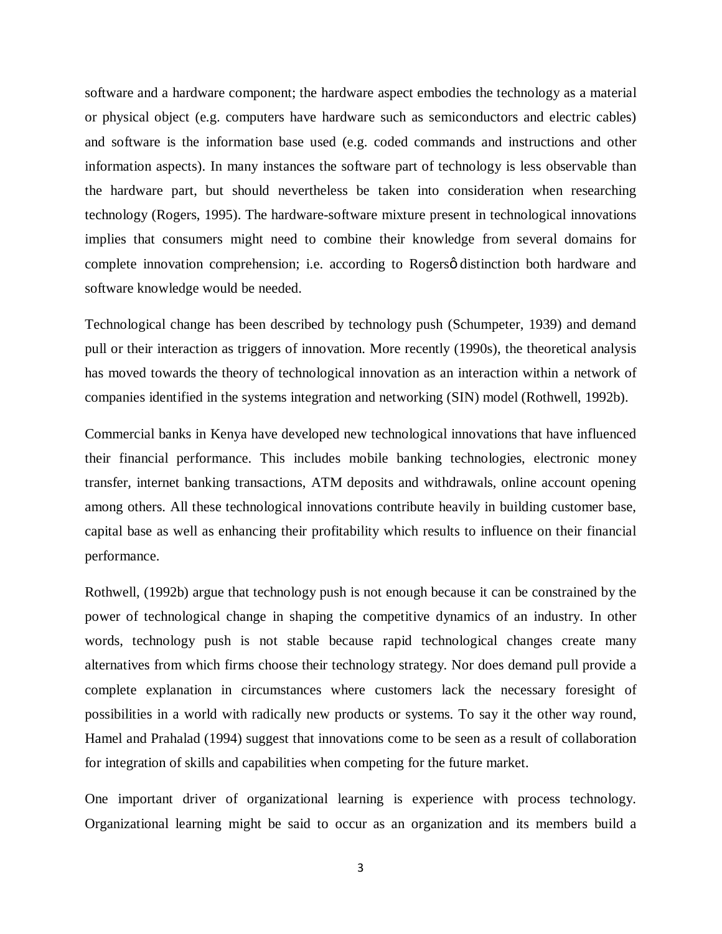software and a hardware component; the hardware aspect embodies the technology as a material or physical object (e.g. computers have hardware such as semiconductors and electric cables) and software is the information base used (e.g. coded commands and instructions and other information aspects). In many instances the software part of technology is less observable than the hardware part, but should nevertheless be taken into consideration when researching technology (Rogers, 1995). The hardware-software mixture present in technological innovations implies that consumers might need to combine their knowledge from several domains for complete innovation comprehension; i.e. according to Rogers o distinction both hardware and software knowledge would be needed.

Technological change has been described by technology push ([Schumpeter, 1939\)](http://www.emeraldinsight.com/journals.htm?issn=1460-1060&volume=7&issue=3&articleid=872568&show=html) and demand pull or their interaction as triggers of innovation. More recently (1990s), the theoretical analysis has moved towards the theory of technological innovation as an interaction within a network of companies identified in the systems integration and networking (SIN) model [\(Rothwell, 1992b\)](http://www.emeraldinsight.com/journals.htm?issn=1460-1060&volume=7&issue=3&articleid=872568&show=html).

Commercial banks in Kenya have developed new technological innovations that have influenced their financial performance. This includes mobile banking technologies, electronic money transfer, internet banking transactions, ATM deposits and withdrawals, online account opening among others. All these technological innovations contribute heavily in building customer base, capital base as well as enhancing their profitability which results to influence on their financial performance.

[Rothwell, \(1992b\)](http://www.emeraldinsight.com/journals.htm?issn=1460-1060&volume=7&issue=3&articleid=872568&show=html) argue that technology push is not enough because it can be constrained by the power of technological change in shaping the competitive dynamics of an industry. In other words, technology push is not stable because rapid technological changes create many alternatives from which firms choose their technology strategy. Nor does demand pull provide a complete explanation in circumstances where customers lack the necessary foresight of possibilities in a world with radically new products or systems. To say it the other way round, [Hamel and Prahalad \(1994\)](http://www.emeraldinsight.com/journals.htm?issn=1460-1060&volume=7&issue=3&articleid=872568&show=html) suggest that innovations come to be seen as a result of collaboration for integration of skills and capabilities when competing for the future market.

One important driver of organizational learning is experience with process technology. Organizational learning might be said to occur as an organization and its members build a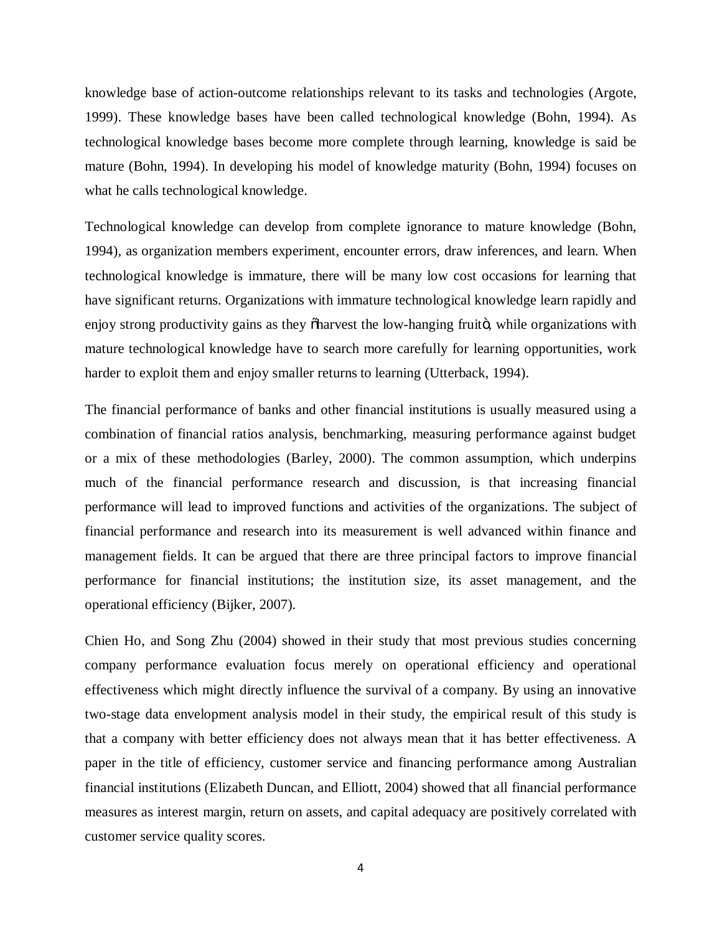knowledge base of action-outcome relationships relevant to its tasks and technologies (Argote, 1999). These knowledge bases have been called technological knowledge (Bohn, 1994). As technological knowledge bases become more complete through learning, knowledge is said be mature (Bohn, 1994). In developing his model of knowledge maturity (Bohn, 1994) focuses on what he calls technological knowledge.

Technological knowledge can develop from complete ignorance to mature knowledge (Bohn, 1994), as organization members experiment, encounter errors, draw inferences, and learn. When technological knowledge is immature, there will be many low cost occasions for learning that have significant returns. Organizations with immature technological knowledge learn rapidly and enjoy strong productivity gains as they  $\delta$ harvest the low-hanging fruito, while organizations with mature technological knowledge have to search more carefully for learning opportunities, work harder to exploit them and enjoy smaller returns to learning (Utterback, 1994).

The financial performance of banks and other financial institutions is usually measured using a combination of financial ratios analysis, benchmarking, measuring performance against budget or a mix of these methodologies (Barley, 2000). The common assumption, which underpins much of the financial performance research and discussion, is that increasing financial performance will lead to improved functions and activities of the organizations. The subject of financial performance and research into its measurement is well advanced within finance and management fields. It can be argued that there are three principal factors to improve financial performance for financial institutions; the institution size, its asset management, and the operational efficiency (Bijker, 2007).

Chien Ho, and Song Zhu (2004) showed in their study that most previous studies concerning company performance evaluation focus merely on operational efficiency and operational effectiveness which might directly influence the survival of a company. By using an innovative two-stage data envelopment analysis model in their study, the empirical result of this study is that a company with better efficiency does not always mean that it has better effectiveness. A paper in the title of efficiency, customer service and financing performance among Australian financial institutions (Elizabeth Duncan, and Elliott, 2004) showed that all financial performance measures as interest margin, return on assets, and capital adequacy are positively correlated with customer service quality scores.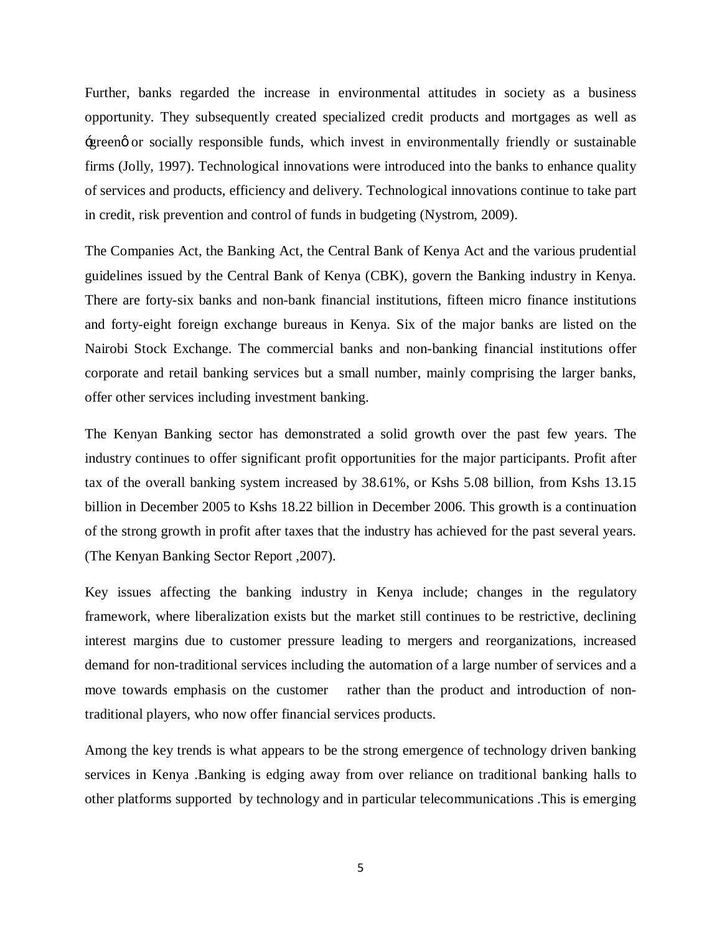Further, banks regarded the increase in environmental attitudes in society as a business opportunity. They subsequently created specialized credit products and mortgages as well as 'green' or socially responsible funds, which invest in environmentally friendly or sustainable firms (Jolly, 1997). Technological innovations were introduced into the banks to enhance quality of services and products, efficiency and delivery. Technological innovations continue to take part in credit, risk prevention and control of funds in budgeting (Nystrom, 2009).

The Companies Act, the Banking Act, the Central Bank of Kenya Act and the various prudential guidelines issued by the Central Bank of Kenya (CBK), govern the Banking industry in Kenya. There are forty-six banks and non-bank financial institutions, fifteen micro finance institutions and forty-eight foreign exchange bureaus in Kenya. Six of the major banks are listed on the Nairobi Stock Exchange. The commercial banks and non-banking financial institutions offer corporate and retail banking services but a small number, mainly comprising the larger banks, offer other services including investment banking.

The Kenyan Banking sector has demonstrated a solid growth over the past few years. The industry continues to offer significant profit opportunities for the major participants. Profit after tax of the overall banking system increased by 38.61%, or Kshs 5.08 billion, from Kshs 13.15 billion in December 2005 to Kshs 18.22 billion in December 2006. This growth is a continuation of the strong growth in profit after taxes that the industry has achieved for the past several years. (The Kenyan Banking Sector Report ,2007).

Key issues affecting the banking industry in Kenya include; changes in the regulatory framework, where liberalization exists but the market still continues to be restrictive, declining interest margins due to customer pressure leading to mergers and reorganizations, increased demand for non-traditional services including the automation of a large number of services and a move towards emphasis on the customer rather than the product and introduction of nontraditional players, who now offer financial services products.

Among the key trends is what appears to be the strong emergence of technology driven banking services in Kenya .Banking is edging away from over reliance on traditional banking halls to other platforms supported by technology and in particular telecommunications .This is emerging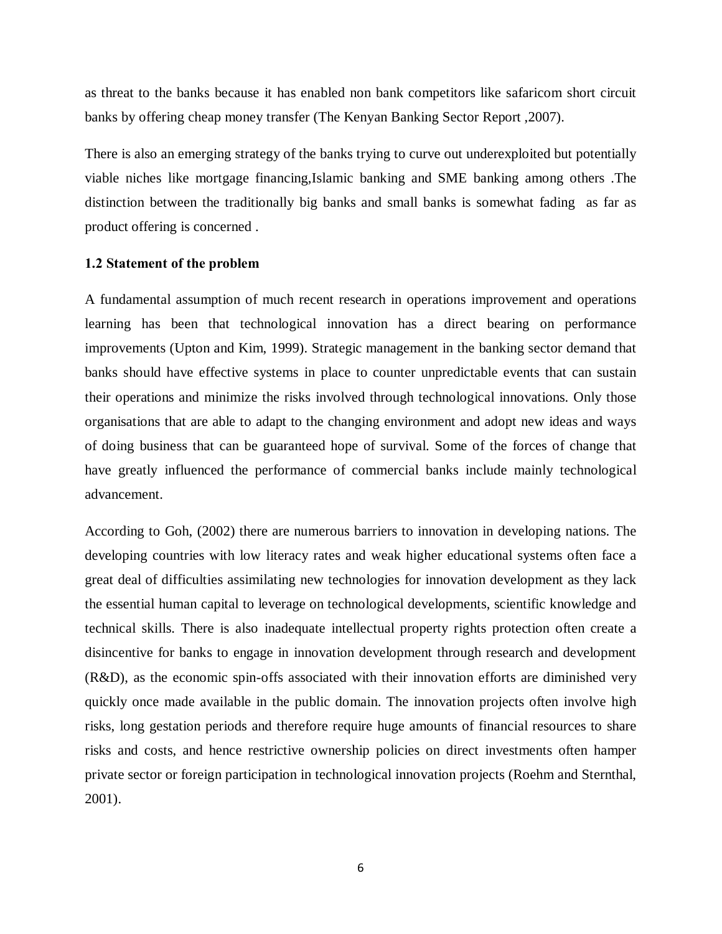as threat to the banks because it has enabled non bank competitors like safaricom short circuit banks by offering cheap money transfer (The Kenyan Banking Sector Report ,2007).

There is also an emerging strategy of the banks trying to curve out underexploited but potentially viable niches like mortgage financing,Islamic banking and SME banking among others .The distinction between the traditionally big banks and small banks is somewhat fading as far as product offering is concerned .

#### **1.2 Statement of the problem**

A fundamental assumption of much recent research in operations improvement and operations learning has been that technological innovation has a direct bearing on performance improvements (Upton and Kim, 1999). Strategic management in the banking sector demand that banks should have effective systems in place to counter unpredictable events that can sustain their operations and minimize the risks involved through technological innovations. Only those organisations that are able to adapt to the changing environment and adopt new ideas and ways of doing business that can be guaranteed hope of survival. Some of the forces of change that have greatly influenced the performance of commercial banks include mainly technological advancement.

<span id="page-15-0"></span>According to [Goh, \(2002\)](http://www.emeraldinsight.com/journals.htm?issn=0951-3558&volume=18&issue=3&articleid=1463613&show=html) there are numerous barriers to innovation in developing nations. The developing countries with low literacy rates and weak higher educational systems often face a great deal of difficulties assimilating new technologies for innovation development as they lack the essential human capital to leverage on technological developments, scientific knowledge and technical skills. There is also inadequate intellectual property rights protection often create a disincentive for banks to engage in innovation development through research and development (R&D), as the economic spin-offs associated with their innovation efforts are diminished very quickly once made available in the public domain. The innovation projects often involve high risks, long gestation periods and therefore require huge amounts of financial resources to share risks and costs, and hence restrictive ownership policies on direct investments often hamper private sector or foreign participation in technological innovation projects (Roehm and Sternthal, 2001).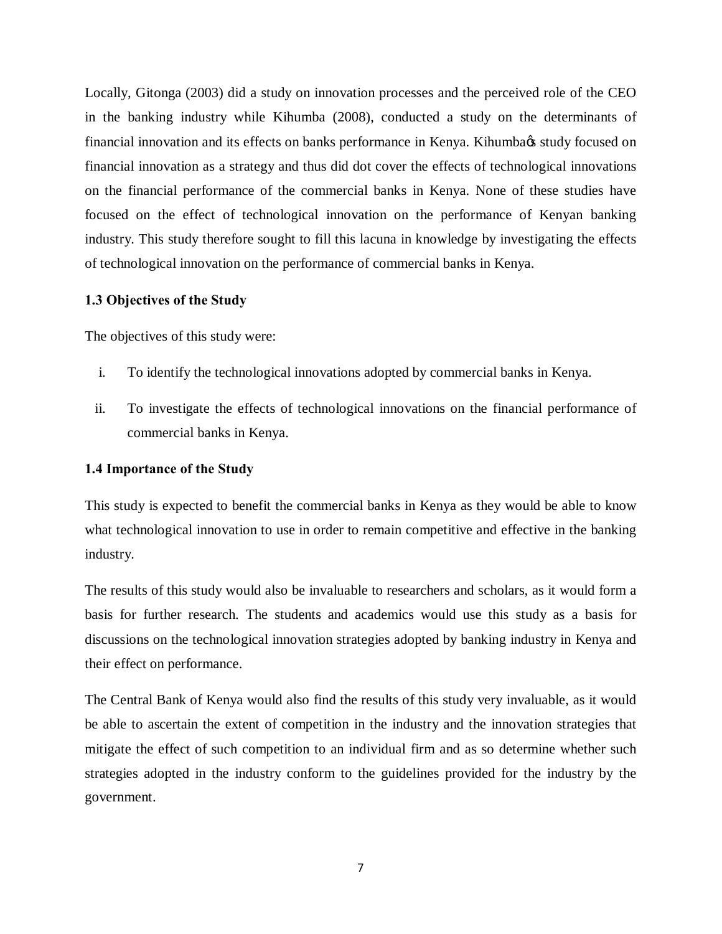Locally, Gitonga (2003) did a study on innovation processes and the perceived role of the CEO in the banking industry while Kihumba (2008), conducted a study on the determinants of financial innovation and its effects on banks performance in Kenya. Kihumba $\alpha$  study focused on financial innovation as a strategy and thus did dot cover the effects of technological innovations on the financial performance of the commercial banks in Kenya. None of these studies have focused on the effect of technological innovation on the performance of Kenyan banking industry. This study therefore sought to fill this lacuna in knowledge by investigating the effects of technological innovation on the performance of commercial banks in Kenya.

#### **1.3 Objectives of the Study**

The objectives of this study were:

- i. To identify the technological innovations adopted by commercial banks in Kenya.
- ii. To investigate the effects of technological innovations on the financial performance of commercial banks in Kenya.

## **1.4 Importance of the Study**

This study is expected to benefit the commercial banks in Kenya as they would be able to know what technological innovation to use in order to remain competitive and effective in the banking industry.

The results of this study would also be invaluable to researchers and scholars, as it would form a basis for further research. The students and academics would use this study as a basis for discussions on the technological innovation strategies adopted by banking industry in Kenya and their effect on performance.

<span id="page-16-0"></span>The Central Bank of Kenya would also find the results of this study very invaluable, as it would be able to ascertain the extent of competition in the industry and the innovation strategies that mitigate the effect of such competition to an individual firm and as so determine whether such strategies adopted in the industry conform to the guidelines provided for the industry by the government.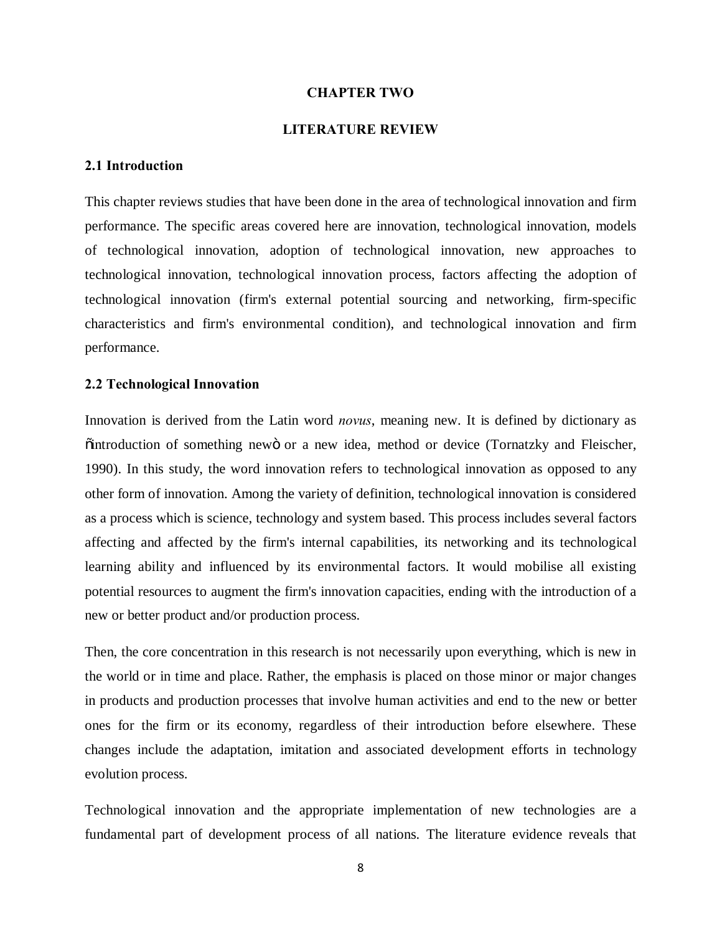### **CHAPTER TWO**

#### <span id="page-17-0"></span>**LITERATURE REVIEW**

#### **2.1 Introduction**

This chapter reviews studies that have been done in the area of technological innovation and firm performance. The specific areas covered here are innovation, technological innovation, models of technological innovation, adoption of technological innovation, new approaches to technological innovation, technological innovation process, factors affecting the adoption of technological innovation (firm's external potential sourcing and networking, firm-specific characteristics and firm's environmental condition), and technological innovation and firm performance.

#### **2.2 Technological Innovation**

Innovation is derived from the Latin word *novus*, meaning new. It is defined by dictionary as  $\ddot{\text{o}}$  introduction of something new or a new idea, method or device (Tornatzky and Fleischer, [1990](http://www.emeraldinsight.com/journals.htm?issn=1352-7606&volume=13&issue=4&articleid=1580594&show=html&)). In this study, the word innovation refers to technological innovation as opposed to any other form of innovation. Among the variety of definition, technological innovation is considered as a process which is science, technology and system based. This process includes several factors affecting and affected by the firm's internal capabilities, its networking and its technological learning ability and influenced by its environmental factors. It would mobilise all existing potential resources to augment the firm's innovation capacities, ending with the introduction of a new or better product and/or production process.

<span id="page-17-1"></span>Then, the core concentration in this research is not necessarily upon everything, which is new in the world or in time and place. Rather, the emphasis is placed on those minor or major changes in products and production processes that involve human activities and end to the new or better ones for the firm or its economy, regardless of their introduction before elsewhere. These changes include the adaptation, imitation and associated development efforts in technology evolution process.

<span id="page-17-2"></span>Technological innovation and the appropriate implementation of new technologies are a fundamental part of development process of all nations. The literature evidence reveals that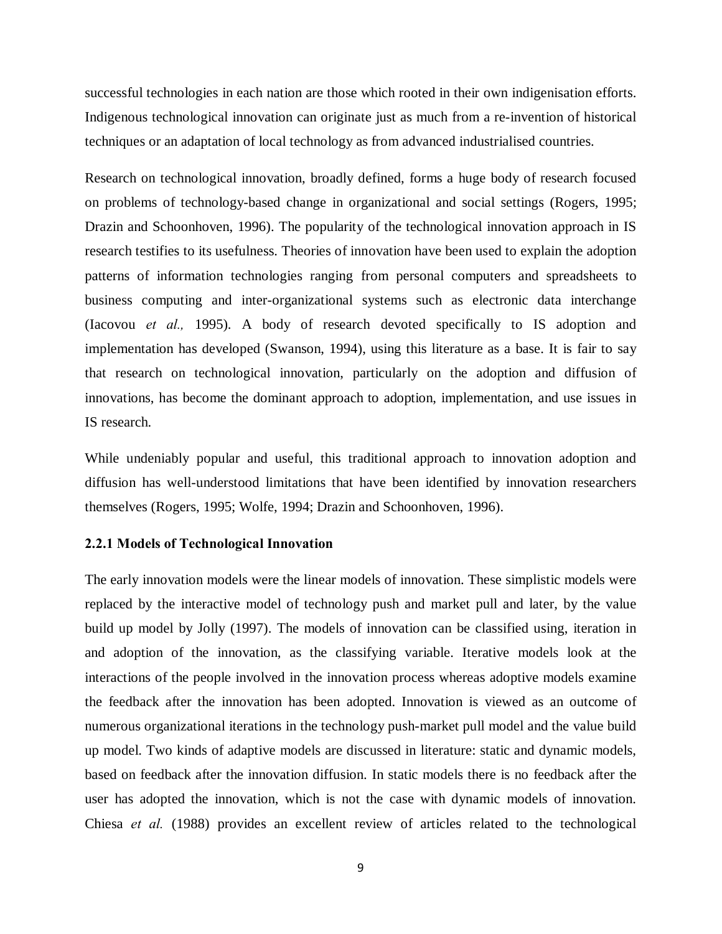successful technologies in each nation are those which rooted in their own indigenisation efforts. Indigenous technological innovation can originate just as much from a re-invention of historical techniques or an adaptation of local technology as from advanced industrialised countries.

Research on technological innovation, broadly defined, forms a huge body of research focused on problems of technology-based change in organizational and social settings (Rogers, 1995; Drazin and Schoonhoven, 1996). The popularity of the technological innovation approach in IS research testifies to its usefulness. Theories of innovation have been used to explain the adoption patterns of information technologies ranging from personal computers and spreadsheets to business computing and inter-organizational systems such as electronic data interchange (Iacovou *et al.,* 1995). A body of research devoted specifically to IS adoption and implementation has developed (Swanson, 1994), using this literature as a base. It is fair to say that research on technological innovation, particularly on the adoption and diffusion of innovations, has become the dominant approach to adoption, implementation, and use issues in IS research.

While undeniably popular and useful, this traditional approach to innovation adoption and diffusion has well-understood limitations that have been identified by innovation researchers themselves (Rogers, 1995; Wolfe, 1994; Drazin and Schoonhoven, 1996).

#### **2.2.1 Models of Technological Innovation**

<span id="page-18-0"></span>The early innovation models were the linear models of innovation. These simplistic models were replaced by the interactive model of technology push and market pull and later, by the value build up model by Jolly (1997). The models of innovation can be classified using, iteration in and adoption of the innovation, as the classifying variable. Iterative models look at the interactions of the people involved in the innovation process whereas adoptive models examine the feedback after the innovation has been adopted. Innovation is viewed as an outcome of numerous organizational iterations in the technology push-market pull model and the value build up model. Two kinds of adaptive models are discussed in literature: static and dynamic models, based on feedback after the innovation diffusion. In static models there is no feedback after the user has adopted the innovation, which is not the case with dynamic models of innovation. [Chiesa](http://www.emeraldinsight.com/journals.htm?issn=1469-1930&volume=7&issue=2&articleid=1554284&show=html&) *et al.* (1988) provides an excellent review of articles related to the technological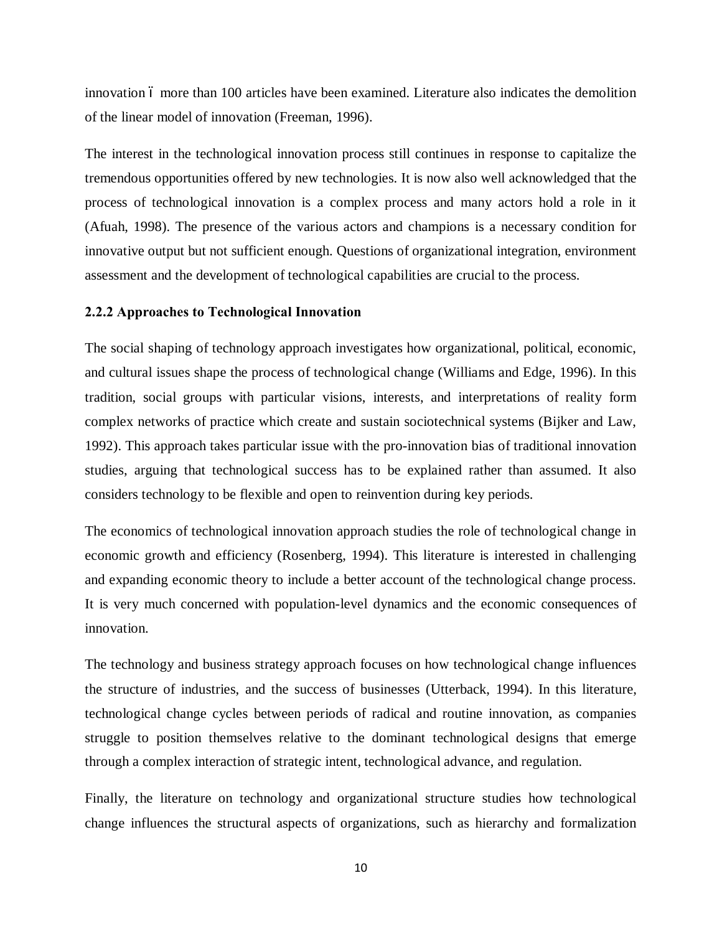innovation 6 more than 100 articles have been examined. Literature also indicates the demolition of the linear model of innovation [\(Freeman, 1996](http://www.emeraldinsight.com/journals.htm?issn=1469-1930&volume=7&issue=2&articleid=1554284&show=html&)).

The interest in the technological innovation process still continues in response to capitalize the tremendous opportunities offered by new technologies. It is now also well acknowledged that the process of technological innovation is a complex process and many actors hold a role in it ([Afuah, 1998\)](http://www.emeraldinsight.com/journals.htm?issn=1469-1930&volume=7&issue=2&articleid=1554284&show=html&). The presence of the various actors and champions is a necessary condition for innovative output but not sufficient enough. Questions of organizational integration, environment assessment and the development of technological capabilities are crucial to the process.

#### **2.2.2 Approaches to Technological Innovation**

The social shaping of technology approach investigates how organizational, political, economic, and cultural issues shape the process of technological change (Williams and Edge, 1996). In this tradition, social groups with particular visions, interests, and interpretations of reality form complex networks of practice which create and sustain sociotechnical systems (Bijker and Law, 1992). This approach takes particular issue with the pro-innovation bias of traditional innovation studies, arguing that technological success has to be explained rather than assumed. It also considers technology to be flexible and open to reinvention during key periods.

The economics of technological innovation approach studies the role of technological change in economic growth and efficiency (Rosenberg, 1994). This literature is interested in challenging and expanding economic theory to include a better account of the technological change process. It is very much concerned with population-level dynamics and the economic consequences of innovation.

The technology and business strategy approach focuses on how technological change influences the structure of industries, and the success of businesses (Utterback, 1994). In this literature, technological change cycles between periods of radical and routine innovation, as companies struggle to position themselves relative to the dominant technological designs that emerge through a complex interaction of strategic intent, technological advance, and regulation.

Finally, the literature on technology and organizational structure studies how technological change influences the structural aspects of organizations, such as hierarchy and formalization

<span id="page-19-0"></span>10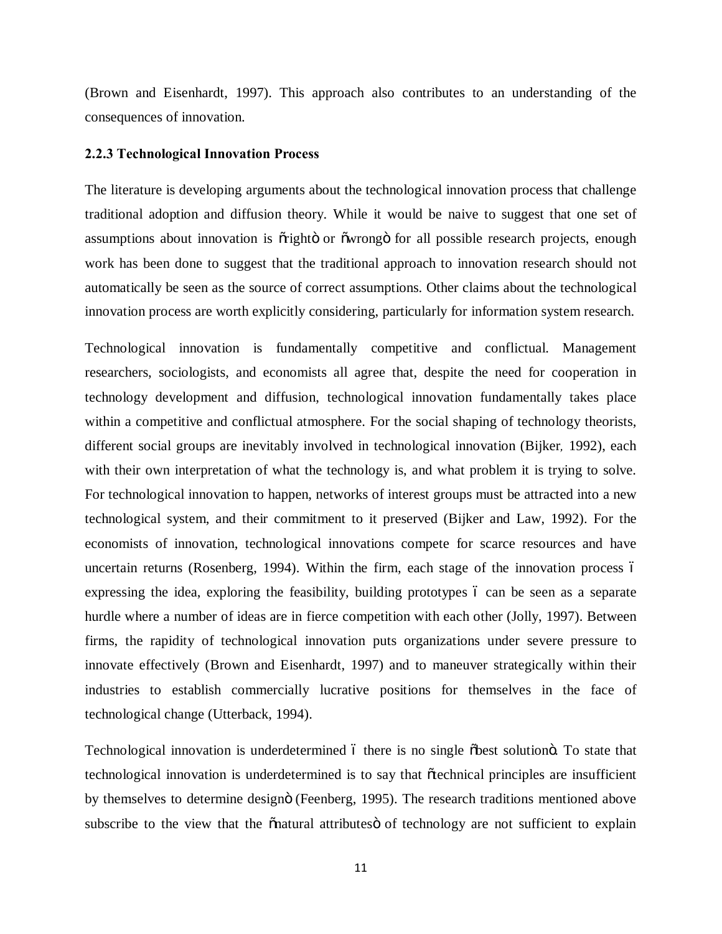(Brown and Eisenhardt, 1997). This approach also contributes to an understanding of the consequences of innovation.

#### **2.2.3 Technological Innovation Process**

The literature is developing arguments about the technological innovation process that challenge traditional adoption and diffusion theory. While it would be naive to suggest that one set of assumptions about innovation is  $\tilde{or}$  giphto or  $\tilde{or}$  are all possible research projects, enough work has been done to suggest that the traditional approach to innovation research should not automatically be seen as the source of correct assumptions. Other claims about the technological innovation process are worth explicitly considering, particularly for information system research.

Technological innovation is fundamentally competitive and conflictual. Management researchers, sociologists, and economists all agree that, despite the need for cooperation in technology development and diffusion, technological innovation fundamentally takes place within a competitive and conflictual atmosphere. For the social shaping of technology theorists, different social groups are inevitably involved in technological innovation (Bijker*,* 1992), each with their own interpretation of what the technology is, and what problem it is trying to solve. For technological innovation to happen, networks of interest groups must be attracted into a new technological system, and their commitment to it preserved (Bijker and Law, 1992). For the economists of innovation, technological innovations compete for scarce resources and have uncertain returns (Rosenberg, 1994). Within the firm, each stage of the innovation process ó expressing the idea, exploring the feasibility, building prototypes 6 can be seen as a separate hurdle where a number of ideas are in fierce competition with each other (Jolly, 1997). Between firms, the rapidity of technological innovation puts organizations under severe pressure to innovate effectively (Brown and Eisenhardt, 1997) and to maneuver strategically within their industries to establish commercially lucrative positions for themselves in the face of technological change (Utterback, 1994).

<span id="page-20-0"></span>Technological innovation is underdetermined 6 there is no single  $\delta$ best solution  $\delta$ . To state that technological innovation is underdetermined is to say that "technical principles are insufficient by themselves to determine design" (Feenberg, 1995). The research traditions mentioned above subscribe to the view that the  $\tilde{c}$  natural attributes of technology are not sufficient to explain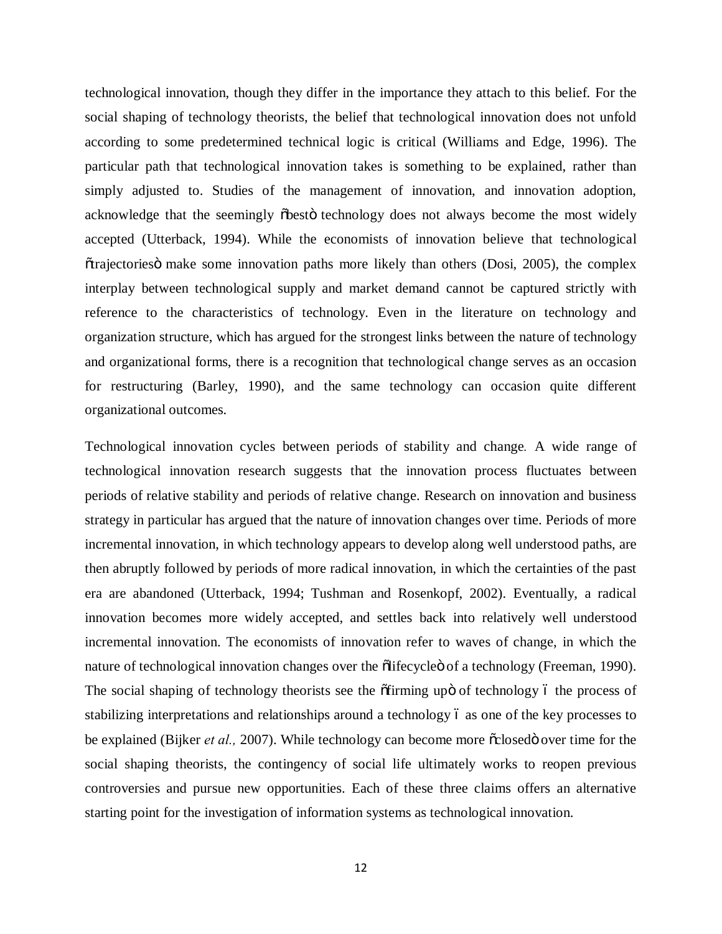technological innovation, though they differ in the importance they attach to this belief. For the social shaping of technology theorists, the belief that technological innovation does not unfold according to some predetermined technical logic is critical (Williams and Edge, 1996). The particular path that technological innovation takes is something to be explained, rather than simply adjusted to. Studies of the management of innovation, and innovation adoption, acknowledge that the seemingly obesto technology does not always become the most widely accepted (Utterback, 1994). While the economists of innovation believe that technological  $\sigma$  otrajectories is make some innovation paths more likely than others (Dosi, 2005), the complex interplay between technological supply and market demand cannot be captured strictly with reference to the characteristics of technology. Even in the literature on technology and organization structure, which has argued for the strongest links between the nature of technology and organizational forms, there is a recognition that technological change serves as an occasion for restructuring (Barley, 1990), and the same technology can occasion quite different organizational outcomes.

Technological innovation cycles between periods of stability and change*.* A wide range of technological innovation research suggests that the innovation process fluctuates between periods of relative stability and periods of relative change. Research on innovation and business strategy in particular has argued that the nature of innovation changes over time. Periods of more incremental innovation, in which technology appears to develop along well understood paths, are then abruptly followed by periods of more radical innovation, in which the certainties of the past era are abandoned (Utterback, 1994; Tushman and Rosenkopf, 2002). Eventually, a radical innovation becomes more widely accepted, and settles back into relatively well understood incremental innovation. The economists of innovation refer to waves of change, in which the nature of technological innovation changes over the other of a technology (Freeman, 1990). The social shaping of technology theorists see the offirming upo of technology 6 the process of stabilizing interpretations and relationships around a technology 6 as one of the key processes to be explained (Bijker *et al.*, 2007). While technology can become more  $\tilde{\alpha}$ closed over time for the social shaping theorists, the contingency of social life ultimately works to reopen previous controversies and pursue new opportunities. Each of these three claims offers an alternative starting point for the investigation of information systems as technological innovation.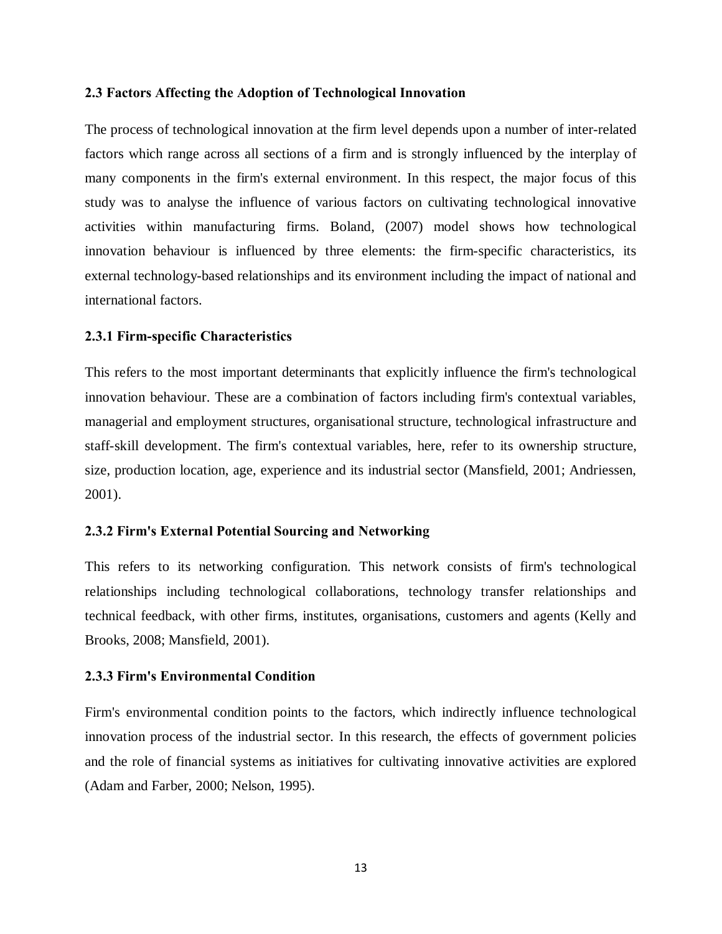#### **2.3 Factors Affecting the Adoption of Technological Innovation**

The process of technological innovation at the firm level depends upon a number of inter-related factors which range across all sections of a firm and is strongly influenced by the interplay of many components in the firm's external environment. In this respect, the major focus of this study was to analyse the influence of various factors on cultivating technological innovative activities within manufacturing firms. Boland, (2007) model shows how technological innovation behaviour is influenced by three elements: the firm-specific characteristics, its external technology-based relationships and its environment including the impact of national and international factors.

#### **2.3.1 Firm-specific Characteristics**

This refers to the most important determinants that explicitly influence the firm's technological innovation behaviour. These are a combination of factors including firm's contextual variables, managerial and employment structures, organisational structure, technological infrastructure and staff-skill development. The firm's contextual variables, here, refer to its ownership structure, size, production location, age, experience and its industrial sector ([Mansfield, 2001;](http://www.emeraldinsight.com/journals.htm?issn=1352-7606&volume=13&issue=4&articleid=1580594&show=html&) Andriessen, 2001).

#### **2.3.2 Firm's External Potential Sourcing and Networking**

This refers to its networking configuration. This network consists of firm's technological relationships including technological collaborations, technology transfer relationships and technical feedback, with other firms, institutes, organisations, customers and agents (Kelly and Brooks, 2008; [Mansfield, 2001](http://www.emeraldinsight.com/journals.htm?issn=1352-7606&volume=13&issue=4&articleid=1580594&show=html&)).

#### **2.3.3 Firm's Environmental Condition**

<span id="page-22-0"></span>Firm's environmental condition points to the factors, which indirectly influence technological innovation process of the industrial sector. In this research, the effects of government policies and the role of financial systems as initiatives for cultivating innovative activities are explored ([Adam and Farber, 2000](http://www.emeraldinsight.com/journals.htm?issn=1352-7606&volume=13&issue=4&articleid=1580594&show=html&); [Nelson, 1995](http://www.emeraldinsight.com/journals.htm?issn=1352-7606&volume=13&issue=4&articleid=1580594&show=html&)).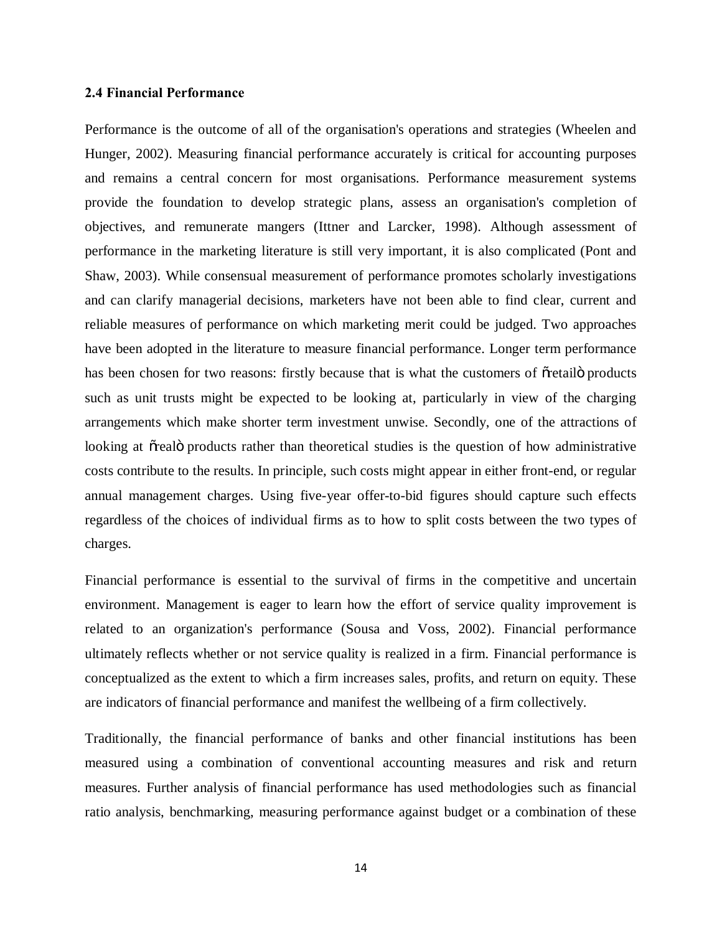#### **2.4 Financial Performance**

Performance is the outcome of all of the organisation's operations and strategies (Wheelen and Hunger, 2002). Measuring financial performance accurately is critical for accounting purposes and remains a central concern for most organisations. Performance measurement systems provide the foundation to develop strategic plans, assess an organisation's completion of objectives, and remunerate mangers (Ittner and Larcker, 1998). Although assessment of performance in the marketing literature is still very important, it is also complicated (Pont and Shaw, 2003). While consensual measurement of performance promotes scholarly investigations and can clarify managerial decisions, marketers have not been able to find clear, current and reliable measures of performance on which marketing merit could be judged. Two approaches have been adopted in the literature to measure financial performance. Longer term performance has been chosen for two reasons: firstly because that is what the customers of overtailly products such as unit trusts might be expected to be looking at, particularly in view of the charging arrangements which make shorter term investment unwise. Secondly, one of the attractions of looking at õrealö products rather than theoretical studies is the question of how administrative costs contribute to the results. In principle, such costs might appear in either front-end, or regular annual management charges. Using five-year offer-to-bid figures should capture such effects regardless of the choices of individual firms as to how to split costs between the two types of charges.

Financial performance is essential to the survival of firms in the competitive and uncertain environment. Management is eager to learn how the effort of service quality improvement is related to an organization's performance (Sousa and Voss, 2002). Financial performance ultimately reflects whether or not service quality is realized in a firm. Financial performance is conceptualized as the extent to which a firm increases sales, profits, and return on equity. These are indicators of financial performance and manifest the wellbeing of a firm collectively.

<span id="page-23-0"></span>Traditionally, the financial performance of banks and other financial institutions has been measured using a combination of conventional accounting measures and risk and return measures. Further analysis of financial performance has used methodologies such as financial ratio analysis, benchmarking, measuring performance against budget or a combination of these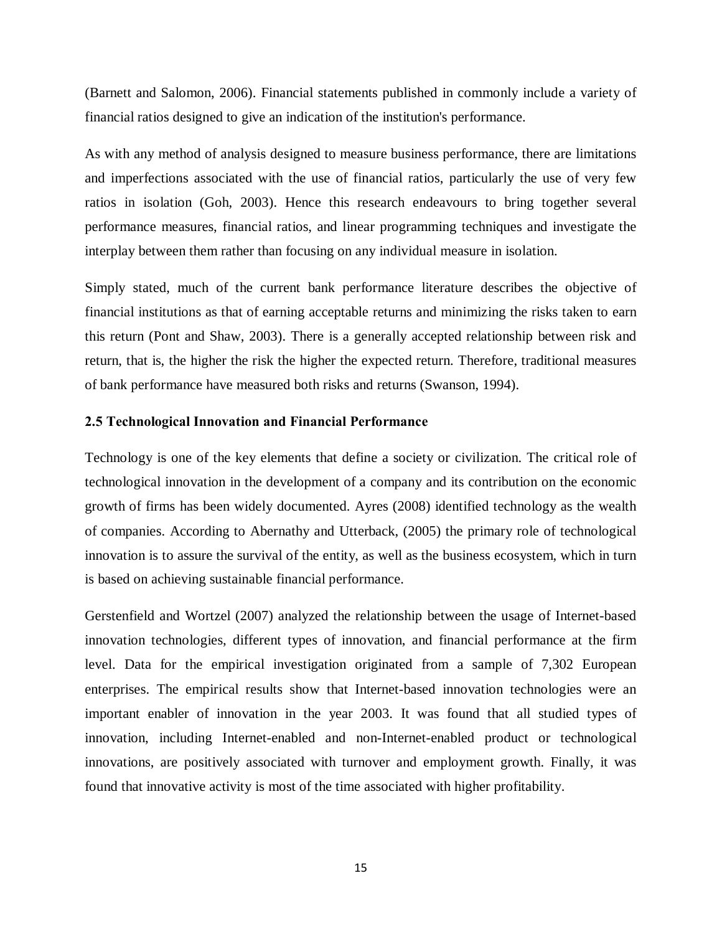(Barnett and Salomon, 2006). Financial statements published in commonly include a variety of financial ratios designed to give an indication of the institution's performance.

As with any method of analysis designed to measure business performance, there are limitations and imperfections associated with the use of financial ratios, particularly the use of very few ratios in isolation (Goh, 2003). Hence this research endeavours to bring together several performance measures, financial ratios, and linear programming techniques and investigate the interplay between them rather than focusing on any individual measure in isolation.

Simply stated, much of the current bank performance literature describes the objective of financial institutions as that of earning acceptable returns and minimizing the risks taken to earn this return (Pont and Shaw, 2003). There is a generally accepted relationship between risk and return, that is, the higher the risk the higher the expected return. Therefore, traditional measures of bank performance have measured both risks and returns (Swanson, 1994).

### **2.5 Technological Innovation and Financial Performance**

Technology is one of the key elements that define a society or civilization. The critical role of technological innovation in the development of a company and its contribution on the economic growth of firms has been widely documented. [Ayres \(2008\)](http://www.emeraldinsight.com/journals.htm?issn=1352-7606&volume=13&issue=4&articleid=1580594&show=html&) identified technology as the wealth of companies. According to [Abernathy and Utterback, \(2005\)](http://www.emeraldinsight.com/journals.htm?issn=1352-7606&volume=13&issue=4&articleid=1580594&show=html&) the primary role of technological innovation is to assure the survival of the entity, as well as the business ecosystem, which in turn is based on achieving sustainable financial performance.

<span id="page-24-0"></span>[Gerstenfield and Wortzel \(2007\)](http://www.emeraldinsight.com/journals.htm?issn=1352-7606&volume=13&issue=4&articleid=1580594&show=html&) analyzed the relationship between the usage of Internet-based innovation technologies, different types of innovation, and financial performance at the firm level. Data for the empirical investigation originated from a sample of 7,302 European enterprises. The empirical results show that Internet-based innovation technologies were an important enabler of innovation in the year 2003. It was found that all studied types of innovation, including Internet-enabled and non-Internet-enabled product or technological innovations, are positively associated with turnover and employment growth. Finally, it was found that innovative activity is most of the time associated with higher profitability.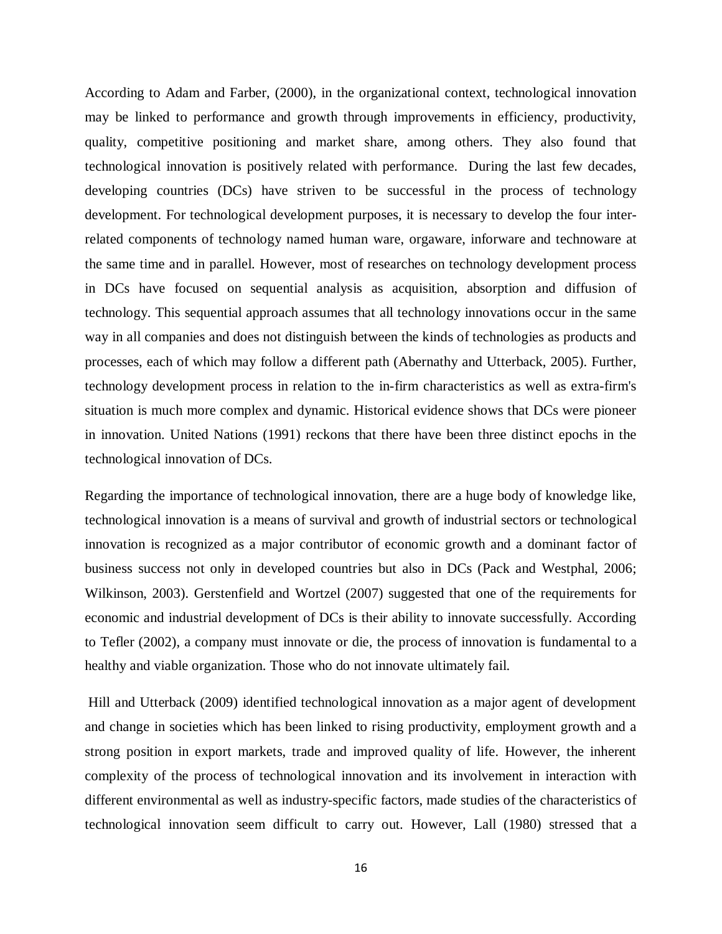According to [Adam and Farber, \(2000\)](http://www.emeraldinsight.com/journals.htm?issn=1352-7606&volume=13&issue=4&articleid=1580594&show=html&), in the organizational context, technological innovation may be linked to performance and growth through improvements in efficiency, [productivity,](http://en.wikipedia.org/wiki/Productivity) [quality,](http://en.wikipedia.org/wiki/Quality_%28business%29) [competitive positioning](http://en.wikipedia.org/w/index.php?title=Competitive_positioning&action=edit&redlink=1) and [market share,](http://en.wikipedia.org/wiki/Market_share) among others. They also found that technological innovation is positively related with performance. During the last few decades, developing countries (DCs) have striven to be successful in the process of technology development. For technological development purposes, it is necessary to develop the four interrelated components of technology named human ware, orgaware, inforware and technoware at the same time and in parallel. However, most of researches on technology development process in DCs have focused on sequential analysis as acquisition, absorption and diffusion of technology. This sequential approach assumes that all technology innovations occur in the same way in all companies and does not distinguish between the kinds of technologies as products and processes, each of which may follow a different path ([Abernathy and Utterback, 2005](http://www.emeraldinsight.com/journals.htm?issn=1352-7606&volume=13&issue=4&articleid=1580594&show=html&)). Further, technology development process in relation to the in-firm characteristics as well as extra-firm's situation is much more complex and dynamic. Historical evidence shows that DCs were pioneer in innovation. [United Nations \(1991\)](http://www.emeraldinsight.com/journals.htm?issn=1352-7606&volume=13&issue=4&articleid=1580594&show=html&) reckons that there have been three distinct epochs in the technological innovation of DCs.

Regarding the importance of technological innovation, there are a huge body of knowledge like, technological innovation is a means of survival and growth of industrial sectors or technological innovation is recognized as a major contributor of economic growth and a dominant factor of business success not only in developed countries but also in DCs ([Pack and Westphal, 2006;](http://www.emeraldinsight.com/journals.htm?issn=1352-7606&volume=13&issue=4&articleid=1580594&show=html&) [Wilkinson, 2003\)](http://www.emeraldinsight.com/journals.htm?issn=1352-7606&volume=13&issue=4&articleid=1580594&show=html&). [Gerstenfield and Wortzel \(2007\)](http://www.emeraldinsight.com/journals.htm?issn=1352-7606&volume=13&issue=4&articleid=1580594&show=html&) suggested that one of the requirements for economic and industrial development of DCs is their ability to innovate successfully. According to [Tefler \(2002\),](http://www.emeraldinsight.com/journals.htm?issn=1352-7606&volume=13&issue=4&articleid=1580594&show=html&) a company must innovate or die, the process of innovation is fundamental to a healthy and viable organization. Those who do not innovate ultimately fail.

[Hill and Utterback \(2009\)](http://www.emeraldinsight.com/journals.htm?issn=1352-7606&volume=13&issue=4&articleid=1580594&show=html&) identified technological innovation as a major agent of development and change in societies which has been linked to rising productivity, employment growth and a strong position in export markets, trade and improved quality of life. However, the inherent complexity of the process of technological innovation and its involvement in interaction with different environmental as well as industry-specific factors, made studies of the characteristics of technological innovation seem difficult to carry out. However, [Lall \(1980\)](http://www.emeraldinsight.com/journals.htm?issn=1352-7606&volume=13&issue=4&articleid=1580594&show=html&) stressed that a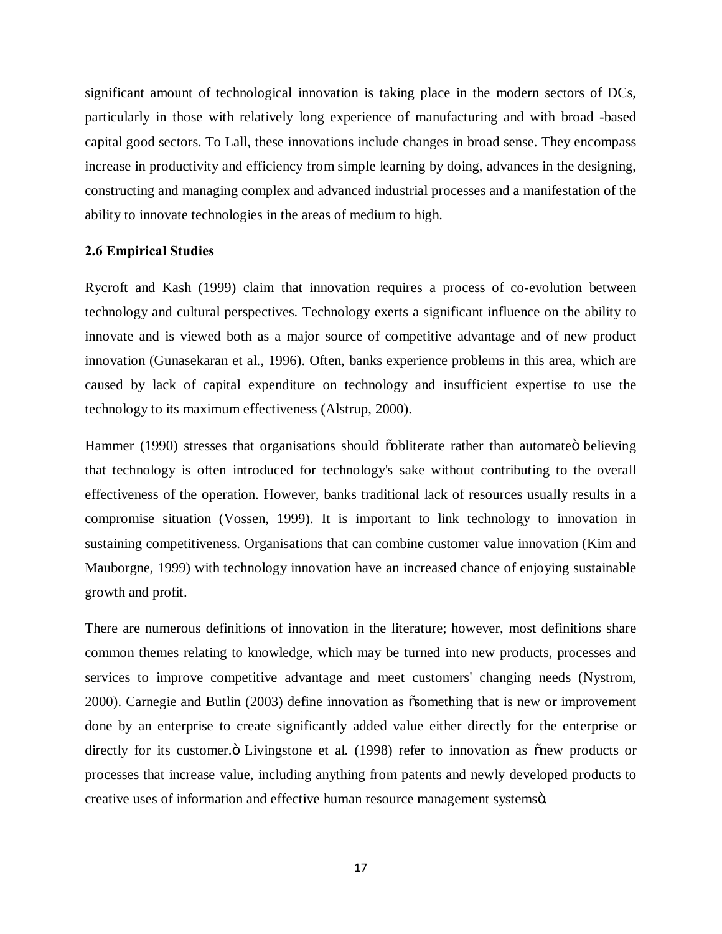significant amount of technological innovation is taking place in the modern sectors of DCs, particularly in those with relatively long experience of manufacturing and with broad -based capital good sectors. To Lall, these innovations include changes in broad sense. They encompass increase in productivity and efficiency from simple learning by doing, advances in the designing, constructing and managing complex and advanced industrial processes and a manifestation of the ability to innovate technologies in the areas of medium to high.

#### **2.6 Empirical Studies**

[Rycroft and Kash \(1999\)](http://www.emeraldinsight.com/Insight/ViewContentServlet?contentType=Article&Filename=Published/EmeraldFullTextArticle/Articles/2200080302.html) claim that innovation requires a process of co-evolution between technology and cultural perspectives. Technology exerts a significant influence on the ability to innovate and is viewed both as a major source of competitive advantage and of new product innovation (Gunasekaran et al., 1996). Often, banks experience problems in this area, which are caused by lack of capital expenditure on technology and insufficient expertise to use the technology to its maximum effectiveness [\(Alstrup, 2000](http://www.emeraldinsight.com/Insight/ViewContentServlet?contentType=Article&Filename=Published/EmeraldFullTextArticle/Articles/2200080302.html)).

[Hammer \(1990\)](http://www.emeraldinsight.com/Insight/ViewContentServlet?contentType=Article&Filename=Published/EmeraldFullTextArticle/Articles/2200080302.html) stresses that organisations should  $\ddot{\text{o}}$  bootherate rather than automated believing that technology is often introduced for technology's sake without contributing to the overall effectiveness of the operation. However, banks traditional lack of resources usually results in a compromise situation [\(Vossen, 1999](http://www.emeraldinsight.com/Insight/ViewContentServlet?contentType=Article&Filename=Published/EmeraldFullTextArticle/Articles/2200080302.html)). It is important to link technology to innovation in sustaining competitiveness. Organisations that can combine customer value innovation ([Kim and](http://www.emeraldinsight.com/Insight/ViewContentServlet?contentType=Article&Filename=Published/EmeraldFullTextArticle/Articles/2200080302.html)  [Mauborgne, 1999\)](http://www.emeraldinsight.com/Insight/ViewContentServlet?contentType=Article&Filename=Published/EmeraldFullTextArticle/Articles/2200080302.html) with technology innovation have an increased chance of enjoying sustainable growth and profit.

<span id="page-26-0"></span>There are numerous definitions of innovation in the literature; however, most definitions share common themes relating to knowledge, which may be turned into new products, processes and services to improve competitive advantage and meet customers' changing needs ([Nystrom,](http://www.emeraldinsight.com/Insight/ViewContentServlet?contentType=Article&Filename=Published/EmeraldFullTextArticle/Articles/0680150503.html)  [2000](http://www.emeraldinsight.com/Insight/ViewContentServlet?contentType=Article&Filename=Published/EmeraldFullTextArticle/Articles/0680150503.html)). [Carnegie and Butlin \(2003\)](http://www.emeraldinsight.com/Insight/ViewContentServlet?contentType=Article&Filename=Published/EmeraldFullTextArticle/Articles/0680150503.html) define innovation as  $\tilde{\alpha}$ something that is new or improvement done by an enterprise to create significantly added value either directly for the enterprise or directly for its customer. Ö [Livingstone et al.](http://www.emeraldinsight.com/Insight/ViewContentServlet?contentType=Article&Filename=Published/EmeraldFullTextArticle/Articles/0680150503.html) (1998) refer to innovation as onew products or processes that increase value, including anything from patents and newly developed products to creative uses of information and effective human resource management systemsö.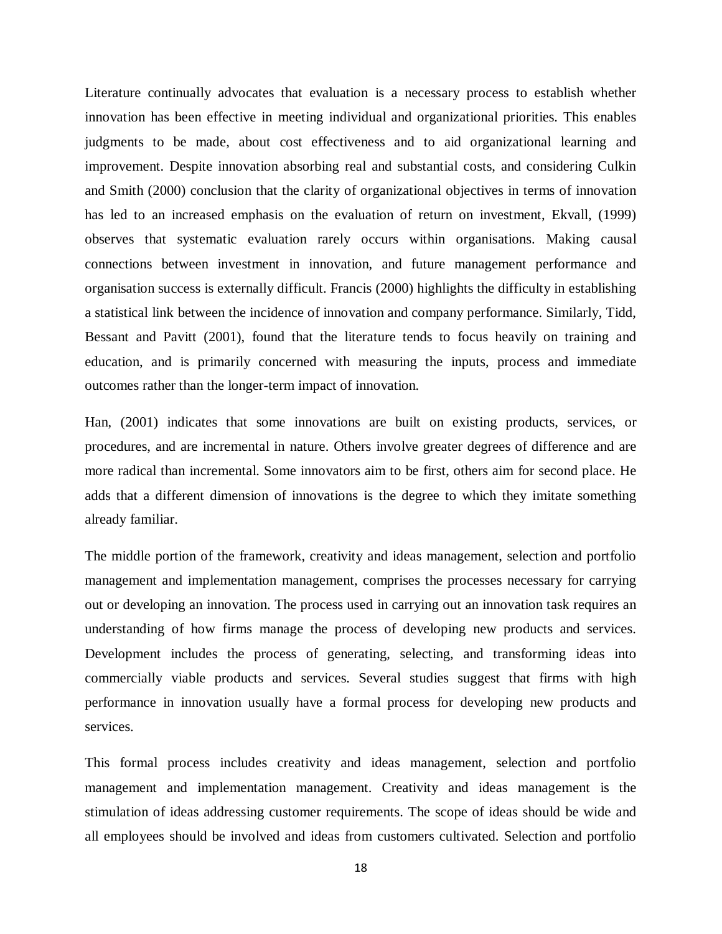Literature continually advocates that evaluation is a necessary process to establish whether innovation has been effective in meeting individual and organizational priorities. This enables judgments to be made, about cost effectiveness and to aid organizational learning and improvement. Despite innovation absorbing real and substantial costs, and considering Culkin and Smith (2000) conclusion that the clarity of organizational objectives in terms of innovation has led to an increased emphasis on the evaluation of return on investment, Ekvall, (1999) observes that systematic evaluation rarely occurs within organisations. Making causal connections between investment in innovation, and future management performance and organisation success is externally difficult. Francis (2000) highlights the difficulty in establishing a statistical link between the incidence of innovation and company performance. Similarly, Tidd, Bessant and Pavitt (2001), found that the literature tends to focus heavily on training and education, and is primarily concerned with measuring the inputs, process and immediate outcomes rather than the longer-term impact of innovation.

Han, (2001) indicates that some innovations are built on existing products, services, or procedures, and are incremental in nature. Others involve greater degrees of difference and are more radical than incremental. Some innovators aim to be first, others aim for second place. He adds that a different dimension of innovations is the degree to which they imitate something already familiar.

The middle portion of the framework, creativity and ideas management, selection and portfolio management and implementation management, comprises the processes necessary for carrying out or developing an innovation. The process used in carrying out an innovation task requires an understanding of how firms manage the process of developing new products and services. Development includes the process of generating, selecting, and transforming ideas into commercially viable products and services. Several studies suggest that firms with high performance in innovation usually have a formal process for developing new products and services.

This formal process includes creativity and ideas management, selection and portfolio management and implementation management. Creativity and ideas management is the stimulation of ideas addressing customer requirements. The scope of ideas should be wide and all employees should be involved and ideas from customers cultivated. Selection and portfolio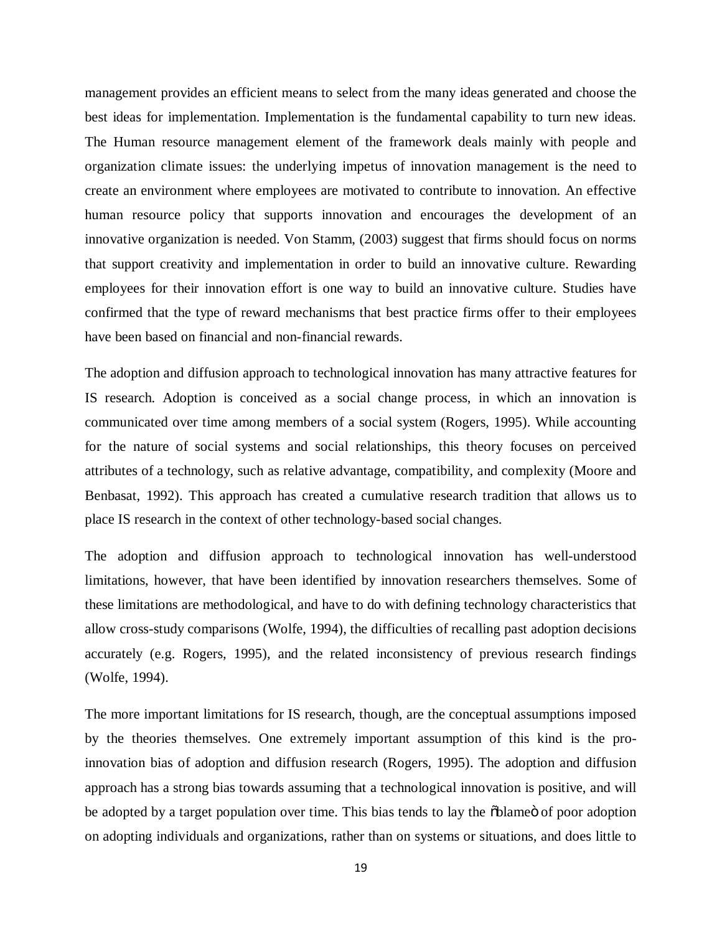management provides an efficient means to select from the many ideas generated and choose the best ideas for implementation. Implementation is the fundamental capability to turn new ideas. The Human resource management element of the framework deals mainly with people and organization climate issues: the underlying impetus of innovation management is the need to create an environment where employees are motivated to contribute to innovation. An effective human resource policy that supports innovation and encourages the development of an innovative organization is needed. Von Stamm, (2003) suggest that firms should focus on norms that support creativity and implementation in order to build an innovative culture. Rewarding employees for their innovation effort is one way to build an innovative culture. Studies have confirmed that the type of reward mechanisms that best practice firms offer to their employees have been based on financial and non-financial rewards.

The adoption and diffusion approach to technological innovation has many attractive features for IS research. Adoption is conceived as a social change process, in which an innovation is communicated over time among members of a social system (Rogers, 1995). While accounting for the nature of social systems and social relationships, this theory focuses on perceived attributes of a technology, such as relative advantage, compatibility, and complexity (Moore and Benbasat, 1992). This approach has created a cumulative research tradition that allows us to place IS research in the context of other technology-based social changes.

The adoption and diffusion approach to technological innovation has well-understood limitations, however, that have been identified by innovation researchers themselves. Some of these limitations are methodological, and have to do with defining technology characteristics that allow cross-study comparisons (Wolfe, 1994), the difficulties of recalling past adoption decisions accurately (e.g. Rogers, 1995), and the related inconsistency of previous research findings (Wolfe, 1994).

The more important limitations for IS research, though, are the conceptual assumptions imposed by the theories themselves. One extremely important assumption of this kind is the proinnovation bias of adoption and diffusion research (Rogers, 1995). The adoption and diffusion approach has a strong bias towards assuming that a technological innovation is positive, and will be adopted by a target population over time. This bias tends to lay the  $\delta$ blame $\ddot{\text{o}}$  of poor adoption on adopting individuals and organizations, rather than on systems or situations, and does little to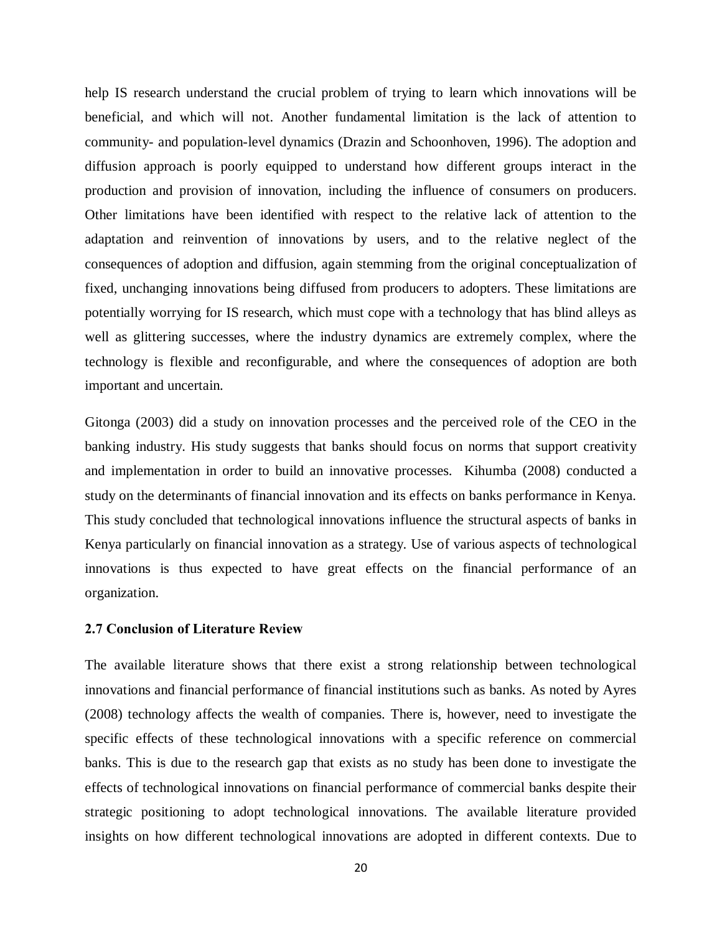help IS research understand the crucial problem of trying to learn which innovations will be beneficial, and which will not. Another fundamental limitation is the lack of attention to community- and population-level dynamics (Drazin and Schoonhoven, 1996). The adoption and diffusion approach is poorly equipped to understand how different groups interact in the production and provision of innovation, including the influence of consumers on producers. Other limitations have been identified with respect to the relative lack of attention to the adaptation and reinvention of innovations by users, and to the relative neglect of the consequences of adoption and diffusion, again stemming from the original conceptualization of fixed, unchanging innovations being diffused from producers to adopters. These limitations are potentially worrying for IS research, which must cope with a technology that has blind alleys as well as glittering successes, where the industry dynamics are extremely complex, where the technology is flexible and reconfigurable, and where the consequences of adoption are both important and uncertain.

Gitonga (2003) did a study on innovation processes and the perceived role of the CEO in the banking industry. His study suggests that banks should focus on norms that support creativity and implementation in order to build an innovative processes. Kihumba (2008) conducted a study on the determinants of financial innovation and its effects on banks performance in Kenya. This study concluded that technological innovations influence the structural aspects of banks in Kenya particularly on financial innovation as a strategy. Use of various aspects of technological innovations is thus expected to have great effects on the financial performance of an organization.

#### **2.7 Conclusion of Literature Review**

<span id="page-29-0"></span>The available literature shows that there exist a strong relationship between technological innovations and financial performance of financial institutions such as banks. As noted by [Ayres](http://www.emeraldinsight.com/journals.htm?issn=1352-7606&volume=13&issue=4&articleid=1580594&show=html&)  [\(2008\)](http://www.emeraldinsight.com/journals.htm?issn=1352-7606&volume=13&issue=4&articleid=1580594&show=html&) technology affects the wealth of companies. There is, however, need to investigate the specific effects of these technological innovations with a specific reference on commercial banks. This is due to the research gap that exists as no study has been done to investigate the effects of technological innovations on financial performance of commercial banks despite their strategic positioning to adopt technological innovations. The available literature provided insights on how different technological innovations are adopted in different contexts. Due to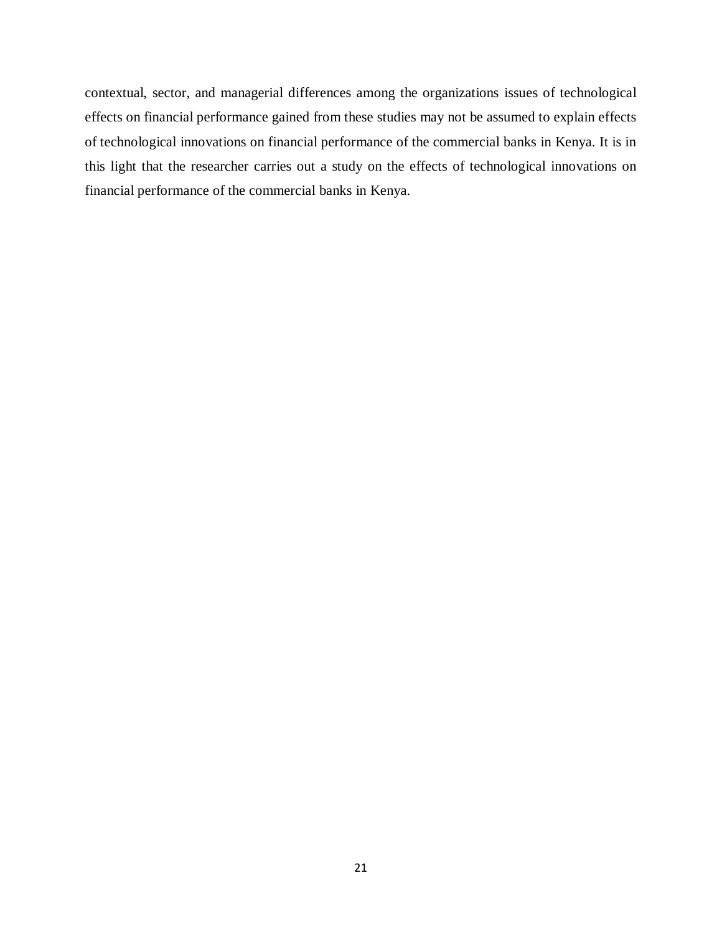contextual, sector, and managerial differences among the organizations issues of technological effects on financial performance gained from these studies may not be assumed to explain effects of technological innovations on financial performance of the commercial banks in Kenya. It is in this light that the researcher carries out a study on the effects of technological innovations on financial performance of the commercial banks in Kenya.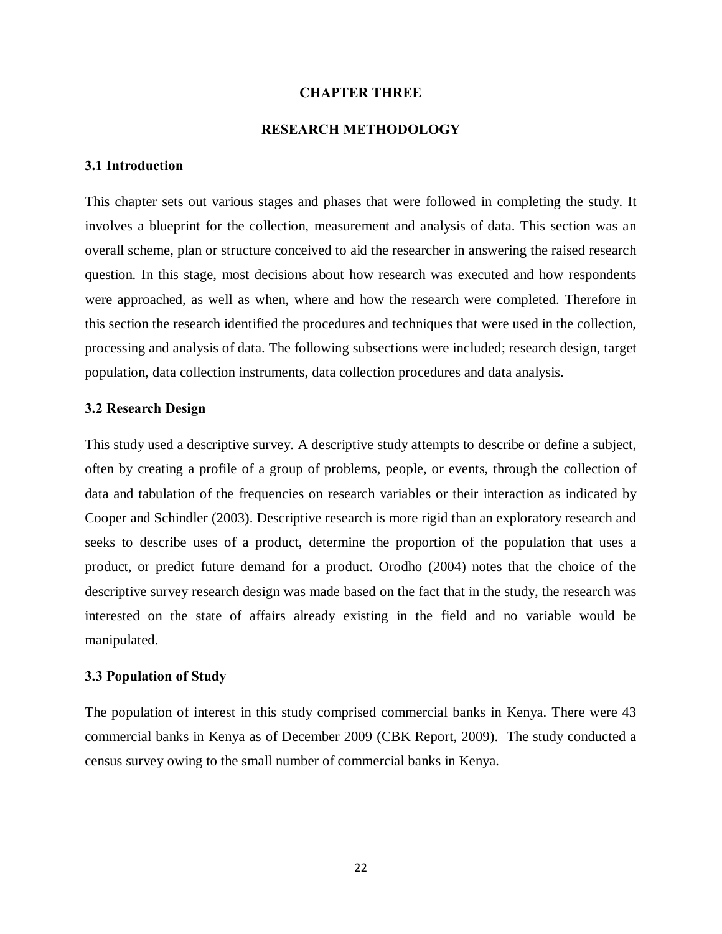### **CHAPTER THREE**

#### **RESEARCH METHODOLOGY**

### **3.1 Introduction**

This chapter sets out various stages and phases that were followed in completing the study. It involves a blueprint for the collection, measurement and analysis of data. This section was an overall scheme, plan or structure conceived to aid the researcher in answering the raised research question. In this stage, most decisions about how research was executed and how respondents were approached, as well as when, where and how the research were completed. Therefore in this section the research identified the procedures and techniques that were used in the collection, processing and analysis of data. The following subsections were included; research design, target population, data collection instruments, data collection procedures and data analysis.

#### **3.2 Research Design**

This study used a descriptive survey. A descriptive study attempts to describe or define a subject, often by creating a profile of a group of problems, people, or events, through the collection of data and tabulation of the frequencies on research variables or their interaction as indicated by Cooper and Schindler (2003). Descriptive research is more rigid than an exploratory research and seeks to describe uses of a product, determine the proportion of the population that uses a product, or predict future demand for a product. Orodho (2004) notes that the choice of the descriptive survey research design was made based on the fact that in the study, the research was interested on the state of affairs already existing in the field and no variable would be manipulated.

### <span id="page-31-1"></span><span id="page-31-0"></span>**3.3 Population of Study**

<span id="page-31-2"></span>The population of interest in this study comprised commercial banks in Kenya. There were 43 commercial banks in Kenya as of December 2009 (CBK Report, 2009). The study conducted a census survey owing to the small number of commercial banks in Kenya.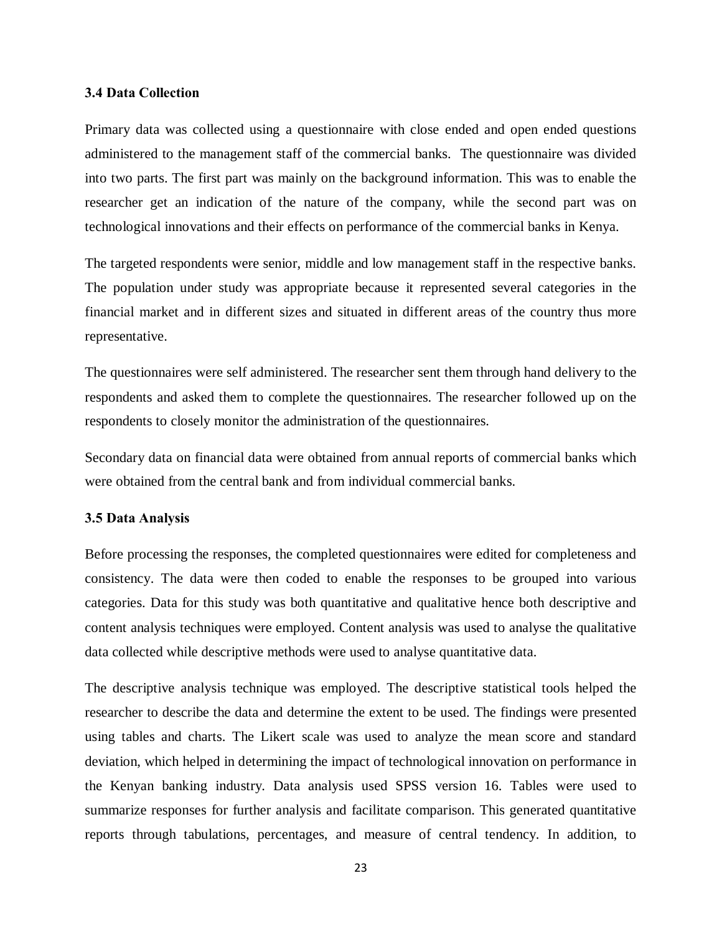#### **3.4 Data Collection**

Primary data was collected using a questionnaire with close ended and open ended questions administered to the management staff of the commercial banks. The questionnaire was divided into two parts. The first part was mainly on the background information. This was to enable the researcher get an indication of the nature of the company, while the second part was on technological innovations and their effects on performance of the commercial banks in Kenya.

The targeted respondents were senior, middle and low management staff in the respective banks. The population under study was appropriate because it represented several categories in the financial market and in different sizes and situated in different areas of the country thus more representative.

The questionnaires were self administered. The researcher sent them through hand delivery to the respondents and asked them to complete the questionnaires. The researcher followed up on the respondents to closely monitor the administration of the questionnaires.

Secondary data on financial data were obtained from annual reports of commercial banks which were obtained from the central bank and from individual commercial banks.

#### **3.5 Data Analysis**

Before processing the responses, the completed questionnaires were edited for completeness and consistency. The data were then coded to enable the responses to be grouped into various categories. Data for this study was both quantitative and qualitative hence both descriptive and content analysis techniques were employed. Content analysis was used to analyse the qualitative data collected while descriptive methods were used to analyse quantitative data.

<span id="page-32-0"></span>The descriptive analysis technique was employed. The descriptive statistical tools helped the researcher to describe the data and determine the extent to be used. The findings were presented using tables and charts. The Likert scale was used to analyze the mean score and standard deviation, which helped in determining the impact of technological innovation on performance in the Kenyan banking industry. Data analysis used SPSS version 16. Tables were used to summarize responses for further analysis and facilitate comparison. This generated quantitative reports through tabulations, percentages, and measure of central tendency. In addition, to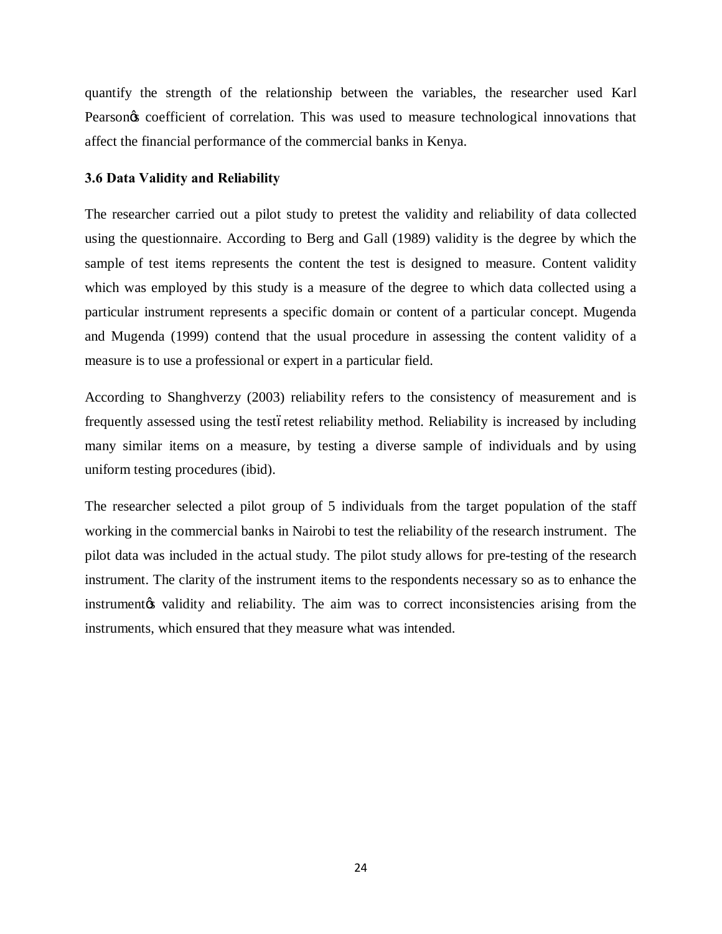quantify the strength of the relationship between the variables, the researcher used Karl Pearson ts coefficient of correlation. This was used to measure technological innovations that affect the financial performance of the commercial banks in Kenya.

## **3.6 Data Validity and Reliability**

The researcher carried out a pilot study to pretest the validity and reliability of data collected using the questionnaire. According to Berg and Gall (1989) validity is the degree by which the sample of test items represents the content the test is designed to measure. Content validity which was employed by this study is a measure of the degree to which data collected using a particular instrument represents a specific domain or content of a particular concept. Mugenda and Mugenda (1999) contend that the usual procedure in assessing the content validity of a measure is to use a professional or expert in a particular field.

According to Shanghverzy (2003) reliability refers to the consistency of measurement and is frequently assessed using the test of retestion reterest reliability method. Reliability is increased by including many similar items on a measure, by testing a diverse sample of individuals and by using uniform testing procedures (ibid).

<span id="page-33-0"></span>The researcher selected a pilot group of 5 individuals from the target population of the staff working in the commercial banks in Nairobi to test the reliability of the research instrument. The pilot data was included in the actual study. The pilot study allows for pre-testing of the research instrument. The clarity of the instrument items to the respondents necessary so as to enhance the instrument of validity and reliability. The aim was to correct inconsistencies arising from the instruments, which ensured that they measure what was intended.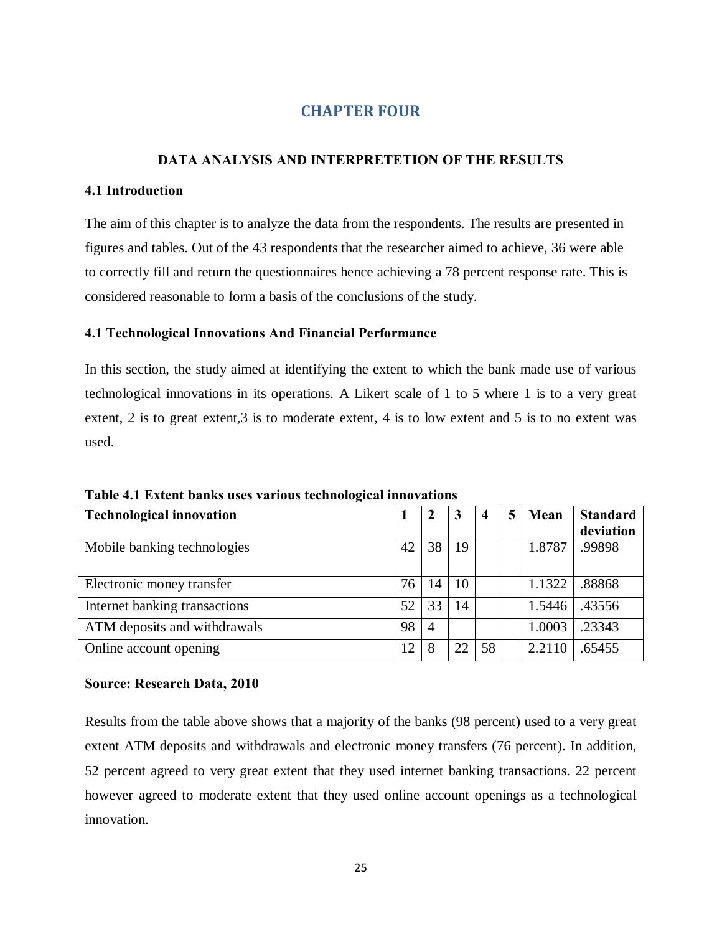# **CHAPTER FOUR**

# **DATA ANALYSIS AND INTERPRETETION OF THE RESULTS**

## **4.1 Introduction**

The aim of this chapter is to analyze the data from the respondents. The results are presented in figures and tables. Out of the 43 respondents that the researcher aimed to achieve, 36 were able to correctly fill and return the questionnaires hence achieving a 78 percent response rate. This is considered reasonable to form a basis of the conclusions of the study.

## **4.1 Technological Innovations And Financial Performance**

In this section, the study aimed at identifying the extent to which the bank made use of various technological innovations in its operations. A Likert scale of 1 to 5 where 1 is to a very great extent, 2 is to great extent, 3 is to moderate extent, 4 is to low extent and 5 is to no extent was used.

| <b>Technological innovation</b> |    |                | 3  | $\overline{4}$ | 5 | Mean   | <b>Standard</b> |
|---------------------------------|----|----------------|----|----------------|---|--------|-----------------|
|                                 |    |                |    |                |   |        | deviation       |
| Mobile banking technologies     | 42 | 38             | 19 |                |   | 1.8787 | .99898          |
|                                 |    |                |    |                |   |        |                 |
| Electronic money transfer       | 76 | 14             | 10 |                |   | 1.1322 | .88868          |
| Internet banking transactions   | 52 | 33             | 14 |                |   | 1.5446 | .43556          |
| ATM deposits and withdrawals    | 98 | $\overline{A}$ |    |                |   | 1.0003 | .23343          |
| Online account opening          | 12 | 8              | 22 | 58             |   | 2.2110 | .65455          |

**Table 4.1 Extent banks uses various technological innovations**

## <span id="page-34-0"></span>**Source: Research Data, 2010**

<span id="page-34-4"></span><span id="page-34-3"></span><span id="page-34-2"></span><span id="page-34-1"></span>Results from the table above shows that a majority of the banks (98 percent) used to a very great extent ATM deposits and withdrawals and electronic money transfers (76 percent). In addition, 52 percent agreed to very great extent that they used internet banking transactions. 22 percent however agreed to moderate extent that they used online account openings as a technological innovation.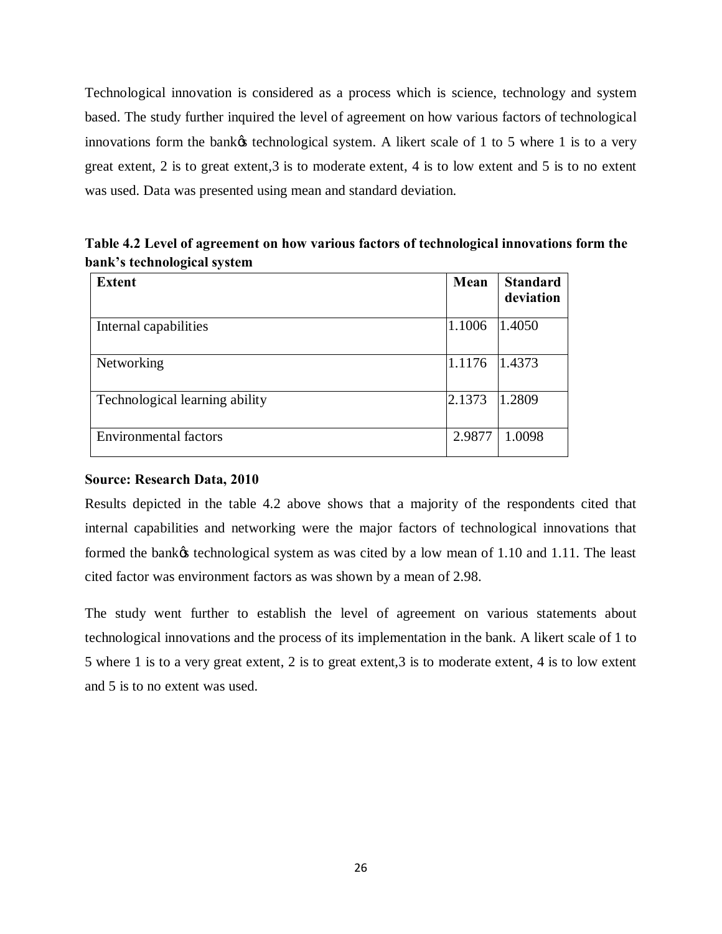Technological innovation is considered as a process which is science, technology and system based. The study further inquired the level of agreement on how various factors of technological innovations form the bank $\alpha$  technological system. A likert scale of 1 to 5 where 1 is to a very great extent, 2 is to great extent, 3 is to moderate extent, 4 is to low extent and 5 is to no extent was used. Data was presented using mean and standard deviation.

**Table 4.2 Level of agreement on how various factors of technological innovations form the bank's technological system**

| <b>Extent</b>                  | Mean   | <b>Standard</b><br>deviation |
|--------------------------------|--------|------------------------------|
| Internal capabilities          | 1.1006 | 1.4050                       |
| Networking                     | 1.1176 | 1.4373                       |
| Technological learning ability | 2.1373 | 1.2809                       |
| <b>Environmental factors</b>   | 2.9877 | 1.0098                       |

## **Source: Research Data, 2010**

Results depicted in the table 4.2 above shows that a majority of the respondents cited that internal capabilities and networking were the major factors of technological innovations that formed the bank $\alpha$  technological system as was cited by a low mean of 1.10 and 1.11. The least cited factor was environment factors as was shown by a mean of 2.98.

<span id="page-35-0"></span>The study went further to establish the level of agreement on various statements about technological innovations and the process of its implementation in the bank. A likert scale of 1 to 5 where 1 is to a very great extent, 2 is to great extent,3 is to moderate extent, 4 is to low extent and 5 is to no extent was used.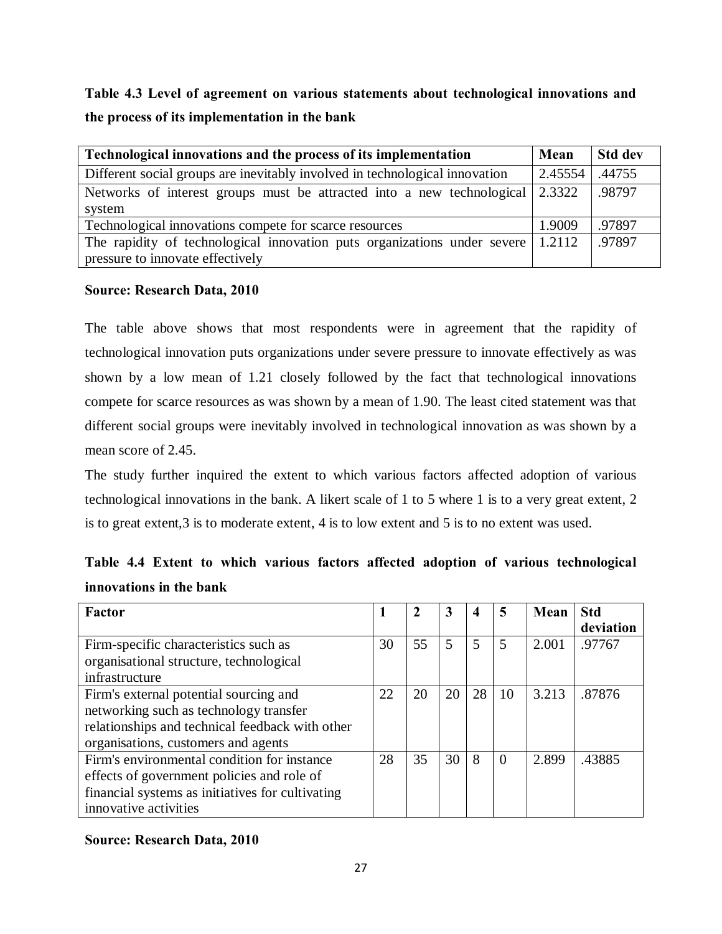**Table 4.3 Level of agreement on various statements about technological innovations and the process of its implementation in the bank**

| Technological innovations and the process of its implementation                                 | Mean    | <b>Std dev</b> |
|-------------------------------------------------------------------------------------------------|---------|----------------|
| Different social groups are inevitably involved in technological innovation                     | 2.45554 | .44755         |
| Networks of interest groups must be attracted into a new technological 2.3322                   |         | .98797         |
| system                                                                                          |         |                |
| Technological innovations compete for scarce resources                                          | 1.9009  | .97897         |
| The rapidity of technological innovation puts organizations under severe $\vert 1.2112 \rangle$ |         | .97897         |
| pressure to innovate effectively                                                                |         |                |

## **Source: Research Data, 2010**

The table above shows that most respondents were in agreement that the rapidity of technological innovation puts organizations under severe pressure to innovate effectively as was shown by a low mean of 1.21 closely followed by the fact that technological innovations compete for scarce resources as was shown by a mean of 1.90. The least cited statement was that different social groups were inevitably involved in technological innovation as was shown by a mean score of 2.45.

<span id="page-36-0"></span>The study further inquired the extent to which various factors affected adoption of various technological innovations in the bank. A likert scale of 1 to 5 where 1 is to a very great extent, 2 is to great extent,3 is to moderate extent, 4 is to low extent and 5 is to no extent was used.

<span id="page-36-1"></span>

|                         |  |  |  |  | Table 4.4 Extent to which various factors affected adoption of various technological |
|-------------------------|--|--|--|--|--------------------------------------------------------------------------------------|
| innovations in the bank |  |  |  |  |                                                                                      |

| <b>Factor</b>                                    |    |    | 3  | 4  | 5        | Mean  | <b>Std</b> |
|--------------------------------------------------|----|----|----|----|----------|-------|------------|
|                                                  |    |    |    |    |          |       | deviation  |
| Firm-specific characteristics such as            | 30 | 55 | 5  | 5  | 5        | 2.001 | .97767     |
| organisational structure, technological          |    |    |    |    |          |       |            |
| infrastructure                                   |    |    |    |    |          |       |            |
| Firm's external potential sourcing and           | 22 | 20 | 20 | 28 | 10       | 3.213 | .87876     |
| networking such as technology transfer           |    |    |    |    |          |       |            |
| relationships and technical feedback with other  |    |    |    |    |          |       |            |
| organisations, customers and agents              |    |    |    |    |          |       |            |
| Firm's environmental condition for instance      | 28 | 35 | 30 | 8  | $\theta$ | 2.899 | .43885     |
| effects of government policies and role of       |    |    |    |    |          |       |            |
| financial systems as initiatives for cultivating |    |    |    |    |          |       |            |
| innovative activities                            |    |    |    |    |          |       |            |

# **Source: Research Data, 2010**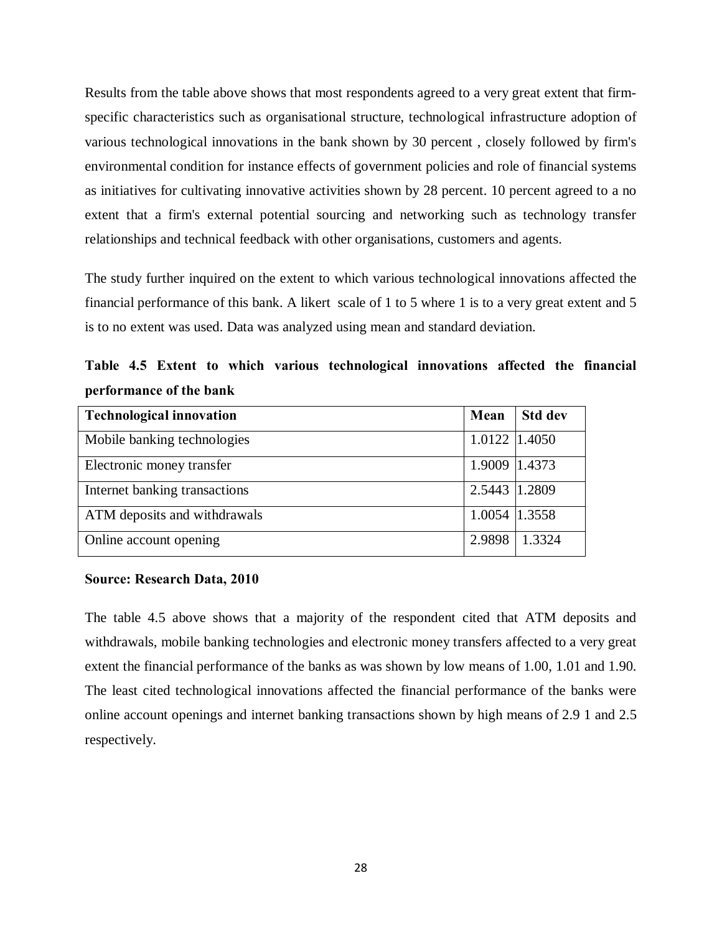Results from the table above shows that most respondents agreed to a very great extent that firmspecific characteristics such as organisational structure, technological infrastructure adoption of various technological innovations in the bank shown by 30 percent , closely followed by firm's environmental condition for instance effects of government policies and role of financial systems as initiatives for cultivating innovative activities shown by 28 percent. 10 percent agreed to a no extent that a firm's external potential sourcing and networking such as technology transfer relationships and technical feedback with other organisations, customers and agents.

The study further inquired on the extent to which various technological innovations affected the financial performance of this bank. A likert scale of 1 to 5 where 1 is to a very great extent and 5 is to no extent was used. Data was analyzed using mean and standard deviation.

<span id="page-37-0"></span>**Table 4.5 Extent to which various technological innovations affected the financial performance of the bank**

| <b>Technological innovation</b> | Mean          | <b>Std dev</b> |
|---------------------------------|---------------|----------------|
| Mobile banking technologies     | 1.0122 1.4050 |                |
| Electronic money transfer       | 1.9009 1.4373 |                |
| Internet banking transactions   | 2.5443 1.2809 |                |
| ATM deposits and withdrawals    | 1.0054 1.3558 |                |
| Online account opening          | 2.9898        | 1.3324         |

#### **Source: Research Data, 2010**

The table 4.5 above shows that a majority of the respondent cited that ATM deposits and withdrawals, mobile banking technologies and electronic money transfers affected to a very great extent the financial performance of the banks as was shown by low means of 1.00, 1.01 and 1.90. The least cited technological innovations affected the financial performance of the banks were online account openings and internet banking transactions shown by high means of 2.9 1 and 2.5 respectively.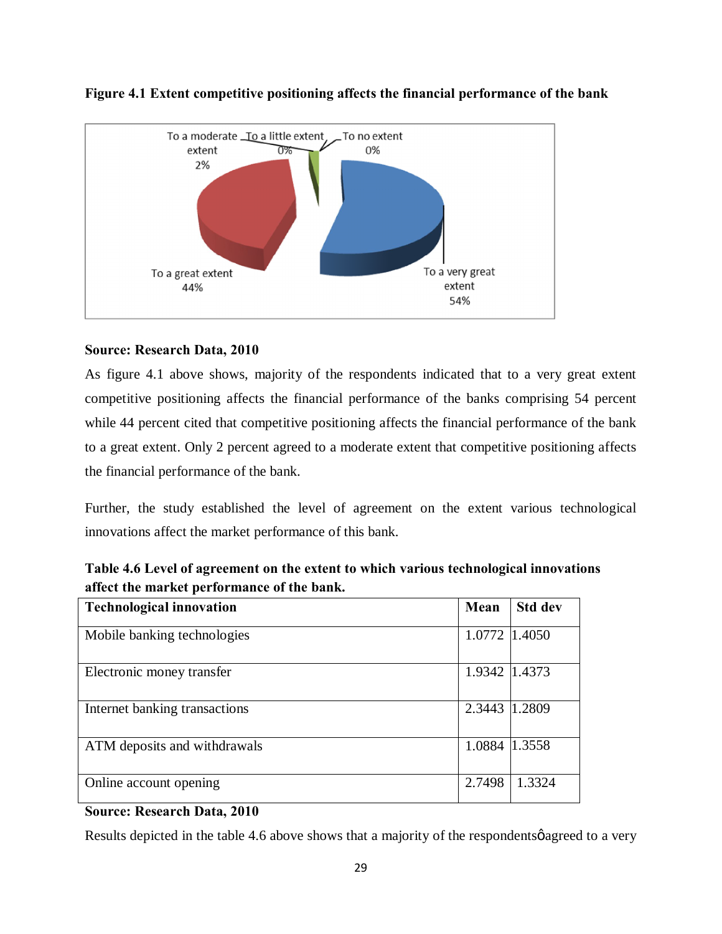

# **Figure 4.1 Extent competitive positioning affects the financial performance of the bank**

# **Source: Research Data, 2010**

As figure 4.1 above shows, majority of the respondents indicated that to a very great extent competitive positioning affects the financial performance of the banks comprising 54 percent while 44 percent cited that competitive positioning affects the financial performance of the bank to a great extent. Only 2 percent agreed to a moderate extent that competitive positioning affects the financial performance of the bank.

Further, the study established the level of agreement on the extent various technological innovations affect the market performance of this bank.

| Table 4.6 Level of agreement on the extent to which various technological innovations |
|---------------------------------------------------------------------------------------|
| affect the market performance of the bank.                                            |

| <b>Technological innovation</b> | Mean          | <b>Std dev</b> |
|---------------------------------|---------------|----------------|
| Mobile banking technologies     | 1.0772 1.4050 |                |
| Electronic money transfer       | 1.9342 1.4373 |                |
| Internet banking transactions   | 2.3443        | 1.2809         |
| ATM deposits and withdrawals    | 1.0884 1.3558 |                |
| Online account opening          | 2.7498        | 1.3324         |

## <span id="page-38-0"></span>**Source: Research Data, 2010**

<span id="page-38-1"></span>Results depicted in the table 4.6 above shows that a majority of the respondents  $\phi$  agreed to a very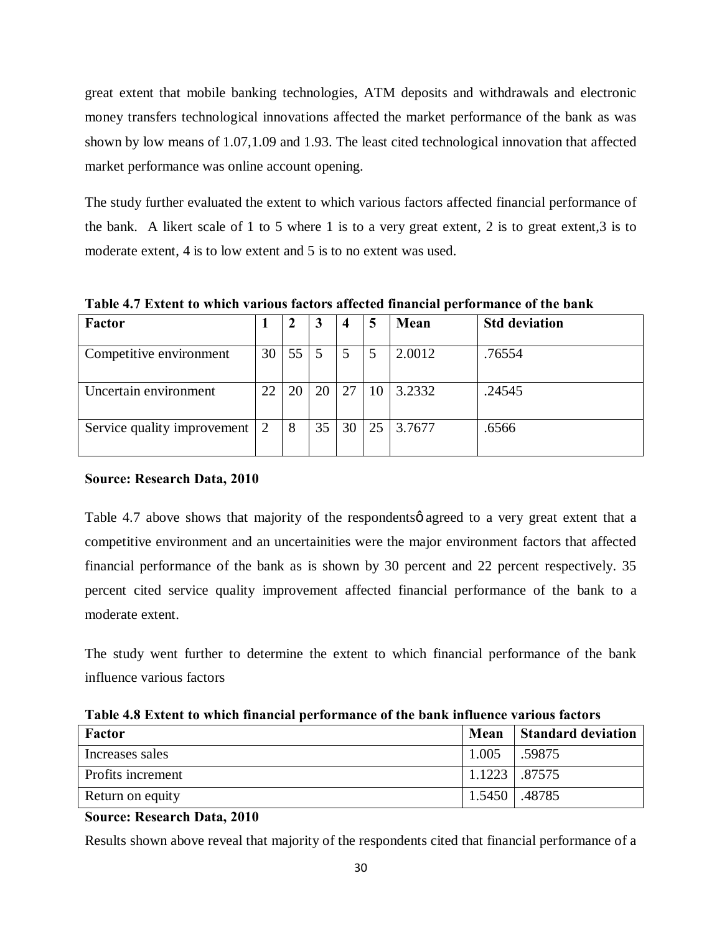great extent that mobile banking technologies, ATM deposits and withdrawals and electronic money transfers technological innovations affected the market performance of the bank as was shown by low means of 1.07,1.09 and 1.93. The least cited technological innovation that affected market performance was online account opening.

The study further evaluated the extent to which various factors affected financial performance of the bank. A likert scale of 1 to 5 where 1 is to a very great extent, 2 is to great extent,3 is to moderate extent, 4 is to low extent and 5 is to no extent was used.

**Table 4.7 Extent to which various factors affected financial performance of the bank**

| <b>Factor</b>               |    | 2  |    | $\boldsymbol{4}$ |    | Mean   | <b>Std deviation</b> |
|-----------------------------|----|----|----|------------------|----|--------|----------------------|
| Competitive environment     | 30 | 55 |    | 5                |    | 2.0012 | .76554               |
| Uncertain environment       | 22 | 20 | 20 | 27               | 10 | 3.2332 | .24545               |
| Service quality improvement |    | 8  | 35 | 30               | 25 | 3.7677 | .6566                |

## **Source: Research Data, 2010**

Table 4.7 above shows that majority of the respondents agreed to a very great extent that a competitive environment and an uncertainities were the major environment factors that affected financial performance of the bank as is shown by 30 percent and 22 percent respectively. 35 percent cited service quality improvement affected financial performance of the bank to a moderate extent.

The study went further to determine the extent to which financial performance of the bank influence various factors

| Factor            | Mean            | <b>Standard deviation</b> |
|-------------------|-----------------|---------------------------|
| Increases sales   | 1.005           | .59875                    |
| Profits increment | $1.1223$ .87575 |                           |
| Return on equity  | $1.5450$ .48785 |                           |

**Table 4.8 Extent to which financial performance of the bank influence various factors**

**Source: Research Data, 2010**

<span id="page-39-1"></span><span id="page-39-0"></span>Results shown above reveal that majority of the respondents cited that financial performance of a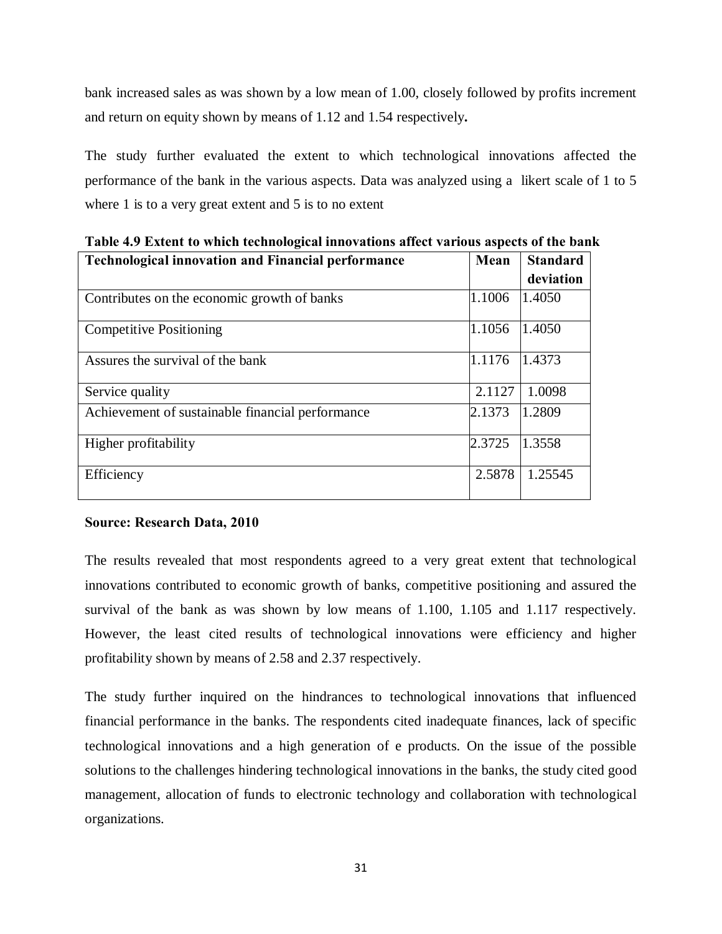bank increased sales as was shown by a low mean of 1.00, closely followed by profits increment and return on equity shown by means of 1.12 and 1.54 respectively**.**

The study further evaluated the extent to which technological innovations affected the performance of the bank in the various aspects. Data was analyzed using a likert scale of 1 to 5 where 1 is to a very great extent and 5 is to no extent

| <b>Technological innovation and Financial performance</b> | Mean   | <b>Standard</b> |
|-----------------------------------------------------------|--------|-----------------|
|                                                           |        | deviation       |
| Contributes on the economic growth of banks               | 1.1006 | 1.4050          |
| <b>Competitive Positioning</b>                            | 1.1056 | 1.4050          |
| Assures the survival of the bank                          | 1.1176 | 1.4373          |
| Service quality                                           | 2.1127 | 1.0098          |
| Achievement of sustainable financial performance          | 2.1373 | 1.2809          |
| Higher profitability                                      | 2.3725 | 1.3558          |
| Efficiency                                                | 2.5878 | 1.25545         |

**Table 4.9 Extent to which technological innovations affect various aspects of the bank** 

## **Source: Research Data, 2010**

The results revealed that most respondents agreed to a very great extent that technological innovations contributed to economic growth of banks, competitive positioning and assured the survival of the bank as was shown by low means of 1.100, 1.105 and 1.117 respectively. However, the least cited results of technological innovations were efficiency and higher profitability shown by means of 2.58 and 2.37 respectively.

<span id="page-40-0"></span>The study further inquired on the hindrances to technological innovations that influenced financial performance in the banks. The respondents cited inadequate finances, lack of specific technological innovations and a high generation of e products. On the issue of the possible solutions to the challenges hindering technological innovations in the banks, the study cited good management, allocation of funds to electronic technology and collaboration with technological organizations.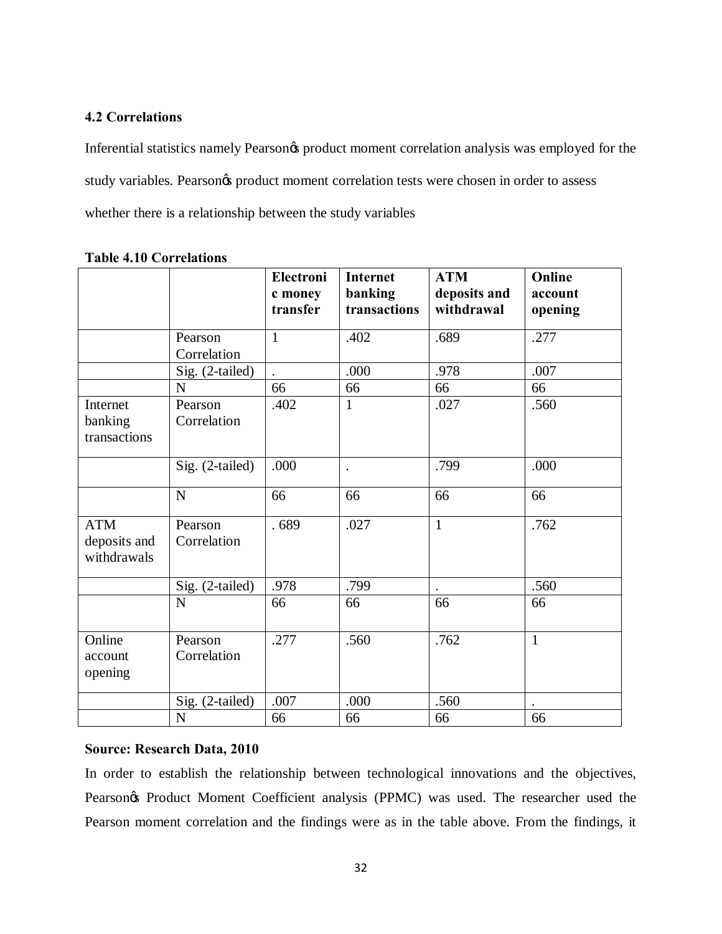## **4.2 Correlations**

Inferential statistics namely Pearson $\alpha$  product moment correlation analysis was employed for the study variables. Pearson $\alpha$  product moment correlation tests were chosen in order to assess whether there is a relationship between the study variables

|                                           |                        | Electroni<br>c money<br>transfer | <b>Internet</b><br>banking<br>transactions | <b>ATM</b><br>deposits and<br>withdrawal | Online<br>account<br>opening |
|-------------------------------------------|------------------------|----------------------------------|--------------------------------------------|------------------------------------------|------------------------------|
|                                           | Pearson<br>Correlation | $\mathbf{1}$                     | .402                                       | .689                                     | .277                         |
|                                           | Sig. (2-tailed)        |                                  | .000                                       | .978                                     | .007                         |
|                                           | N                      | 66                               | 66                                         | 66                                       | 66                           |
| Internet<br>banking<br>transactions       | Pearson<br>Correlation | .402                             | 1                                          | .027                                     | .560                         |
|                                           | Sig. (2-tailed)        | .000                             | $\ddot{\phantom{0}}$                       | .799                                     | .000                         |
|                                           | ${\bf N}$              | 66                               | 66                                         | 66                                       | 66                           |
| <b>ATM</b><br>deposits and<br>withdrawals | Pearson<br>Correlation | .689                             | .027                                       | $\mathbf{1}$                             | .762                         |
|                                           | Sig. (2-tailed)        | .978                             | .799                                       |                                          | .560                         |
|                                           | N                      | 66                               | 66                                         | 66                                       | 66                           |
| Online<br>account<br>opening              | Pearson<br>Correlation | .277                             | .560                                       | .762                                     | $\mathbf{1}$                 |
|                                           | Sig. (2-tailed)        | .007                             | .000                                       | .560                                     |                              |
|                                           | ${\bf N}$              | 66                               | 66                                         | 66                                       | 66                           |

### **Table 4.10 Correlations**

## **Source: Research Data, 2010**

<span id="page-41-0"></span>In order to establish the relationship between technological innovations and the objectives, Pearson $\alpha$  Product Moment Coefficient analysis (PPMC) was used. The researcher used the Pearson moment correlation and the findings were as in the table above. From the findings, it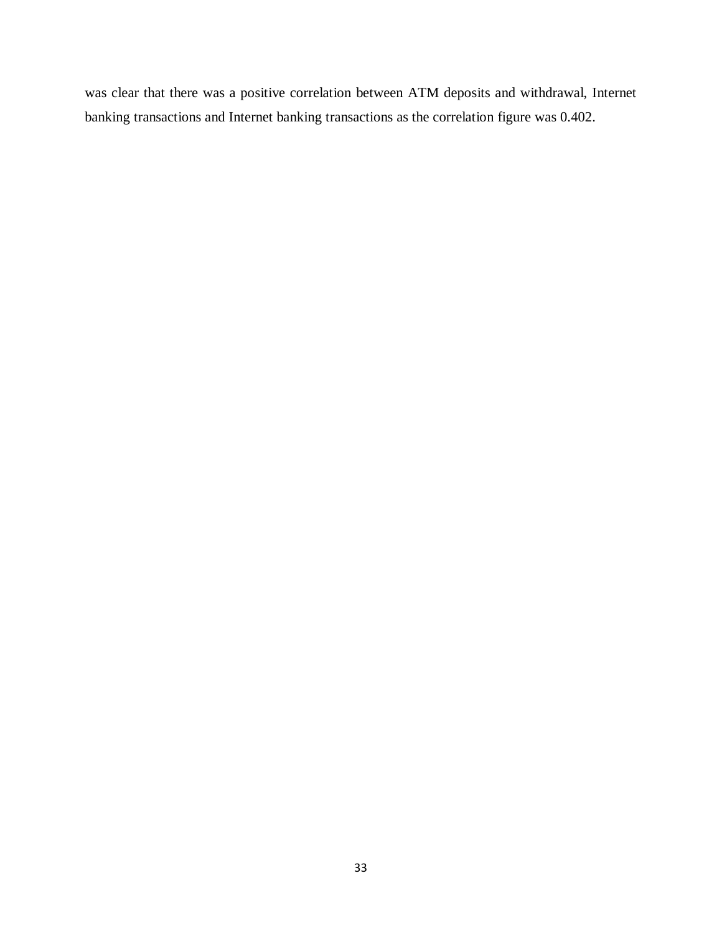was clear that there was a positive correlation between ATM deposits and withdrawal, Internet banking transactions and Internet banking transactions as the correlation figure was 0.402.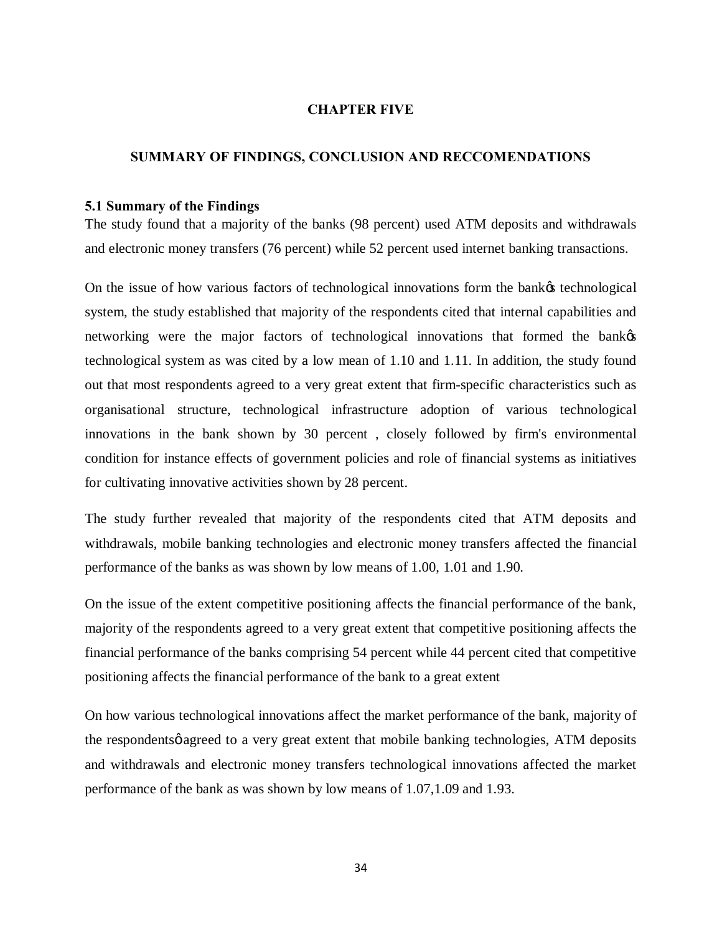#### <span id="page-43-0"></span>**CHAPTER FIVE**

## **SUMMARY OF FINDINGS, CONCLUSION AND RECCOMENDATIONS**

#### **5.1 Summary of the Findings**

The study found that a majority of the banks (98 percent) used ATM deposits and withdrawals and electronic money transfers (76 percent) while 52 percent used internet banking transactions.

On the issue of how various factors of technological innovations form the bank  $\alpha$  technological system, the study established that majority of the respondents cited that internal capabilities and networking were the major factors of technological innovations that formed the bank  $\alpha$ technological system as was cited by a low mean of 1.10 and 1.11. In addition, the study found out that most respondents agreed to a very great extent that firm-specific characteristics such as organisational structure, technological infrastructure adoption of various technological innovations in the bank shown by 30 percent , closely followed by firm's environmental condition for instance effects of government policies and role of financial systems as initiatives for cultivating innovative activities shown by 28 percent.

The study further revealed that majority of the respondents cited that ATM deposits and withdrawals, mobile banking technologies and electronic money transfers affected the financial performance of the banks as was shown by low means of 1.00, 1.01 and 1.90.

On the issue of the extent competitive positioning affects the financial performance of the bank, majority of the respondents agreed to a very great extent that competitive positioning affects the financial performance of the banks comprising 54 percent while 44 percent cited that competitive positioning affects the financial performance of the bank to a great extent

<span id="page-43-2"></span><span id="page-43-1"></span>On how various technological innovations affect the market performance of the bank, majority of the respondents agreed to a very great extent that mobile banking technologies, ATM deposits and withdrawals and electronic money transfers technological innovations affected the market performance of the bank as was shown by low means of 1.07,1.09 and 1.93.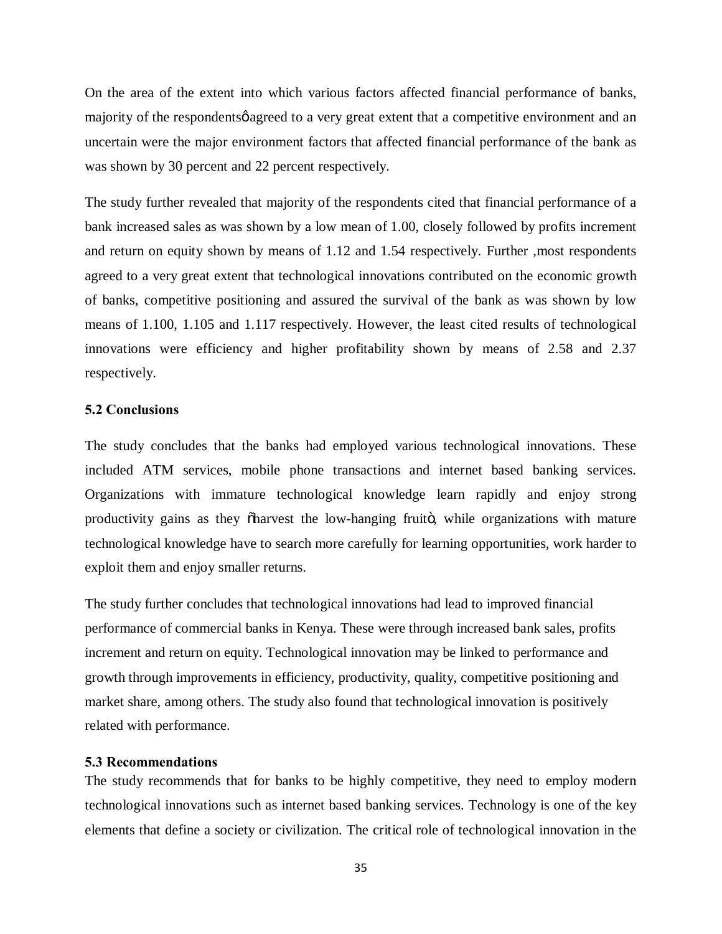On the area of the extent into which various factors affected financial performance of banks, majority of the respondents agreed to a very great extent that a competitive environment and an uncertain were the major environment factors that affected financial performance of the bank as was shown by 30 percent and 22 percent respectively.

The study further revealed that majority of the respondents cited that financial performance of a bank increased sales as was shown by a low mean of 1.00, closely followed by profits increment and return on equity shown by means of 1.12 and 1.54 respectively. Further ,most respondents agreed to a very great extent that technological innovations contributed on the economic growth of banks, competitive positioning and assured the survival of the bank as was shown by low means of 1.100, 1.105 and 1.117 respectively. However, the least cited results of technological innovations were efficiency and higher profitability shown by means of 2.58 and 2.37 respectively.

#### **5.2 Conclusions**

The study concludes that the banks had employed various technological innovations. These included ATM services, mobile phone transactions and internet based banking services. Organizations with immature technological knowledge learn rapidly and enjoy strong productivity gains as they  $\ddot{\text{o}}$  harvest the low-hanging fruito, while organizations with mature technological knowledge have to search more carefully for learning opportunities, work harder to exploit them and enjoy smaller returns.

The study further concludes that technological innovations had lead to improved financial performance of commercial banks in Kenya. These were through increased bank sales, profits increment and return on equity. Technological innovation may be linked to performance and growth through improvements in efficiency, [productivity](http://en.wikipedia.org/wiki/Productivity), [quality,](http://en.wikipedia.org/wiki/Quality_%28business%29) [competitive positioning](http://en.wikipedia.org/w/index.php?title=Competitive_positioning&action=edit&redlink=1) and [market share](http://en.wikipedia.org/wiki/Market_share), among others. The study also found that technological innovation is positively related with performance.

#### **5.3 Recommendations**

<span id="page-44-1"></span><span id="page-44-0"></span>The study recommends that for banks to be highly competitive, they need to employ modern technological innovations such as internet based banking services. Technology is one of the key elements that define a society or civilization. The critical role of technological innovation in the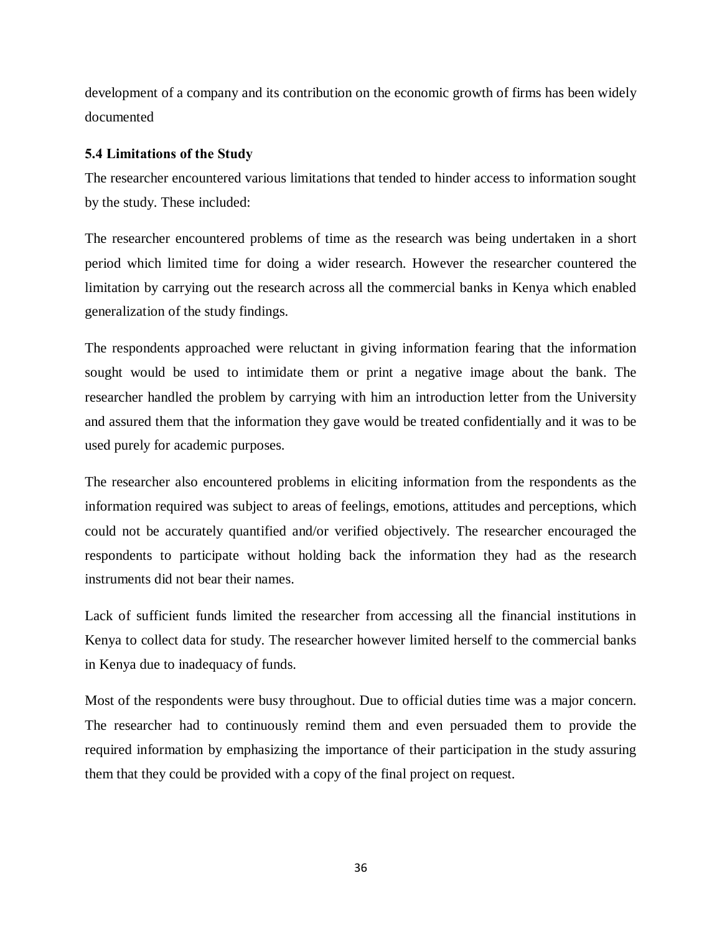development of a company and its contribution on the economic growth of firms has been widely documented

## **5.4 Limitations of the Study**

The researcher encountered various limitations that tended to hinder access to information sought by the study. These included:

The researcher encountered problems of time as the research was being undertaken in a short period which limited time for doing a wider research. However the researcher countered the limitation by carrying out the research across all the commercial banks in Kenya which enabled generalization of the study findings.

The respondents approached were reluctant in giving information fearing that the information sought would be used to intimidate them or print a negative image about the bank. The researcher handled the problem by carrying with him an introduction letter from the University and assured them that the information they gave would be treated confidentially and it was to be used purely for academic purposes.

The researcher also encountered problems in eliciting information from the respondents as the information required was subject to areas of feelings, emotions, attitudes and perceptions, which could not be accurately quantified and/or verified objectively. The researcher encouraged the respondents to participate without holding back the information they had as the research instruments did not bear their names.

Lack of sufficient funds limited the researcher from accessing all the financial institutions in Kenya to collect data for study. The researcher however limited herself to the commercial banks in Kenya due to inadequacy of funds.

<span id="page-45-0"></span>Most of the respondents were busy throughout. Due to official duties time was a major concern. The researcher had to continuously remind them and even persuaded them to provide the required information by emphasizing the importance of their participation in the study assuring them that they could be provided with a copy of the final project on request.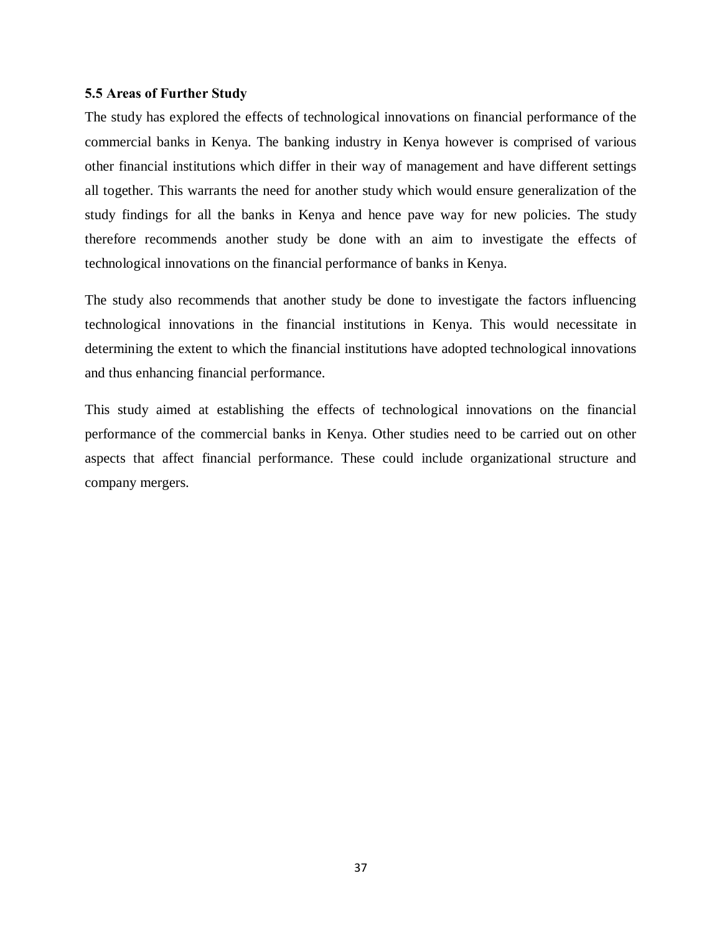### **5.5 Areas of Further Study**

The study has explored the effects of technological innovations on financial performance of the commercial banks in Kenya. The banking industry in Kenya however is comprised of various other financial institutions which differ in their way of management and have different settings all together. This warrants the need for another study which would ensure generalization of the study findings for all the banks in Kenya and hence pave way for new policies. The study therefore recommends another study be done with an aim to investigate the effects of technological innovations on the financial performance of banks in Kenya.

The study also recommends that another study be done to investigate the factors influencing technological innovations in the financial institutions in Kenya. This would necessitate in determining the extent to which the financial institutions have adopted technological innovations and thus enhancing financial performance.

<span id="page-46-0"></span>This study aimed at establishing the effects of technological innovations on the financial performance of the commercial banks in Kenya. Other studies need to be carried out on other aspects that affect financial performance. These could include organizational structure and company mergers.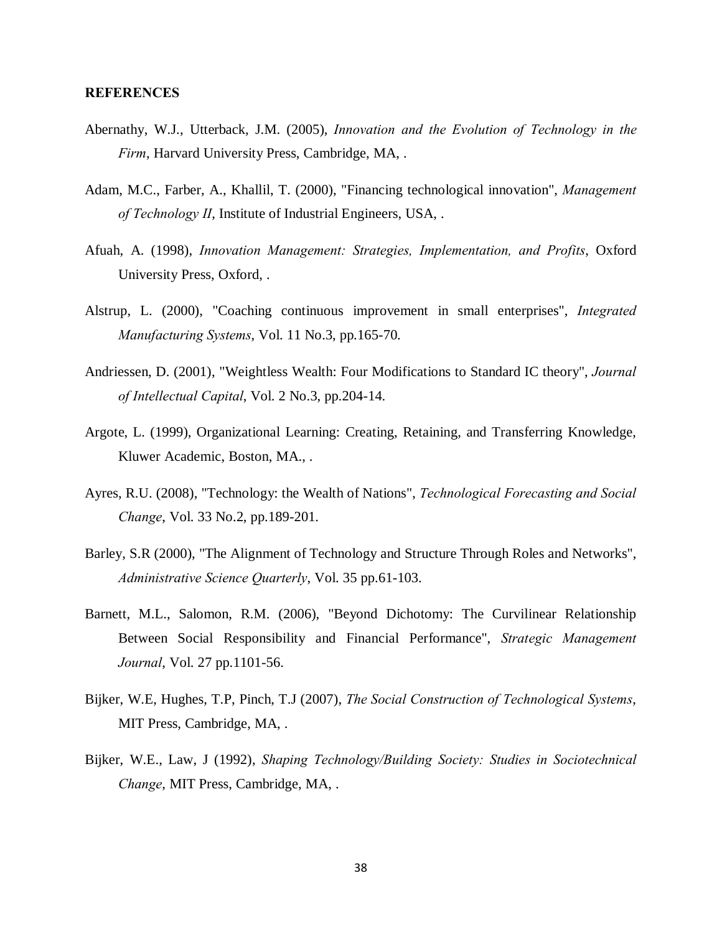#### **REFERENCES**

- Abernathy, W.J., Utterback, J.M. (2005), *Innovation and the Evolution of Technology in the Firm*, Harvard University Press, Cambridge, MA, .
- Adam, M.C., Farber, A., Khallil, T. (2000), "Financing technological innovation", *Management of Technology II*, Institute of Industrial Engineers, USA, .
- Afuah, A. (1998), *Innovation Management: Strategies, Implementation, and Profits*, Oxford University Press, Oxford, .
- Alstrup, L. (2000), "Coaching continuous improvement in small enterprises", *Integrated Manufacturing Systems*, Vol. 11 No.3, pp.165-70.
- Andriessen, D. (2001), "Weightless Wealth: Four Modifications to Standard IC theory", *Journal of Intellectual Capital*, Vol. 2 No.3, pp.204-14.
- Argote, L. (1999), Organizational Learning: Creating, Retaining, and Transferring Knowledge, Kluwer Academic, Boston, MA., .
- Ayres, R.U. (2008), "Technology: the Wealth of Nations", *Technological Forecasting and Social Change*, Vol. 33 No.2, pp.189-201.
- Barley, S.R (2000), "The Alignment of Technology and Structure Through Roles and Networks", *Administrative Science Quarterly*, Vol. 35 pp.61-103.
- Barnett, M.L., Salomon, R.M. (2006), "Beyond Dichotomy: The Curvilinear Relationship Between Social Responsibility and Financial Performance", *Strategic Management Journal*, Vol. 27 pp.1101-56.
- Bijker, W.E, Hughes, T.P, Pinch, T.J (2007), *The Social Construction of Technological Systems*, MIT Press, Cambridge, MA, .
- <span id="page-47-0"></span>Bijker, W.E., Law, J (1992), *Shaping Technology/Building Society: Studies in Sociotechnical Change*, MIT Press, Cambridge, MA, .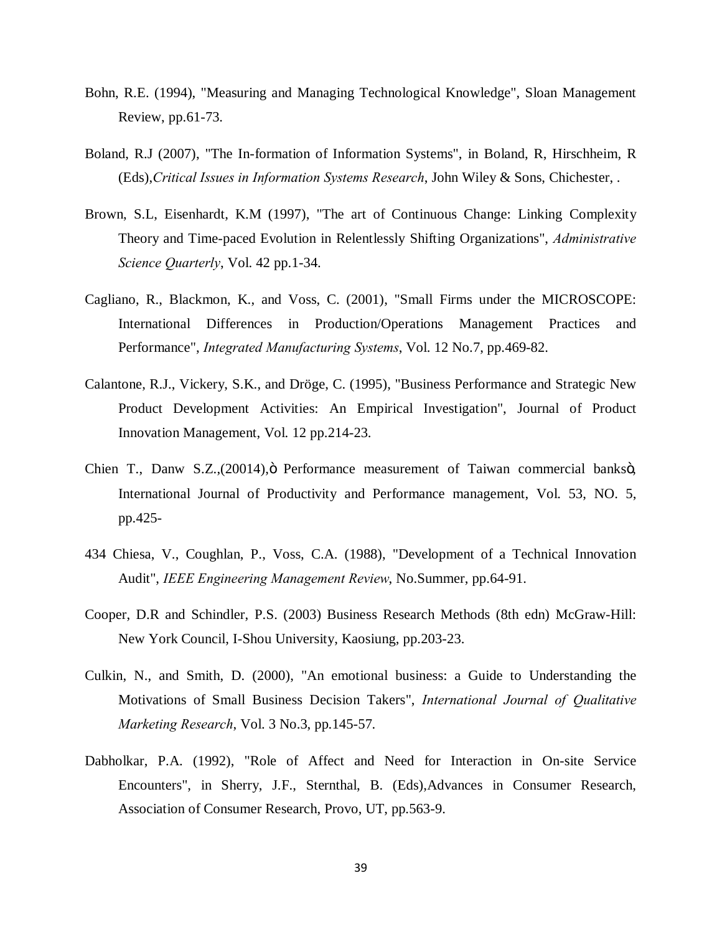- Bohn, R.E. (1994), "Measuring and Managing Technological Knowledge", Sloan Management Review, pp.61-73.
- Boland, R.J (2007), "The In-formation of Information Systems", in Boland, R, Hirschheim, R (Eds),*Critical Issues in Information Systems Research*, John Wiley & Sons, Chichester, .
- Brown, S.L, Eisenhardt, K.M (1997), "The art of Continuous Change: Linking Complexity Theory and Time-paced Evolution in Relentlessly Shifting Organizations", *Administrative Science Quarterly*, Vol. 42 pp.1-34.
- Cagliano, R., Blackmon, K., and Voss, C. (2001), "Small Firms under the MICROSCOPE: International Differences in Production/Operations Management Practices and Performance", *Integrated Manufacturing Systems*, Vol. 12 No.7, pp.469-82.
- Calantone, R.J., Vickery, S.K., and Dröge, C. (1995), "Business Performance and Strategic New Product Development Activities: An Empirical Investigation", Journal of Product Innovation Management, Vol. 12 pp.214-23.
- Chien T., Danw S.Z.,(20014), ö Performance measurement of Taiwan commercial banksö, International Journal of Productivity and Performance management, Vol. 53, NO. 5, pp.425-
- 434 Chiesa, V., Coughlan, P., Voss, C.A. (1988), "Development of a Technical Innovation Audit", *IEEE Engineering Management Review*, No.Summer, pp.64-91.
- Cooper, D.R and Schindler, P.S. (2003) Business Research Methods (8th edn) McGraw-Hill: New York Council, I-Shou University, Kaosiung, pp.203-23.
- Culkin, N., and Smith, D. (2000), "An emotional business: a Guide to Understanding the Motivations of Small Business Decision Takers", *International Journal of Qualitative Marketing Research*, Vol. 3 No.3, pp.145-57.
- Dabholkar, P.A. (1992), "Role of Affect and Need for Interaction in On-site Service Encounters", in Sherry, J.F., Sternthal, B. (Eds),Advances in Consumer Research, Association of Consumer Research, Provo, UT, pp.563-9.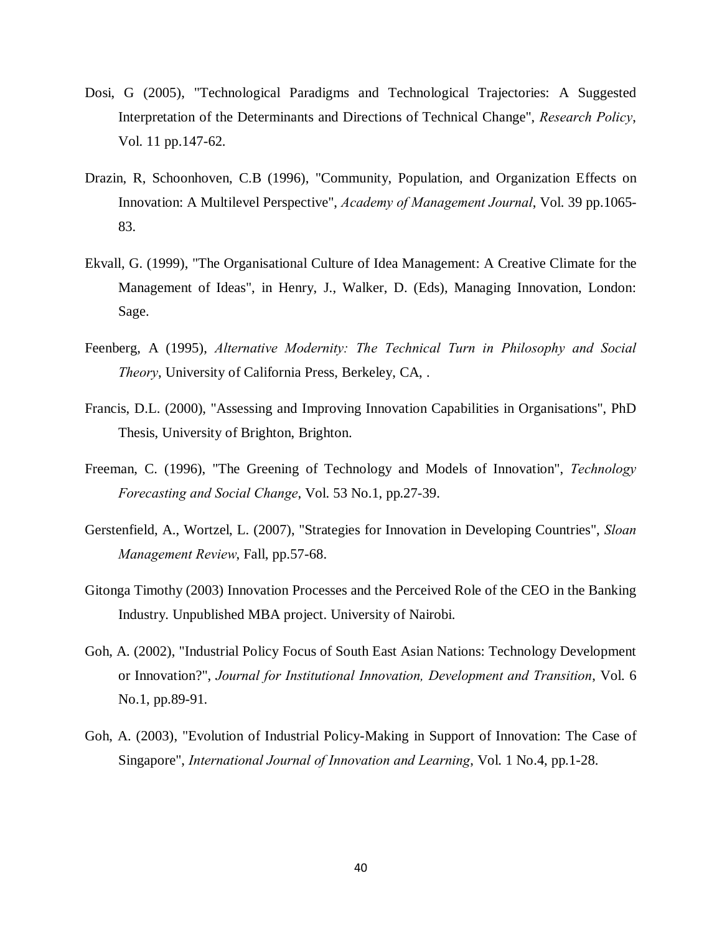- Dosi, G (2005), "Technological Paradigms and Technological Trajectories: A Suggested Interpretation of the Determinants and Directions of Technical Change", *Research Policy*, Vol. 11 pp.147-62.
- Drazin, R, Schoonhoven, C.B (1996), "Community, Population, and Organization Effects on Innovation: A Multilevel Perspective", *Academy of Management Journal*, Vol. 39 pp.1065- 83.
- Ekvall, G. (1999), "The Organisational Culture of Idea Management: A Creative Climate for the Management of Ideas", in Henry, J., Walker, D. (Eds), Managing Innovation, London: Sage.
- Feenberg, A (1995), *Alternative Modernity: The Technical Turn in Philosophy and Social Theory*, University of California Press, Berkeley, CA, .
- Francis, D.L. (2000), "Assessing and Improving Innovation Capabilities in Organisations", PhD Thesis, University of Brighton, Brighton.
- Freeman, C. (1996), "The Greening of Technology and Models of Innovation", *Technology Forecasting and Social Change*, Vol. 53 No.1, pp.27-39.
- Gerstenfield, A., Wortzel, L. (2007), "Strategies for Innovation in Developing Countries", *Sloan Management Review*, Fall, pp.57-68.
- Gitonga Timothy (2003) Innovation Processes and the Perceived Role of the CEO in the Banking Industry. Unpublished MBA project. University of Nairobi.
- Goh, A. (2002), "Industrial Policy Focus of South East Asian Nations: Technology Development or Innovation?", *Journal for Institutional Innovation, Development and Transition*, Vol. 6 No.1, pp.89-91.
- Goh, A. (2003), "Evolution of Industrial Policy-Making in Support of Innovation: The Case of Singapore", *International Journal of Innovation and Learning*, Vol. 1 No.4, pp.1-28.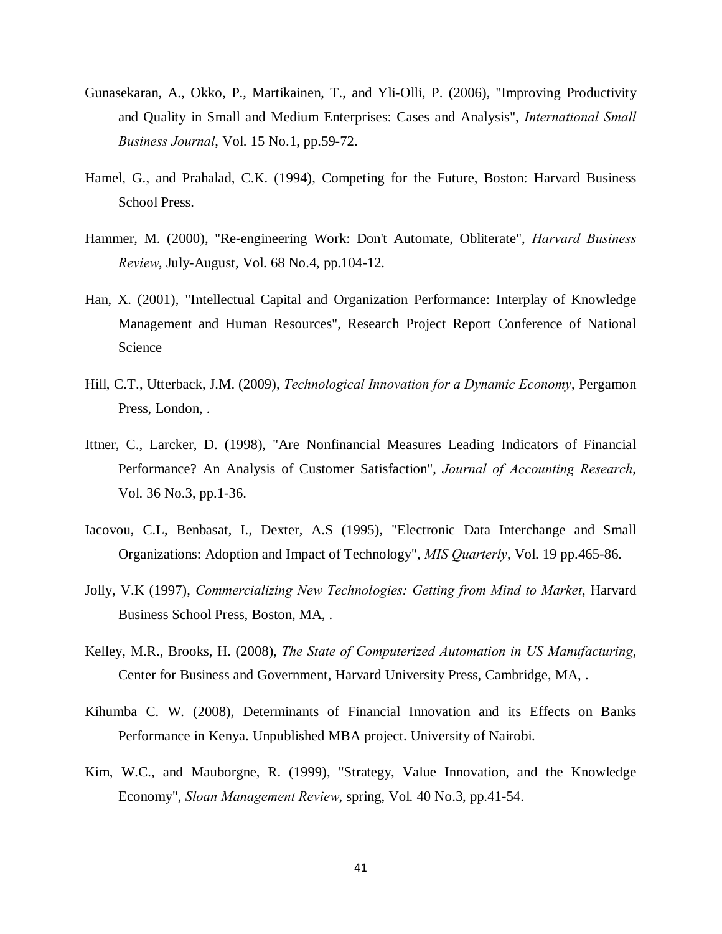- Gunasekaran, A., Okko, P., Martikainen, T., and Yli-Olli, P. (2006), "Improving Productivity and Quality in Small and Medium Enterprises: Cases and Analysis", *International Small Business Journal*, Vol. 15 No.1, pp.59-72.
- Hamel, G., and Prahalad, C.K. (1994), Competing for the Future, Boston: Harvard Business School Press.
- Hammer, M. (2000), "Re-engineering Work: Don't Automate, Obliterate", *Harvard Business Review*, July-August, Vol. 68 No.4, pp.104-12.
- Han, X. (2001), "Intellectual Capital and Organization Performance: Interplay of Knowledge Management and Human Resources", Research Project Report Conference of National Science
- Hill, C.T., Utterback, J.M. (2009), *Technological Innovation for a Dynamic Economy*, Pergamon Press, London, .
- Ittner, C., Larcker, D. (1998), "Are Nonfinancial Measures Leading Indicators of Financial Performance? An Analysis of Customer Satisfaction", *Journal of Accounting Research*, Vol. 36 No.3, pp.1-36.
- Iacovou, C.L, Benbasat, I., Dexter, A.S (1995), "Electronic Data Interchange and Small Organizations: Adoption and Impact of Technology", *MIS Quarterly*, Vol. 19 pp.465-86.
- Jolly, V.K (1997), *Commercializing New Technologies: Getting from Mind to Market*, Harvard Business School Press, Boston, MA, .
- Kelley, M.R., Brooks, H. (2008), *The State of Computerized Automation in US Manufacturing*, Center for Business and Government, Harvard University Press, Cambridge, MA, .
- Kihumba C. W. (2008), Determinants of Financial Innovation and its Effects on Banks Performance in Kenya. Unpublished MBA project. University of Nairobi.
- Kim, W.C., and Mauborgne, R. (1999), "Strategy, Value Innovation, and the Knowledge Economy", *Sloan Management Review*, spring, Vol. 40 No.3, pp.41-54.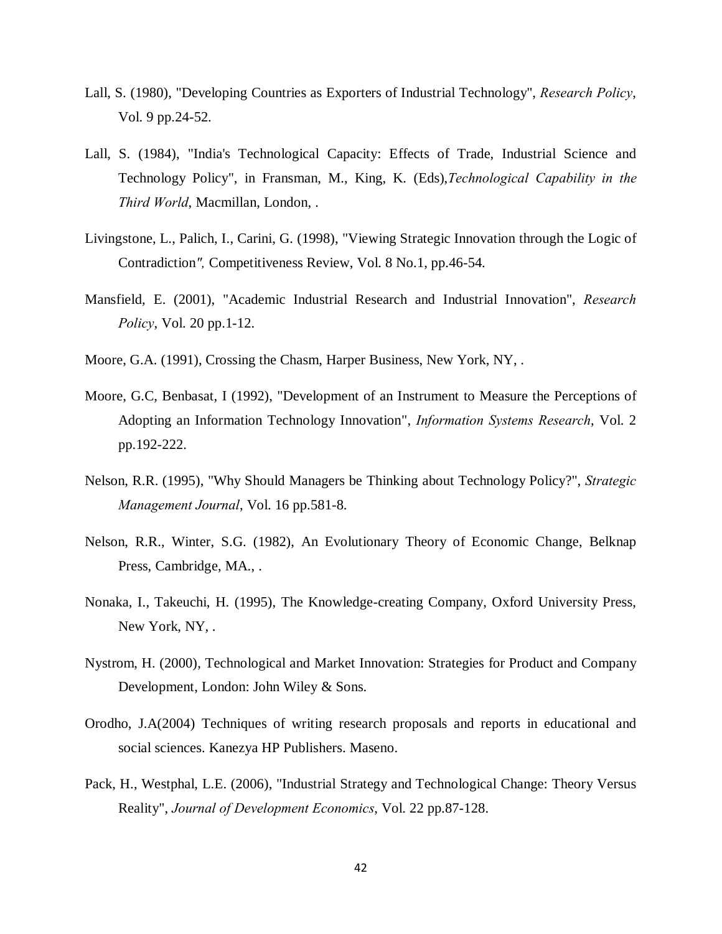- Lall, S. (1980), "Developing Countries as Exporters of Industrial Technology", *Research Policy*, Vol. 9 pp.24-52.
- Lall, S. (1984), "India's Technological Capacity: Effects of Trade, Industrial Science and Technology Policy", in Fransman, M., King, K. (Eds),*Technological Capability in the Third World*, Macmillan, London, .
- Livingstone, L., Palich, I., Carini, G. (1998), "Viewing Strategic Innovation through the Logic of Contradiction*",* Competitiveness Review, Vol. 8 No.1, pp.46-54.
- Mansfield, E. (2001), "Academic Industrial Research and Industrial Innovation", *Research Policy*, Vol. 20 pp.1-12.
- Moore, G.A. (1991), Crossing the Chasm, Harper Business, New York, NY, .
- Moore, G.C, Benbasat, I (1992), "Development of an Instrument to Measure the Perceptions of Adopting an Information Technology Innovation", *Information Systems Research*, Vol. 2 pp.192-222.
- Nelson, R.R. (1995), "Why Should Managers be Thinking about Technology Policy?", *Strategic Management Journal*, Vol. 16 pp.581-8.
- Nelson, R.R., Winter, S.G. (1982), An Evolutionary Theory of Economic Change, Belknap Press, Cambridge, MA., .
- Nonaka, I., Takeuchi, H. (1995), The Knowledge-creating Company, Oxford University Press, New York, NY, .
- Nystrom, H. (2000), Technological and Market Innovation: Strategies for Product and Company Development, London: John Wiley & Sons.
- Orodho, J.A(2004) Techniques of writing research proposals and reports in educational and social sciences. Kanezya HP Publishers. Maseno.
- Pack, H., Westphal, L.E. (2006), "Industrial Strategy and Technological Change: Theory Versus Reality", *Journal of Development Economics*, Vol. 22 pp.87-128.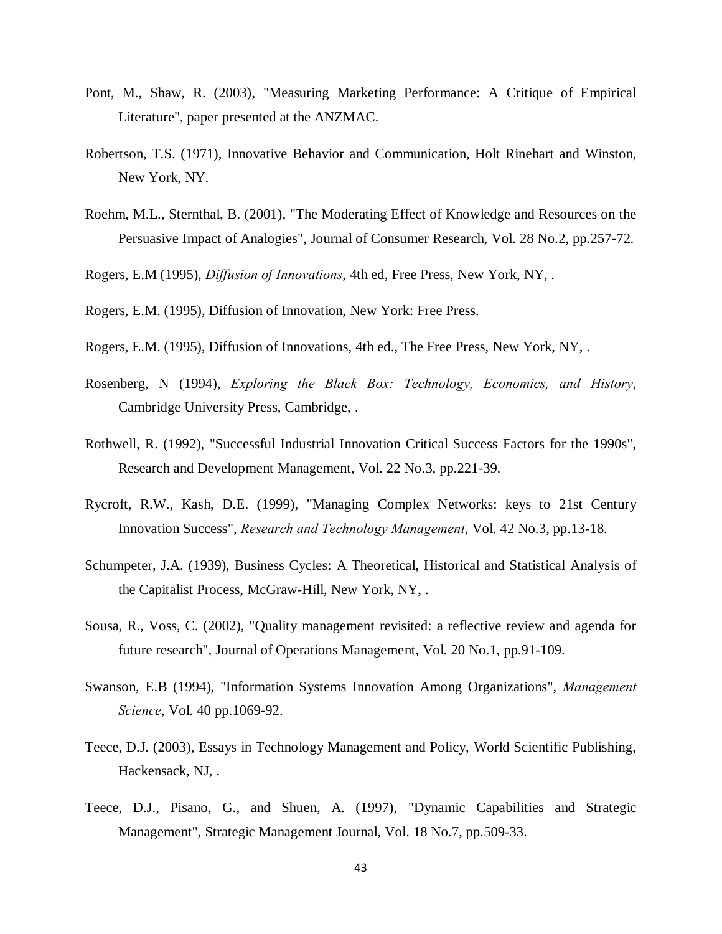- Pont, M., Shaw, R. (2003), "Measuring Marketing Performance: A Critique of Empirical Literature", paper presented at the ANZMAC.
- Robertson, T.S. (1971), Innovative Behavior and Communication, Holt Rinehart and Winston, New York, NY.
- Roehm, M.L., Sternthal, B. (2001), "The Moderating Effect of Knowledge and Resources on the Persuasive Impact of Analogies", Journal of Consumer Research, Vol. 28 No.2, pp.257-72.

Rogers, E.M (1995), *Diffusion of Innovations*, 4th ed, Free Press, New York, NY, .

Rogers, E.M. (1995), Diffusion of Innovation, New York: Free Press.

- Rogers, E.M. (1995), Diffusion of Innovations, 4th ed., The Free Press, New York, NY, .
- Rosenberg, N (1994), *Exploring the Black Box: Technology, Economics, and History*, Cambridge University Press, Cambridge, .
- Rothwell, R. (1992), "Successful Industrial Innovation Critical Success Factors for the 1990s", Research and Development Management, Vol. 22 No.3, pp.221-39.
- Rycroft, R.W., Kash, D.E. (1999), "Managing Complex Networks: keys to 21st Century Innovation Success", *Research and Technology Management*, Vol. 42 No.3, pp.13-18.
- Schumpeter, J.A. (1939), Business Cycles: A Theoretical, Historical and Statistical Analysis of the Capitalist Process, McGraw-Hill, New York, NY, .
- Sousa, R., Voss, C. (2002), "Quality management revisited: a reflective review and agenda for future research", Journal of Operations Management, Vol. 20 No.1, pp.91-109.
- Swanson, E.B (1994), "Information Systems Innovation Among Organizations", *Management Science*, Vol. 40 pp.1069-92.
- Teece, D.J. (2003), Essays in Technology Management and Policy, World Scientific Publishing, Hackensack, NJ, .
- Teece, D.J., Pisano, G., and Shuen, A. (1997), "Dynamic Capabilities and Strategic Management", Strategic Management Journal, Vol. 18 No.7, pp.509-33.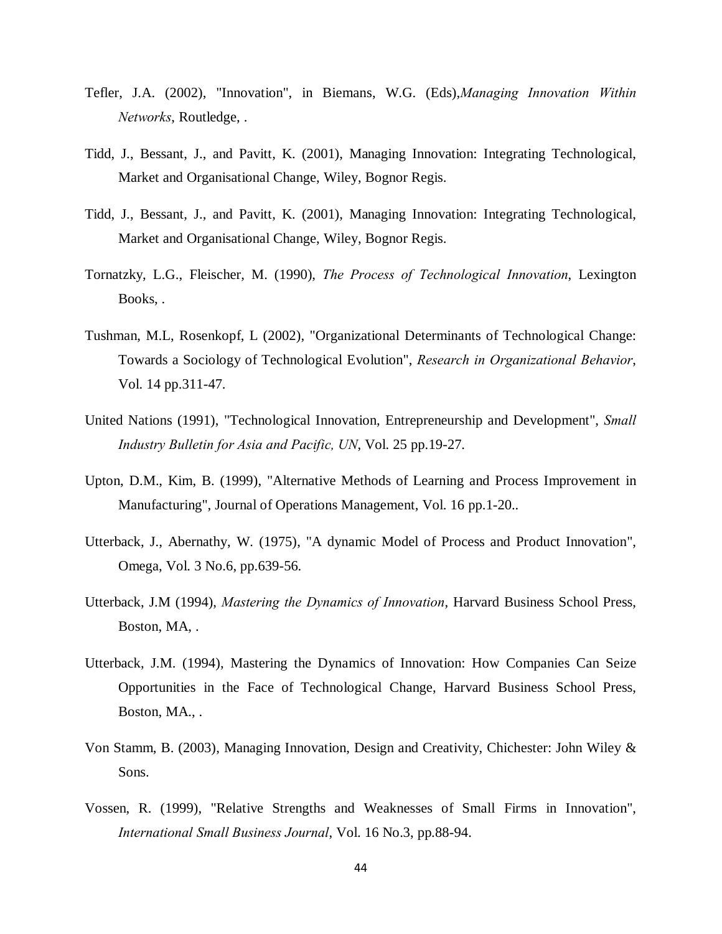- Tefler, J.A. (2002), "Innovation", in Biemans, W.G. (Eds),*Managing Innovation Within Networks*, Routledge, .
- Tidd, J., Bessant, J., and Pavitt, K. (2001), Managing Innovation: Integrating Technological, Market and Organisational Change, Wiley, Bognor Regis.
- Tidd, J., Bessant, J., and Pavitt, K. (2001), Managing Innovation: Integrating Technological, Market and Organisational Change, Wiley, Bognor Regis.
- Tornatzky, L.G., Fleischer, M. (1990), *The Process of Technological Innovation*, Lexington Books, .
- Tushman, M.L, Rosenkopf, L (2002), "Organizational Determinants of Technological Change: Towards a Sociology of Technological Evolution", *Research in Organizational Behavior*, Vol. 14 pp.311-47.
- United Nations (1991), "Technological Innovation, Entrepreneurship and Development", *Small Industry Bulletin for Asia and Pacific, UN*, Vol. 25 pp.19-27.
- Upton, D.M., Kim, B. (1999), "Alternative Methods of Learning and Process Improvement in Manufacturing", Journal of Operations Management, Vol. 16 pp.1-20..
- Utterback, J., Abernathy, W. (1975), "A dynamic Model of Process and Product Innovation", Omega, Vol. 3 No.6, pp.639-56.
- Utterback, J.M (1994), *Mastering the Dynamics of Innovation*, Harvard Business School Press, Boston, MA, .
- Utterback, J.M. (1994), Mastering the Dynamics of Innovation: How Companies Can Seize Opportunities in the Face of Technological Change, Harvard Business School Press, Boston, MA., .
- Von Stamm, B. (2003), Managing Innovation, Design and Creativity, Chichester: John Wiley & Sons.
- Vossen, R. (1999), "Relative Strengths and Weaknesses of Small Firms in Innovation", *International Small Business Journal*, Vol. 16 No.3, pp.88-94.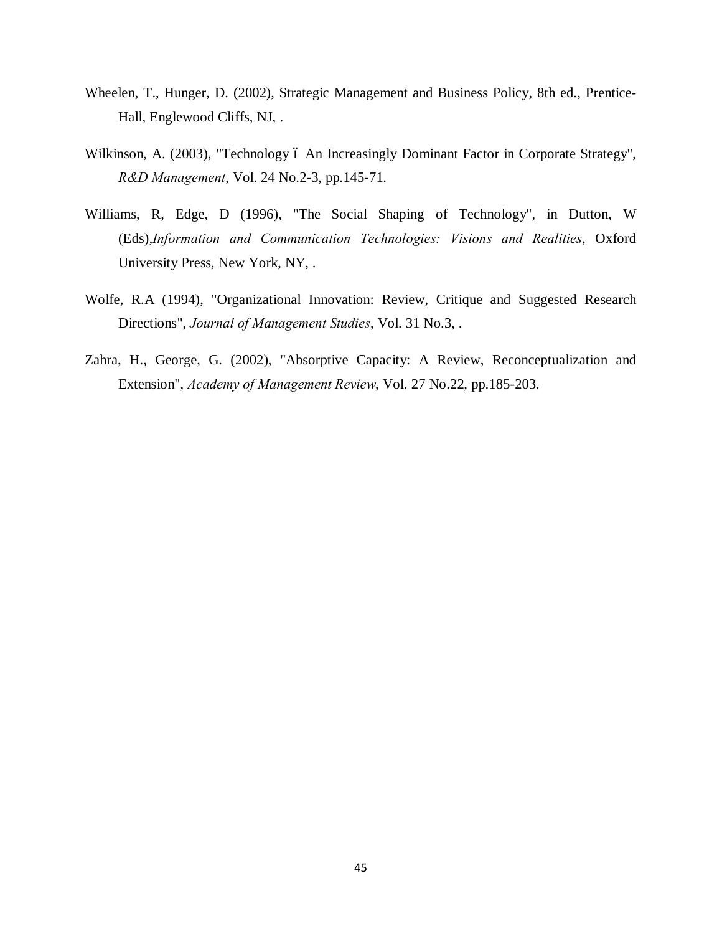- Wheelen, T., Hunger, D. (2002), Strategic Management and Business Policy, 8th ed., Prentice-Hall, Englewood Cliffs, NJ, .
- Wilkinson, A. (2003), "Technology ó An Increasingly Dominant Factor in Corporate Strategy", *R&D Management*, Vol. 24 No.2-3, pp.145-71.
- Williams, R, Edge, D (1996), "The Social Shaping of Technology", in Dutton, W (Eds),*Information and Communication Technologies: Visions and Realities*, Oxford University Press, New York, NY, .
- Wolfe, R.A (1994), "Organizational Innovation: Review, Critique and Suggested Research Directions", *Journal of Management Studies*, Vol. 31 No.3, .
- Zahra, H., George, G. (2002), "Absorptive Capacity: A Review, Reconceptualization and Extension", *Academy of Management Review*, Vol. 27 No.22, pp.185-203.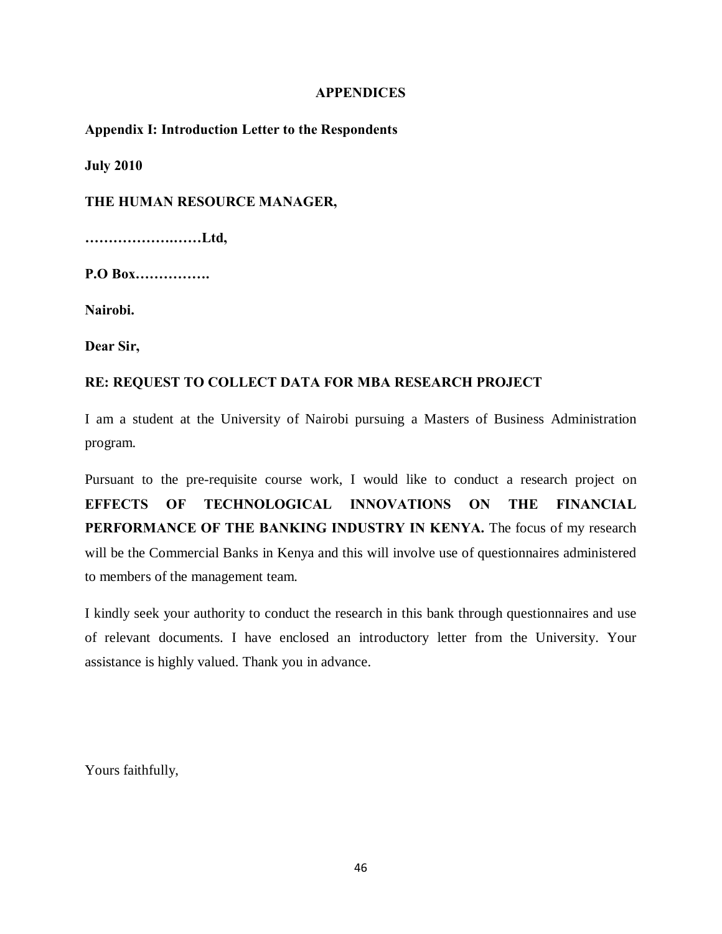### <span id="page-55-0"></span>**APPENDICES**

**Appendix I: Introduction Letter to the Respondents**

**July 2010**

**THE HUMAN RESOURCE MANAGER,**

**……………….……Ltd,**

**P.O Box…………….**

**Nairobi.**

**Dear Sir,**

# **RE: REQUEST TO COLLECT DATA FOR MBA RESEARCH PROJECT**

I am a student at the University of Nairobi pursuing a Masters of Business Administration program.

Pursuant to the pre-requisite course work, I would like to conduct a research project on **EFFECTS OF TECHNOLOGICAL INNOVATIONS ON THE FINANCIAL PERFORMANCE OF THE BANKING INDUSTRY IN KENYA.** The focus of my research will be the Commercial Banks in Kenya and this will involve use of questionnaires administered to members of the management team.

I kindly seek your authority to conduct the research in this bank through questionnaires and use of relevant documents. I have enclosed an introductory letter from the University. Your assistance is highly valued. Thank you in advance.

<span id="page-55-1"></span>Yours faithfully,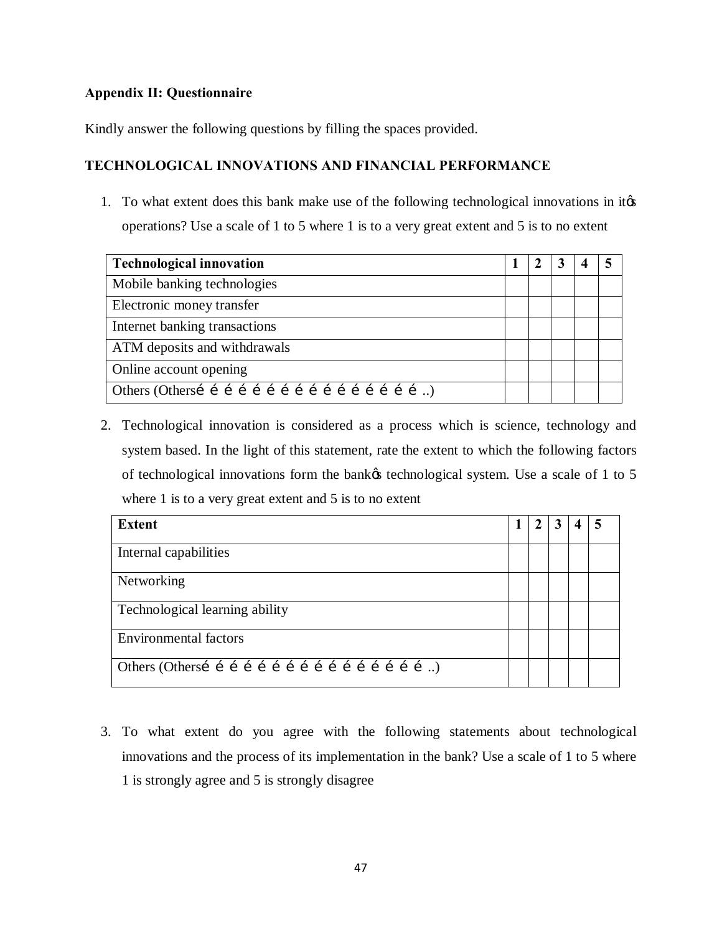# **Appendix II: Questionnaire**

Kindly answer the following questions by filling the spaces provided.

# **TECHNOLOGICAL INNOVATIONS AND FINANCIAL PERFORMANCE**

1. To what extent does this bank make use of the following technological innovations in its operations? Use a scale of 1 to 5 where 1 is to a very great extent and 5 is to no extent

| <b>Technological innovation</b> |  |  |  |
|---------------------------------|--|--|--|
| Mobile banking technologies     |  |  |  |
| Electronic money transfer       |  |  |  |
| Internet banking transactions   |  |  |  |
| ATM deposits and withdrawals    |  |  |  |
| Online account opening          |  |  |  |
|                                 |  |  |  |

2. Technological innovation is considered as a process which is science, technology and system based. In the light of this statement, rate the extent to which the following factors of technological innovations form the bank technological system. Use a scale of 1 to 5 where 1 is to a very great extent and 5 is to no extent

| <b>Extent</b>                  | $\mathbf I$ | <sup>2</sup> | 3 | $\boldsymbol{4}$ |  |
|--------------------------------|-------------|--------------|---|------------------|--|
| Internal capabilities          |             |              |   |                  |  |
| Networking                     |             |              |   |                  |  |
| Technological learning ability |             |              |   |                  |  |
| <b>Environmental factors</b>   |             |              |   |                  |  |
|                                |             |              |   |                  |  |

<span id="page-56-0"></span>3. To what extent do you agree with the following statements about technological innovations and the process of its implementation in the bank? Use a scale of 1 to 5 where 1 is strongly agree and 5 is strongly disagree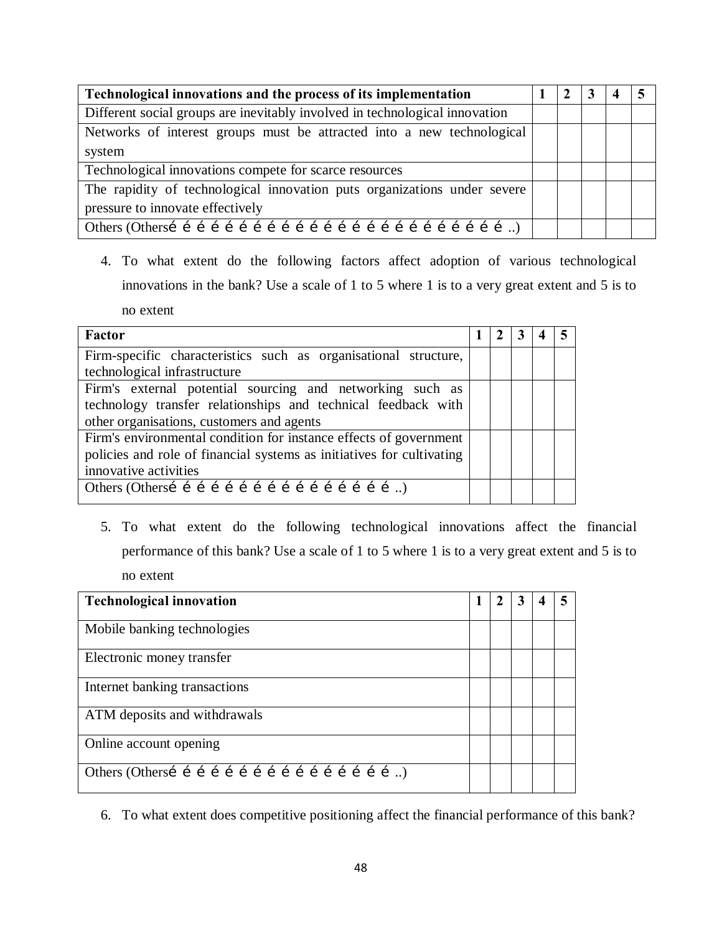| Technological innovations and the process of its implementation             |  |  |  |
|-----------------------------------------------------------------------------|--|--|--|
| Different social groups are inevitably involved in technological innovation |  |  |  |
| Networks of interest groups must be attracted into a new technological      |  |  |  |
| system                                                                      |  |  |  |
| Technological innovations compete for scarce resources                      |  |  |  |
| The rapidity of technological innovation puts organizations under severe    |  |  |  |
| pressure to innovate effectively                                            |  |  |  |
|                                                                             |  |  |  |

4. To what extent do the following factors affect adoption of various technological innovations in the bank? Use a scale of 1 to 5 where 1 is to a very great extent and 5 is to no extent

| Factor                                                                | $\mathcal{L}$ | 3 |  |
|-----------------------------------------------------------------------|---------------|---|--|
| Firm-specific characteristics such as organisational structure,       |               |   |  |
| technological infrastructure                                          |               |   |  |
| Firm's external potential sourcing and networking such as             |               |   |  |
| technology transfer relationships and technical feedback with         |               |   |  |
| other organisations, customers and agents                             |               |   |  |
| Firm's environmental condition for instance effects of government     |               |   |  |
| policies and role of financial systems as initiatives for cultivating |               |   |  |
| innovative activities                                                 |               |   |  |
|                                                                       |               |   |  |
|                                                                       |               |   |  |

5. To what extent do the following technological innovations affect the financial performance of this bank? Use a scale of 1 to 5 where 1 is to a very great extent and 5 is to no extent

| <b>Technological innovation</b>                     |  |  |  |
|-----------------------------------------------------|--|--|--|
| Mobile banking technologies                         |  |  |  |
| Electronic money transfer                           |  |  |  |
| Internet banking transactions                       |  |  |  |
| ATM deposits and withdrawals                        |  |  |  |
| Online account opening                              |  |  |  |
| Others (Othersí í í í í í í í í í í í í í í í í í ) |  |  |  |

6. To what extent does [competitive positioning](http://en.wikipedia.org/w/index.php?title=Competitive_positioning&action=edit&redlink=1) affect the financial performance of this bank?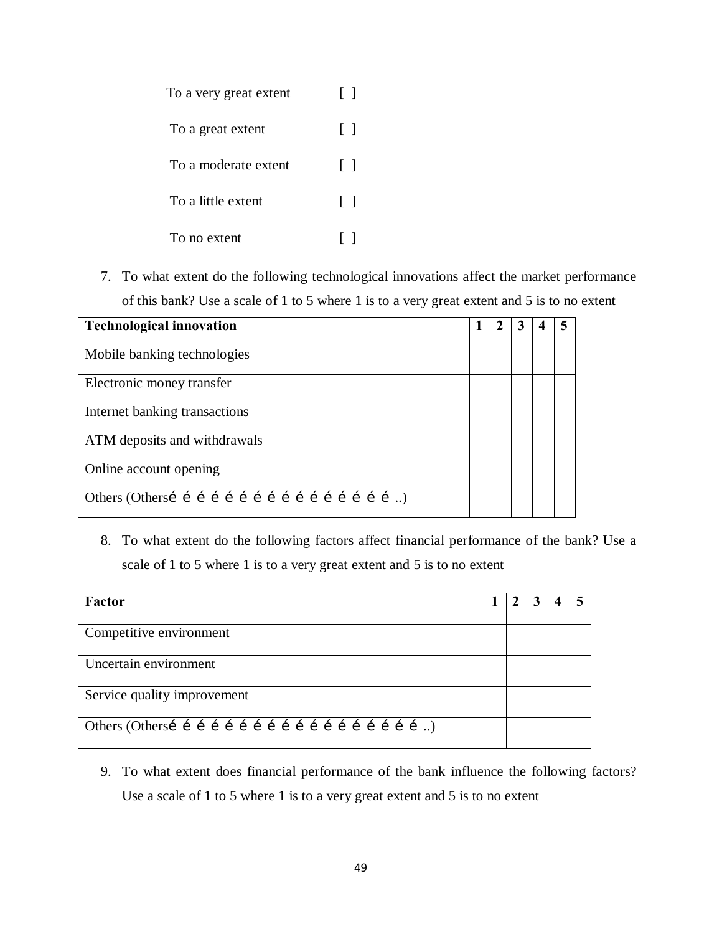| To a very great extent | $\Box$       |
|------------------------|--------------|
| To a great extent      | $\Box$       |
| To a moderate extent   | $\Box$       |
| To a little extent     | $\Box$       |
| To no extent           | $\mathsf{L}$ |

7. To what extent do the following technological innovations affect the [market](http://en.wikipedia.org/wiki/Market_share) performance of this bank? Use a scale of 1 to 5 where 1 is to a very great extent and 5 is to no extent

| <b>Technological innovation</b> |  |  |  |
|---------------------------------|--|--|--|
| Mobile banking technologies     |  |  |  |
| Electronic money transfer       |  |  |  |
| Internet banking transactions   |  |  |  |
| ATM deposits and withdrawals    |  |  |  |
| Online account opening          |  |  |  |
|                                 |  |  |  |

8. To what extent do the following factors affect financial performance of the bank? Use a scale of 1 to 5 where 1 is to a very great extent and 5 is to no extent

| Factor                      |  |  |  |
|-----------------------------|--|--|--|
| Competitive environment     |  |  |  |
| Uncertain environment       |  |  |  |
| Service quality improvement |  |  |  |
|                             |  |  |  |

9. To what extent does financial performance of the bank influence the following factors? Use a scale of 1 to 5 where 1 is to a very great extent and 5 is to no extent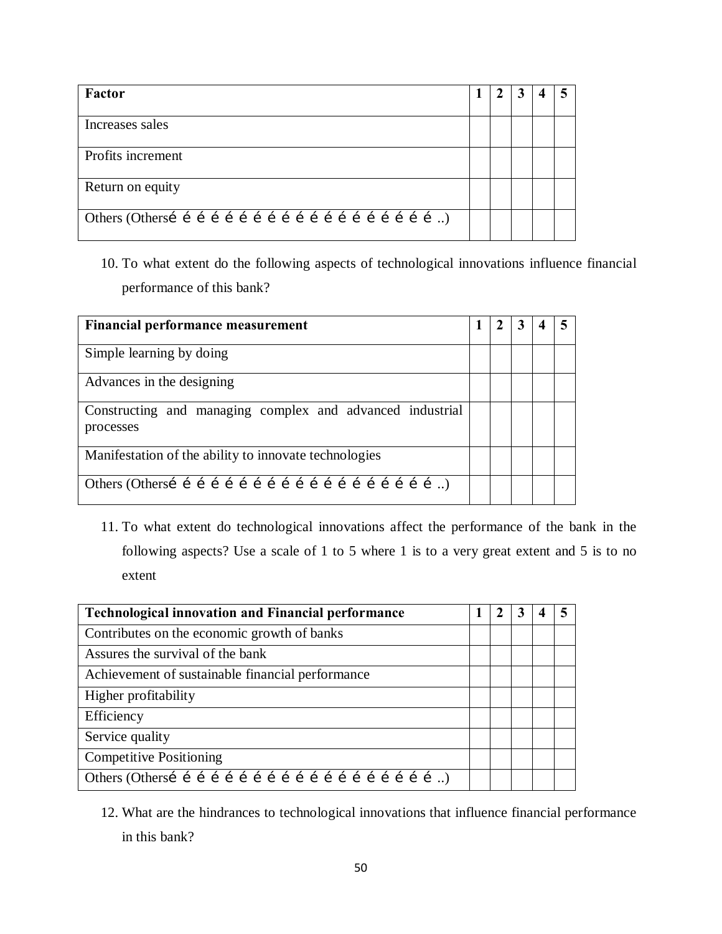| Factor            |  | 3 |  |
|-------------------|--|---|--|
| Increases sales   |  |   |  |
| Profits increment |  |   |  |
| Return on equity  |  |   |  |
|                   |  |   |  |

10. To what extent do the following aspects of technological innovations influence financial performance of this bank?

| Financial performance measurement                                      |  |  |  |
|------------------------------------------------------------------------|--|--|--|
| Simple learning by doing                                               |  |  |  |
| Advances in the designing                                              |  |  |  |
| Constructing and managing complex and advanced industrial<br>processes |  |  |  |
| Manifestation of the ability to innovate technologies                  |  |  |  |
|                                                                        |  |  |  |

11. To what extent do technological innovations affect the performance of the bank in the following aspects? Use a scale of 1 to 5 where 1 is to a very great extent and 5 is to no extent

| <b>Technological innovation and Financial performance</b> |  | 3 |  |
|-----------------------------------------------------------|--|---|--|
| Contributes on the economic growth of banks               |  |   |  |
| Assures the survival of the bank                          |  |   |  |
| Achievement of sustainable financial performance          |  |   |  |
| Higher profitability                                      |  |   |  |
| Efficiency                                                |  |   |  |
| Service quality                                           |  |   |  |
| <b>Competitive Positioning</b>                            |  |   |  |
|                                                           |  |   |  |

<sup>12.</sup> What are the hindrances to technological innovations that influence financial performance in this bank?